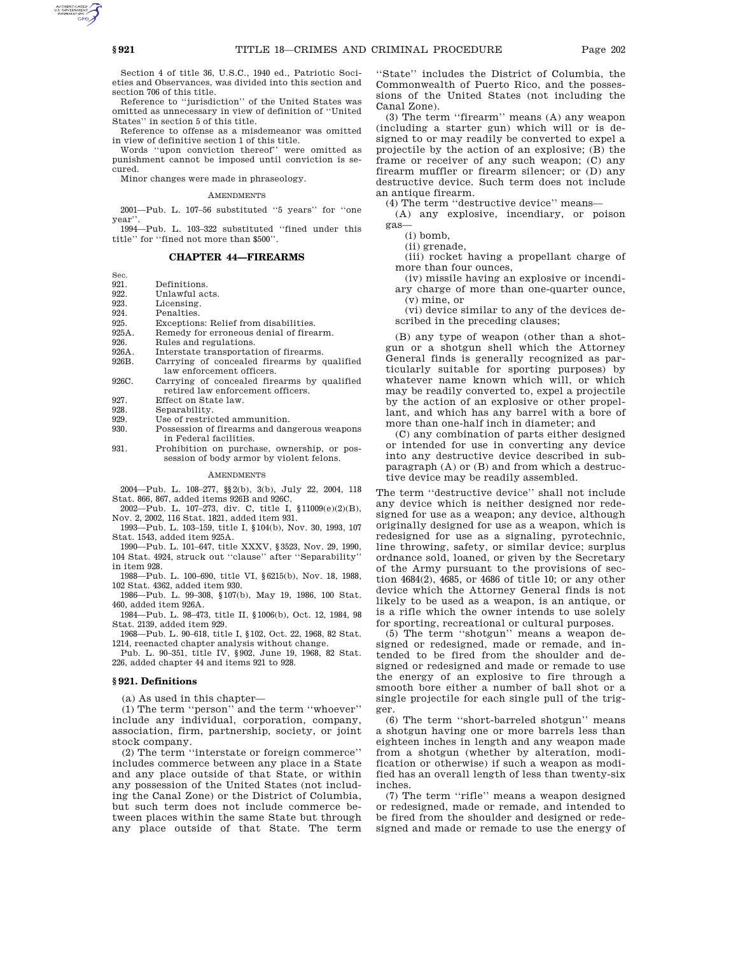Section 4 of title 36, U.S.C., 1940 ed., Patriotic Societies and Observances, was divided into this section and section 706 of this title.

Reference to ''jurisdiction'' of the United States was omitted as unnecessary in view of definition of ''United States'' in section 5 of this title.

Reference to offense as a misdemeanor was omitted in view of definitive section 1 of this title.

Words ''upon conviction thereof'' were omitted as punishment cannot be imposed until conviction is secured.

Minor changes were made in phraseology.

## **AMENDMENTS**

2001—Pub. L. 107–56 substituted ''5 years'' for ''one year''.

1994—Pub. L. 103–322 substituted ''fined under this title'' for ''fined not more than \$500''.

# **CHAPTER 44—FIREARMS**

Sec. 921. Definitions.

- 
- 922. Unlawful acts.<br>923. Licensing Licensing.
- 924. Penalties.
- 925. Exceptions: Relief from disabilities.
- 925A. Remedy for erroneous denial of firearm.
- 926. Rules and regulations.
- 926A. Interstate transportation of firearms.
- 926B. Carrying of concealed firearms by qualified law enforcement officers.
- 926C. Carrying of concealed firearms by qualified retired law enforcement officers.
- 927. Effect on State law.
- 928. Separability.<br>929. Use of restric
- Use of restricted ammunition.
- 930. Possession of firearms and dangerous weapons in Federal facilities.
- 931. Prohibition on purchase, ownership, or possession of body armor by violent felons.

# AMENDMENTS

2004—Pub. L. 108–277, §§2(b), 3(b), July 22, 2004, 118 Stat. 866, 867, added items 926B and 926C.

2002—Pub. L. 107–273, div. C, title I, §11009(e)(2)(B), Nov. 2, 2002, 116 Stat. 1821, added item 931.

1993—Pub. L. 103–159, title I, §104(b), Nov. 30, 1993, 107 Stat. 1543, added item 925A.

1990—Pub. L. 101–647, title XXXV, §3523, Nov. 29, 1990, 104 Stat. 4924, struck out ''clause'' after ''Separability'' in item 928.

1988—Pub. L. 100–690, title VI, §6215(b), Nov. 18, 1988, 102 Stat. 4362, added item 930.

1986—Pub. L. 99–308, §107(b), May 19, 1986, 100 Stat. 460, added item 926A.

1984—Pub. L. 98–473, title II, §1006(b), Oct. 12, 1984, 98 Stat. 2139, added item 929.

1968—Pub. L. 90–618, title I, §102, Oct. 22, 1968, 82 Stat. 1214, reenacted chapter analysis without change.

Pub. L. 90–351, title IV, §902, June 19, 1968, 82 Stat. 226, added chapter 44 and items 921 to 928.

## **§ 921. Definitions**

(a) As used in this chapter—

(1) The term ''person'' and the term ''whoever'' include any individual, corporation, company, association, firm, partnership, society, or joint stock company.

(2) The term ''interstate or foreign commerce'' includes commerce between any place in a State and any place outside of that State, or within any possession of the United States (not including the Canal Zone) or the District of Columbia, but such term does not include commerce between places within the same State but through any place outside of that State. The term ''State'' includes the District of Columbia, the Commonwealth of Puerto Rico, and the possessions of the United States (not including the Canal Zone).

(3) The term ''firearm'' means (A) any weapon (including a starter gun) which will or is designed to or may readily be converted to expel a projectile by the action of an explosive; (B) the frame or receiver of any such weapon; (C) any firearm muffler or firearm silencer; or (D) any destructive device. Such term does not include an antique firearm.

(4) The term ''destructive device'' means—

(A) any explosive, incendiary, or poison gas—

(i) bomb,

(ii) grenade,

(iii) rocket having a propellant charge of more than four ounces,

(iv) missile having an explosive or incendiary charge of more than one-quarter ounce,

(v) mine, or (vi) device similar to any of the devices de-

scribed in the preceding clauses; (B) any type of weapon (other than a shotgun or a shotgun shell which the Attorney

General finds is generally recognized as particularly suitable for sporting purposes) by whatever name known which will, or which may be readily converted to, expel a projectile by the action of an explosive or other propellant, and which has any barrel with a bore of more than one-half inch in diameter; and

(C) any combination of parts either designed or intended for use in converting any device into any destructive device described in subparagraph (A) or (B) and from which a destructive device may be readily assembled.

The term ''destructive device'' shall not include any device which is neither designed nor redesigned for use as a weapon; any device, although originally designed for use as a weapon, which is redesigned for use as a signaling, pyrotechnic, line throwing, safety, or similar device; surplus ordnance sold, loaned, or given by the Secretary of the Army pursuant to the provisions of section 4684(2), 4685, or 4686 of title 10; or any other device which the Attorney General finds is not likely to be used as a weapon, is an antique, or is a rifle which the owner intends to use solely for sporting, recreational or cultural purposes.

(5) The term ''shotgun'' means a weapon designed or redesigned, made or remade, and intended to be fired from the shoulder and designed or redesigned and made or remade to use the energy of an explosive to fire through a smooth bore either a number of ball shot or a single projectile for each single pull of the trigger.

(6) The term ''short-barreled shotgun'' means a shotgun having one or more barrels less than eighteen inches in length and any weapon made from a shotgun (whether by alteration, modification or otherwise) if such a weapon as modified has an overall length of less than twenty-six inches.

(7) The term ''rifle'' means a weapon designed or redesigned, made or remade, and intended to be fired from the shoulder and designed or redesigned and made or remade to use the energy of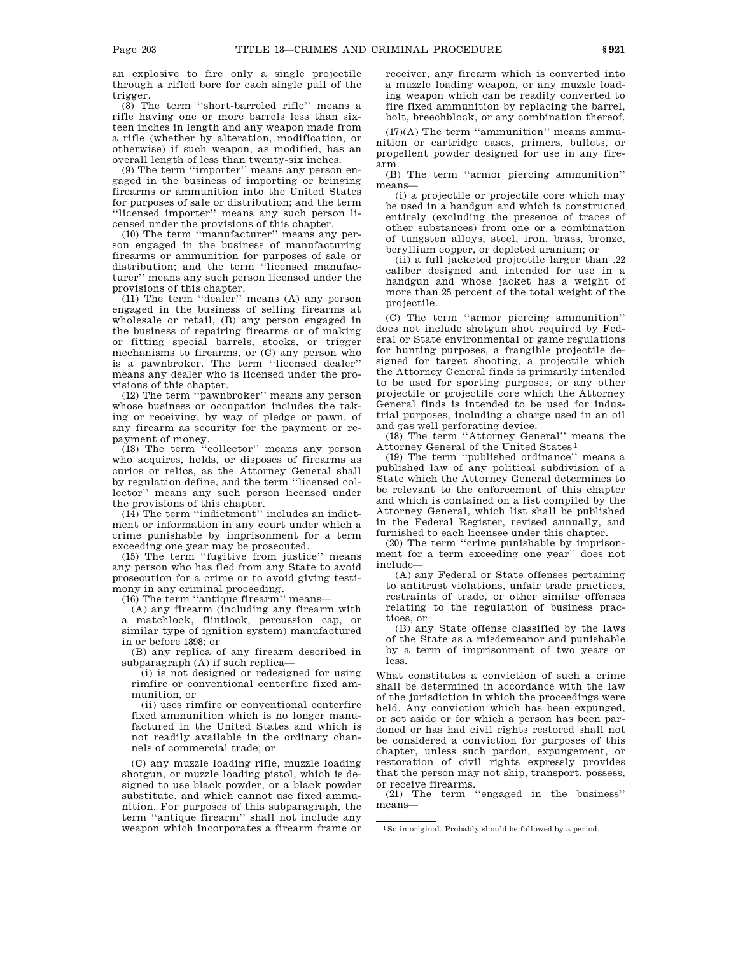an explosive to fire only a single projectile through a rifled bore for each single pull of the trigger.

(8) The term ''short-barreled rifle'' means a rifle having one or more barrels less than sixteen inches in length and any weapon made from a rifle (whether by alteration, modification, or otherwise) if such weapon, as modified, has an overall length of less than twenty-six inches.

(9) The term ''importer'' means any person engaged in the business of importing or bringing firearms or ammunition into the United States for purposes of sale or distribution; and the term ''licensed importer'' means any such person licensed under the provisions of this chapter.

(10) The term ''manufacturer'' means any person engaged in the business of manufacturing firearms or ammunition for purposes of sale or distribution; and the term ''licensed manufacturer'' means any such person licensed under the provisions of this chapter.

(11) The term ''dealer'' means (A) any person engaged in the business of selling firearms at wholesale or retail, (B) any person engaged in the business of repairing firearms or of making or fitting special barrels, stocks, or trigger mechanisms to firearms, or (C) any person who is a pawnbroker. The term ''licensed dealer'' means any dealer who is licensed under the provisions of this chapter.

(12) The term ''pawnbroker'' means any person whose business or occupation includes the taking or receiving, by way of pledge or pawn, of any firearm as security for the payment or repayment of money.

(13) The term ''collector'' means any person who acquires, holds, or disposes of firearms as curios or relics, as the Attorney General shall by regulation define, and the term ''licensed collector'' means any such person licensed under the provisions of this chapter.

(14) The term ''indictment'' includes an indictment or information in any court under which a crime punishable by imprisonment for a term exceeding one year may be prosecuted.

(15) The term ''fugitive from justice'' means any person who has fled from any State to avoid prosecution for a crime or to avoid giving testimony in any criminal proceeding.

(16) The term ''antique firearm'' means—

(A) any firearm (including any firearm with a matchlock, flintlock, percussion cap, or similar type of ignition system) manufactured in or before 1898; or

(B) any replica of any firearm described in subparagraph (A) if such replica—

(i) is not designed or redesigned for using rimfire or conventional centerfire fixed ammunition, or

(ii) uses rimfire or conventional centerfire fixed ammunition which is no longer manufactured in the United States and which is not readily available in the ordinary channels of commercial trade; or

(C) any muzzle loading rifle, muzzle loading shotgun, or muzzle loading pistol, which is designed to use black powder, or a black powder substitute, and which cannot use fixed ammunition. For purposes of this subparagraph, the term ''antique firearm'' shall not include any weapon which incorporates a firearm frame or receiver, any firearm which is converted into a muzzle loading weapon, or any muzzle loading weapon which can be readily converted to fire fixed ammunition by replacing the barrel, bolt, breechblock, or any combination thereof.

(17)(A) The term ''ammunition'' means ammunition or cartridge cases, primers, bullets, or propellent powder designed for use in any firearm.

(B) The term ''armor piercing ammunition'' means—

(i) a projectile or projectile core which may be used in a handgun and which is constructed entirely (excluding the presence of traces of other substances) from one or a combination of tungsten alloys, steel, iron, brass, bronze, beryllium copper, or depleted uranium; or

(ii) a full jacketed projectile larger than .22 caliber designed and intended for use in a handgun and whose jacket has a weight of more than 25 percent of the total weight of the projectile.

(C) The term ''armor piercing ammunition'' does not include shotgun shot required by Federal or State environmental or game regulations for hunting purposes, a frangible projectile designed for target shooting, a projectile which the Attorney General finds is primarily intended to be used for sporting purposes, or any other projectile or projectile core which the Attorney General finds is intended to be used for industrial purposes, including a charge used in an oil and gas well perforating device.

(18) The term ''Attorney General'' means the Attorney General of the United States 1

(19) The term ''published ordinance'' means a published law of any political subdivision of a State which the Attorney General determines to be relevant to the enforcement of this chapter and which is contained on a list compiled by the Attorney General, which list shall be published in the Federal Register, revised annually, and furnished to each licensee under this chapter.

(20) The term ''crime punishable by imprisonment for a term exceeding one year'' does not include—

(A) any Federal or State offenses pertaining to antitrust violations, unfair trade practices, restraints of trade, or other similar offenses relating to the regulation of business practices, or

(B) any State offense classified by the laws of the State as a misdemeanor and punishable by a term of imprisonment of two years or less.

What constitutes a conviction of such a crime shall be determined in accordance with the law of the jurisdiction in which the proceedings were held. Any conviction which has been expunged, or set aside or for which a person has been pardoned or has had civil rights restored shall not be considered a conviction for purposes of this chapter, unless such pardon, expungement, or restoration of civil rights expressly provides that the person may not ship, transport, possess, or receive firearms.

(21) The term ''engaged in the business'' means—

<sup>1</sup>So in original. Probably should be followed by a period.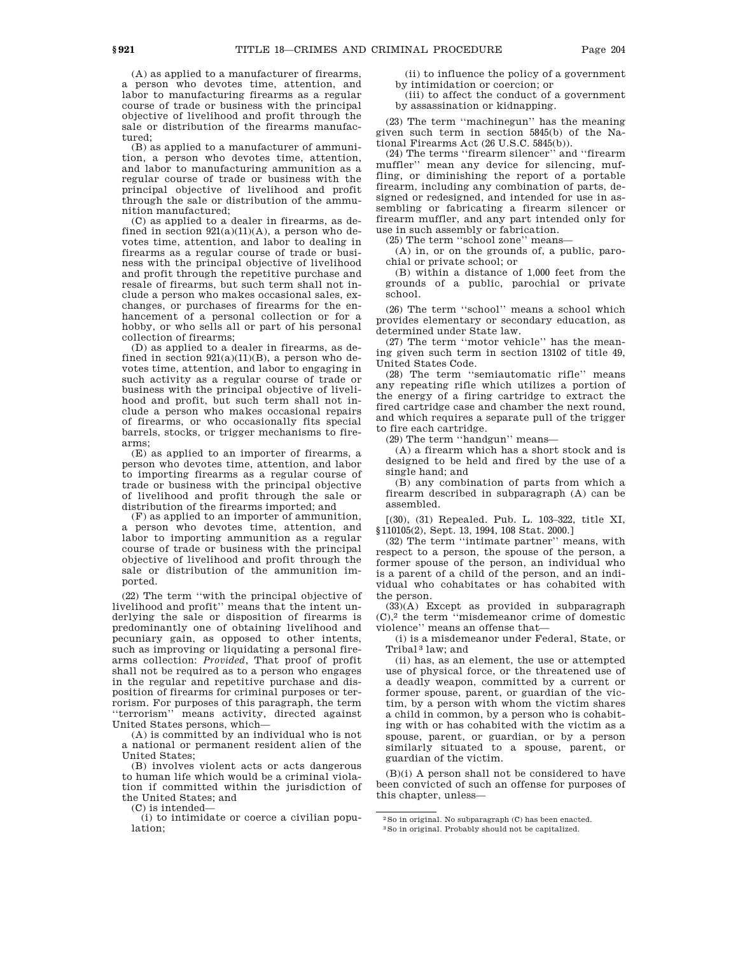(A) as applied to a manufacturer of firearms, a person who devotes time, attention, and labor to manufacturing firearms as a regular course of trade or business with the principal objective of livelihood and profit through the sale or distribution of the firearms manufactured;

(B) as applied to a manufacturer of ammunition, a person who devotes time, attention, and labor to manufacturing ammunition as a regular course of trade or business with the principal objective of livelihood and profit through the sale or distribution of the ammunition manufactured;

(C) as applied to a dealer in firearms, as defined in section  $921(a)(11)(A)$ , a person who devotes time, attention, and labor to dealing in firearms as a regular course of trade or business with the principal objective of livelihood and profit through the repetitive purchase and resale of firearms, but such term shall not include a person who makes occasional sales, exchanges, or purchases of firearms for the enhancement of a personal collection or for a hobby, or who sells all or part of his personal collection of firearms;

(D) as applied to a dealer in firearms, as defined in section  $921(a)(11)(B)$ , a person who devotes time, attention, and labor to engaging in such activity as a regular course of trade or business with the principal objective of livelihood and profit, but such term shall not include a person who makes occasional repairs of firearms, or who occasionally fits special barrels, stocks, or trigger mechanisms to firearms;

(E) as applied to an importer of firearms, a person who devotes time, attention, and labor to importing firearms as a regular course of trade or business with the principal objective of livelihood and profit through the sale or distribution of the firearms imported; and

(F) as applied to an importer of ammunition, a person who devotes time, attention, and labor to importing ammunition as a regular course of trade or business with the principal objective of livelihood and profit through the sale or distribution of the ammunition imported.

(22) The term ''with the principal objective of livelihood and profit'' means that the intent underlying the sale or disposition of firearms is predominantly one of obtaining livelihood and pecuniary gain, as opposed to other intents, such as improving or liquidating a personal firearms collection: *Provided*, That proof of profit shall not be required as to a person who engages in the regular and repetitive purchase and disposition of firearms for criminal purposes or terrorism. For purposes of this paragraph, the term ''terrorism'' means activity, directed against United States persons, which—

(A) is committed by an individual who is not a national or permanent resident alien of the United States;

(B) involves violent acts or acts dangerous to human life which would be a criminal violation if committed within the jurisdiction of the United States; and

(C) is intended—

(i) to intimidate or coerce a civilian population;

(ii) to influence the policy of a government by intimidation or coercion; or

(iii) to affect the conduct of a government by assassination or kidnapping.

(23) The term ''machinegun'' has the meaning given such term in section 5845(b) of the National Firearms Act (26 U.S.C. 5845(b)).

(24) The terms ''firearm silencer'' and ''firearm muffler'' mean any device for silencing, muffling, or diminishing the report of a portable firearm, including any combination of parts, designed or redesigned, and intended for use in assembling or fabricating a firearm silencer or firearm muffler, and any part intended only for use in such assembly or fabrication.

(25) The term ''school zone'' means—

(A) in, or on the grounds of, a public, parochial or private school; or

(B) within a distance of 1,000 feet from the grounds of a public, parochial or private school.

(26) The term ''school'' means a school which provides elementary or secondary education, as determined under State law.

(27) The term ''motor vehicle'' has the meaning given such term in section 13102 of title 49, United States Code.

(28) The term ''semiautomatic rifle'' means any repeating rifle which utilizes a portion of the energy of a firing cartridge to extract the fired cartridge case and chamber the next round, and which requires a separate pull of the trigger to fire each cartridge.

(29) The term ''handgun'' means—

(A) a firearm which has a short stock and is designed to be held and fired by the use of a single hand; and

(B) any combination of parts from which a firearm described in subparagraph (A) can be assembled.

[(30), (31) Repealed. Pub. L. 103–322, title XI, §110105(2), Sept. 13, 1994, 108 Stat. 2000.]

(32) The term ''intimate partner'' means, with respect to a person, the spouse of the person, a former spouse of the person, an individual who is a parent of a child of the person, and an individual who cohabitates or has cohabited with the person.

(33)(A) Except as provided in subparagraph (C),2 the term ''misdemeanor crime of domestic violence'' means an offense that—

(i) is a misdemeanor under Federal, State, or Tribal<sup>3</sup> law; and

(ii) has, as an element, the use or attempted use of physical force, or the threatened use of a deadly weapon, committed by a current or former spouse, parent, or guardian of the victim, by a person with whom the victim shares a child in common, by a person who is cohabiting with or has cohabited with the victim as a spouse, parent, or guardian, or by a person similarly situated to a spouse, parent, or guardian of the victim.

(B)(i) A person shall not be considered to have been convicted of such an offense for purposes of this chapter, unless—

3So in original. Probably should not be capitalized.

<sup>2</sup>So in original. No subparagraph (C) has been enacted.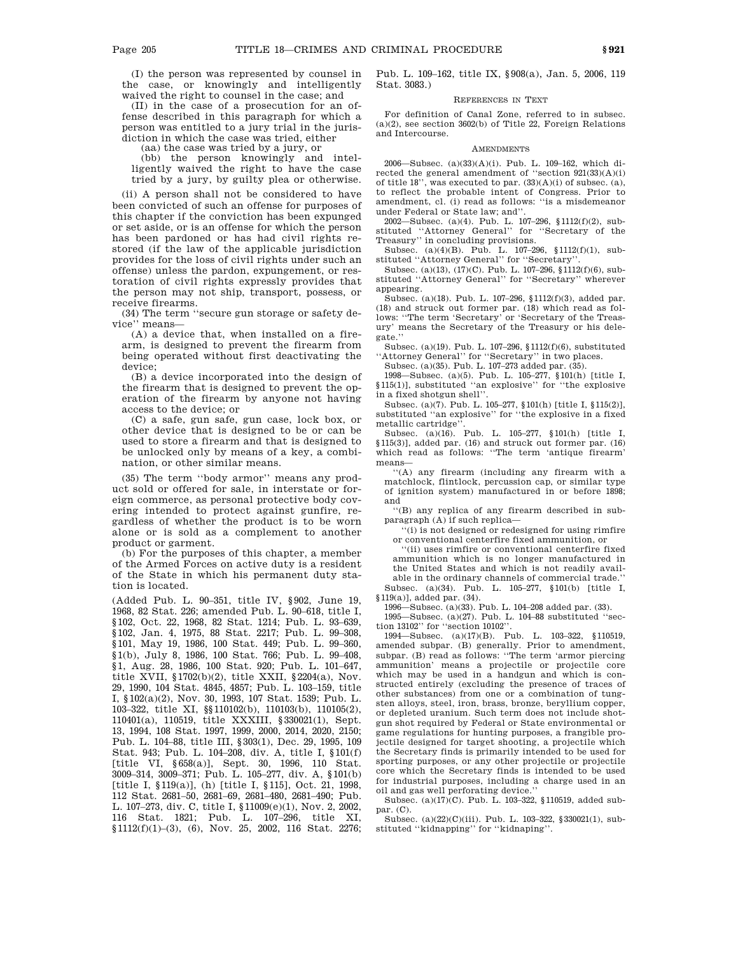(I) the person was represented by counsel in the case, or knowingly and intelligently waived the right to counsel in the case; and

(II) in the case of a prosecution for an offense described in this paragraph for which a person was entitled to a jury trial in the jurisdiction in which the case was tried, either

(aa) the case was tried by a jury, or

(bb) the person knowingly and intelligently waived the right to have the case tried by a jury, by guilty plea or otherwise.

(ii) A person shall not be considered to have been convicted of such an offense for purposes of this chapter if the conviction has been expunged or set aside, or is an offense for which the person has been pardoned or has had civil rights restored (if the law of the applicable jurisdiction provides for the loss of civil rights under such an offense) unless the pardon, expungement, or restoration of civil rights expressly provides that the person may not ship, transport, possess, or receive firearms.

(34) The term ''secure gun storage or safety device'' means—

(A) a device that, when installed on a firearm, is designed to prevent the firearm from being operated without first deactivating the device;

(B) a device incorporated into the design of the firearm that is designed to prevent the operation of the firearm by anyone not having access to the device; or

(C) a safe, gun safe, gun case, lock box, or other device that is designed to be or can be used to store a firearm and that is designed to be unlocked only by means of a key, a combination, or other similar means.

(35) The term ''body armor'' means any product sold or offered for sale, in interstate or foreign commerce, as personal protective body covering intended to protect against gunfire, regardless of whether the product is to be worn alone or is sold as a complement to another product or garment.

(b) For the purposes of this chapter, a member of the Armed Forces on active duty is a resident of the State in which his permanent duty station is located.

(Added Pub. L. 90–351, title IV, §902, June 19, 1968, 82 Stat. 226; amended Pub. L. 90–618, title I, §102, Oct. 22, 1968, 82 Stat. 1214; Pub. L. 93–639, §102, Jan. 4, 1975, 88 Stat. 2217; Pub. L. 99–308, §101, May 19, 1986, 100 Stat. 449; Pub. L. 99–360, §1(b), July 8, 1986, 100 Stat. 766; Pub. L. 99–408, §1, Aug. 28, 1986, 100 Stat. 920; Pub. L. 101–647, title XVII, §1702(b)(2), title XXII, §2204(a), Nov. 29, 1990, 104 Stat. 4845, 4857; Pub. L. 103–159, title I, §102(a)(2), Nov. 30, 1993, 107 Stat. 1539; Pub. L. 103–322, title XI, §§110102(b), 110103(b), 110105(2), 110401(a), 110519, title XXXIII, §330021(1), Sept. 13, 1994, 108 Stat. 1997, 1999, 2000, 2014, 2020, 2150; Pub. L. 104–88, title III, §303(1), Dec. 29, 1995, 109 Stat. 943; Pub. L. 104–208, div. A, title I, §101(f) [title VI, §658(a)], Sept. 30, 1996, 110 Stat. 3009–314, 3009–371; Pub. L. 105–277, div. A, §101(b) [title I, §119(a)], (h) [title I, §115], Oct. 21, 1998, 112 Stat. 2681–50, 2681–69, 2681–480, 2681–490; Pub. L. 107–273, div. C, title I, §11009(e)(1), Nov. 2, 2002, 116 Stat. 1821; Pub. L. 107–296, title XI, §1112(f)(1)–(3), (6), Nov. 25, 2002, 116 Stat. 2276;

Pub. L. 109–162, title IX, §908(a), Jan. 5, 2006, 119 Stat. 3083.)

## REFERENCES IN TEXT

For definition of Canal Zone, referred to in subsec. (a)(2), see section 3602(b) of Title 22, Foreign Relations and Intercourse.

## AMENDMENTS

2006—Subsec. (a)(33)(A)(i). Pub. L. 109–162, which directed the general amendment of "section  $921(33)(A)(i)$ of title  $18$ ", was executed to par.  $(33)(A)(i)$  of subsec.  $(a)$ , to reflect the probable intent of Congress. Prior to amendment, cl. (i) read as follows: ''is a misdemeanor under Federal or State law; and''.

2002—Subsec. (a)(4). Pub. L. 107–296, §1112(f)(2), substituted ''Attorney General'' for ''Secretary of the Treasury'' in concluding provisions.

Subsec. (a)(4)(B). Pub. L. 107–296, §1112(f)(1), substituted ''Attorney General'' for ''Secretary''.

Subsec. (a)(13), (17)(C). Pub. L. 107–296, §1112(f)(6), substituted ''Attorney General'' for ''Secretary'' wherever appearing.

Subsec. (a)(18). Pub. L. 107–296, §1112(f)(3), added par. (18) and struck out former par. (18) which read as follows: ''The term 'Secretary' or 'Secretary of the Treasury' means the Secretary of the Treasury or his delegate.''

Subsec. (a)(19). Pub. L. 107–296, §1112(f)(6), substituted "Attorney General" for "Secretary" in two places.

Subsec. (a)(35). Pub. L. 107–273 added par. (35).

1998—Subsec. (a)(5). Pub. L. 105–277, §101(h) [title I, §115(1)], substituted ''an explosive'' for ''the explosive in a fixed shotgun shell''.

Subsec. (a)(7). Pub. L. 105–277, §101(h) [title I, §115(2)], substituted ''an explosive'' for ''the explosive in a fixed metallic cartridge''.

Subsec. (a)(16). Pub. L. 105–277, §101(h) [title I, §115(3)], added par. (16) and struck out former par. (16) which read as follows: "The term 'antique firearm' means—

''(A) any firearm (including any firearm with a matchlock, flintlock, percussion cap, or similar type of ignition system) manufactured in or before 1898; and

''(B) any replica of any firearm described in subparagraph (A) if such replica—

''(i) is not designed or redesigned for using rimfire or conventional centerfire fixed ammunition, or

''(ii) uses rimfire or conventional centerfire fixed ammunition which is no longer manufactured in the United States and which is not readily available in the ordinary channels of commercial trade.''

Subsec. (a)(34). Pub. L. 105–277, §101(b) [title I, §119(a)], added par. (34).

1996—Subsec. (a)(33). Pub. L. 104–208 added par. (33).

1995—Subsec. (a)(27). Pub. L. 104–88 substituted ''section 13102'' for ''section 10102''.

1994—Subsec. (a)(17)(B). Pub. L. 103–322, §110519, amended subpar. (B) generally. Prior to amendment, subpar. (B) read as follows: ''The term 'armor piercing ammunition' means a projectile or projectile core which may be used in a handgun and which is constructed entirely (excluding the presence of traces of other substances) from one or a combination of tungsten alloys, steel, iron, brass, bronze, beryllium copper, or depleted uranium. Such term does not include shotgun shot required by Federal or State environmental or game regulations for hunting purposes, a frangible projectile designed for target shooting, a projectile which the Secretary finds is primarily intended to be used for sporting purposes, or any other projectile or projectile core which the Secretary finds is intended to be used for industrial purposes, including a charge used in an oil and gas well perforating device.

Subsec. (a)(17)(C). Pub. L. 103–322, §110519, added subpar. (C).

Subsec. (a)(22)(C)(iii). Pub. L. 103–322, §330021(1), substituted ''kidnapping'' for ''kidnaping''.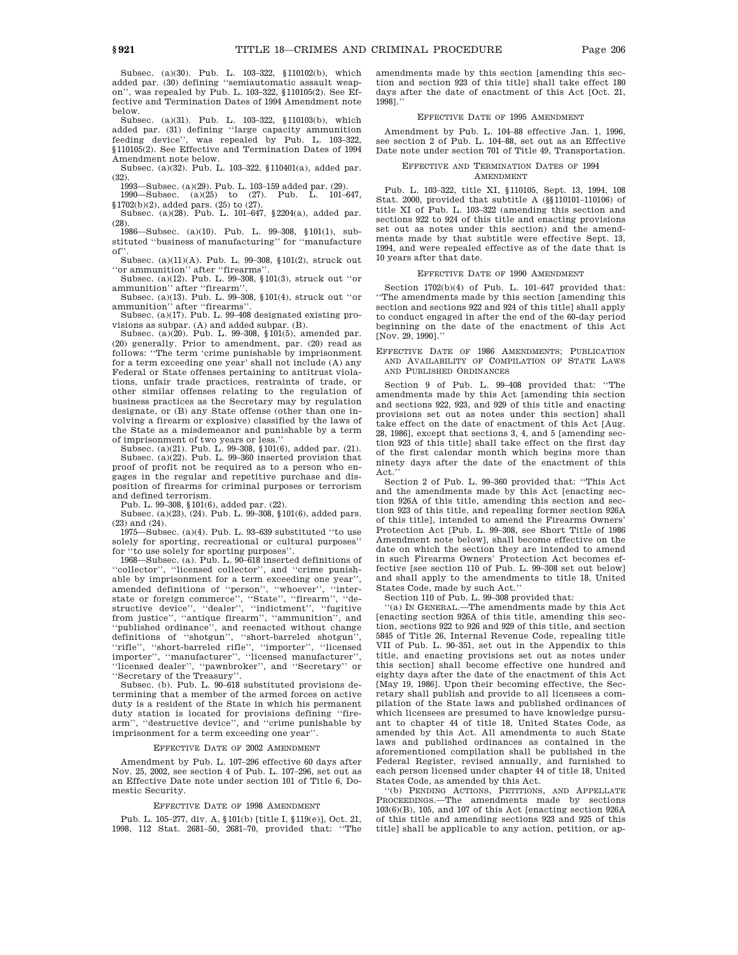Subsec. (a)(30). Pub. L. 103–322, §110102(b), which added par. (30) defining ''semiautomatic assault weapon'', was repealed by Pub. L. 103–322, §110105(2). See Effective and Termination Dates of 1994 Amendment note below.

Subsec. (a)(31). Pub. L. 103–322, §110103(b), which added par. (31) defining ''large capacity ammunition feeding device'', was repealed by Pub. L. 103–322, §110105(2). See Effective and Termination Dates of 1994 Amendment note below.

Subsec. (a)(32). Pub. L. 103–322, §110401(a), added par. (32).

1993—Subsec. (a)(29). Pub. L. 103–159 added par. (29).

1990—Subsec. (a)(25) to (27). Pub. L. 101–647, §1702(b)(2), added pars. (25) to (27). Subsec. (a)(28). Pub. L. 101–647, §2204(a), added par.

(28). 1986—Subsec. (a)(10). Pub. L. 99–308, §101(1), sub-

stituted ''business of manufacturing'' for ''manufacture of''.

Subsec. (a)(11)(A). Pub. L. 99–308, §101(2), struck out ''or ammunition'' after ''firearms''. Subsec. (a)(12). Pub. L. 99–308, §101(3), struck out ''or

ammunition'' after ''firearm''.

Subsec. (a)(13). Pub. L. 99–308, §101(4), struck out ''or ammunition'' after ''firearms''.

Subsec. (a)(17). Pub. L. 99–408 designated existing pro-

visions as subpar. (A) and added subpar. (B). Subsec. (a)(20). Pub. L. 99–308, §101(5), amended par. (20) generally. Prior to amendment, par. (20) read as follows: ''The term 'crime punishable by imprisonment for a term exceeding one year' shall not include (A) any Federal or State offenses pertaining to antitrust violations, unfair trade practices, restraints of trade, or other similar offenses relating to the regulation of business practices as the Secretary may by regulation designate, or (B) any State offense (other than one involving a firearm or explosive) classified by the laws of the State as a misdemeanor and punishable by a term of imprisonment of two years or less.

Subsec. (a)(21). Pub. L. 99–308, §101(6), added par. (21). Subsec. (a)(22). Pub. L. 99–360 inserted provision that proof of profit not be required as to a person who engages in the regular and repetitive purchase and disposition of firearms for criminal purposes or terrorism and defined terrorism.

Pub. L. 99–308, §101(6), added par. (22). Subsec. (a)(23), (24). Pub. L. 99–308, §101(6), added pars. (23) and (24).

1975—Subsec. (a)(4). Pub. L. 93–639 substituted ''to use solely for sporting, recreational or cultural purposes'' for ''to use solely for sporting purposes''.

1968—Subsec. (a). Pub. L. 90–618 inserted definitions of ''collector'', ''licensed collector'', and ''crime punishable by imprisonment for a term exceeding one year'', amended definitions of ''person'', ''whoever'', ''interstate or foreign commerce'', ''State'', ''firearm'', ''destructive device'', ''dealer'', ''indictment'', ''fugitive from justice'', ''antique firearm'', ''ammunition'', and ''published ordinance'', and reenacted without change definitions of ''shotgun'', ''short-barreled shotgun'', ''rifle'', ''short-barreled rifle'', ''importer'', ''licensed importer'', ''manufacturer'', ''licensed manufacturer'', ''licensed dealer'', ''pawnbroker'', and ''Secretary'' or ''Secretary of the Treasury''.

Subsec. (b). Pub. L. 90–618 substituted provisions determining that a member of the armed forces on active duty is a resident of the State in which his permanent duty station is located for provisions defining ''firearm'', ''destructive device'', and ''crime punishable by imprisonment for a term exceeding one year''.

## EFFECTIVE DATE OF 2002 AMENDMENT

Amendment by Pub. L. 107–296 effective 60 days after Nov. 25, 2002, see section 4 of Pub. L. 107–296, set out as an Effective Date note under section 101 of Title 6, Domestic Security.

#### EFFECTIVE DATE OF 1998 AMENDMENT

Pub. L. 105–277, div. A, §101(b) [title I, §119(e)], Oct. 21, 1998, 112 Stat. 2681–50, 2681–70, provided that: ''The amendments made by this section [amending this section and section 923 of this title] shall take effect 180 days after the date of enactment of this Act [Oct. 21, 1998].''

# EFFECTIVE DATE OF 1995 AMENDMENT

Amendment by Pub. L. 104–88 effective Jan. 1, 1996, see section 2 of Pub. L. 104–88, set out as an Effective Date note under section 701 of Title 49, Transportation.

### EFFECTIVE AND TERMINATION DATES OF 1994 AMENDMENT

Pub. L. 103–322, title XI, §110105, Sept. 13, 1994, 108 Stat. 2000, provided that subtitle A (§§110101–110106) of title XI of Pub. L. 103–322 (amending this section and sections 922 to 924 of this title and enacting provisions set out as notes under this section) and the amendments made by that subtitle were effective Sept. 13, 1994, and were repealed effective as of the date that is 10 years after that date.

## EFFECTIVE DATE OF 1990 AMENDMENT

Section  $1702(b)(4)$  of Pub. L.  $101-647$  provided that: ''The amendments made by this section [amending this section and sections 922 and 924 of this title] shall apply to conduct engaged in after the end of the 60-day period beginning on the date of the enactment of this Act [Nov. 29, 1990].''

EFFECTIVE DATE OF 1986 AMENDMENTS; PUBLICATION AND AVAILABILITY OF COMPILATION OF STATE LAWS AND PUBLISHED ORDINANCES

Section 9 of Pub. L. 99–408 provided that: ''The amendments made by this Act [amending this section and sections 922, 923, and 929 of this title and enacting provisions set out as notes under this section] shall take effect on the date of enactment of this Act [Aug. 28, 1986], except that sections 3, 4, and 5 [amending section 923 of this title] shall take effect on the first day of the first calendar month which begins more than ninety days after the date of the enactment of this Act.''

Section 2 of Pub. L. 99–360 provided that: ''This Act and the amendments made by this Act [enacting section 926A of this title, amending this section and section 923 of this title, and repealing former section 926A of this title], intended to amend the Firearms Owners' Protection Act [Pub. L. 99–308, see Short Title of 1986 Amendment note below], shall become effective on the date on which the section they are intended to amend in such Firearms Owners' Protection Act becomes effective [see section 110 of Pub. L. 99–308 set out below] and shall apply to the amendments to title 18, United States Code, made by such Act.''

Section 110 of Pub. L. 99–308 provided that:

''(a) IN GENERAL.—The amendments made by this Act [enacting section 926A of this title, amending this section, sections 922 to 926 and 929 of this title, and section 5845 of Title 26, Internal Revenue Code, repealing title VII of Pub. L. 90–351, set out in the Appendix to this title, and enacting provisions set out as notes under this section] shall become effective one hundred and eighty days after the date of the enactment of this Act [May 19, 1986]. Upon their becoming effective, the Secretary shall publish and provide to all licensees a compilation of the State laws and published ordinances of which licensees are presumed to have knowledge pursuant to chapter 44 of title 18, United States Code, as amended by this Act. All amendments to such State laws and published ordinances as contained in the aforementioned compilation shall be published in the Federal Register, revised annually, and furnished to each person licensed under chapter 44 of title 18, United States Code, as amended by this Act.

''(b) PENDING ACTIONS, PETITIONS, AND APPELLATE PROCEEDINGS.—The amendments made by sections  $103(6)(\mathrm{B}),$   $105,$  and  $107$  of this Act [enacting section  $926\mathrm{A}$ of this title and amending sections 923 and 925 of this title] shall be applicable to any action, petition, or ap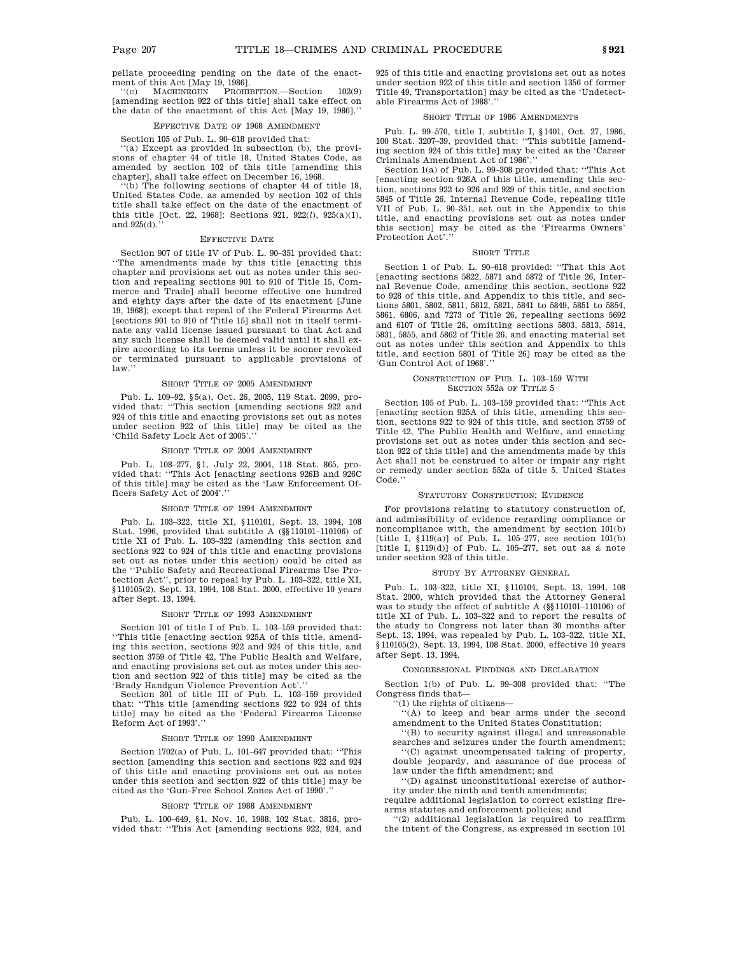pellate proceeding pending on the date of the enact-

ment of this Act [May 19, 1986]. ''(c) MACHINEGUN PROHIBITION.—Section 102(9) [amending section 922 of this title] shall take effect on the date of the enactment of this Act [May 19, 1986].''

### EFFECTIVE DATE OF 1968 AMENDMENT

# Section 105 of Pub. L. 90–618 provided that:

''(a) Except as provided in subsection (b), the provisions of chapter 44 of title 18, United States Code, as amended by section 102 of this title [amending this chapter], shall take effect on December 16, 1968.

'(b) The following sections of chapter 44 of title 18, United States Code, as amended by section 102 of this title shall take effect on the date of the enactment of this title [Oct. 22, 1968]: Sections 921, 922(*l*), 925(a)(1), and 925(d).

## EFFECTIVE DATE

Section 907 of title IV of Pub. L. 90–351 provided that: ''The amendments made by this title [enacting this chapter and provisions set out as notes under this section and repealing sections 901 to 910 of Title 15, Commerce and Trade] shall become effective one hundred and eighty days after the date of its enactment [June 19, 1968]; except that repeal of the Federal Firearms Act [sections 901 to 910 of Title 15] shall not in itself terminate any valid license issued pursuant to that Act and any such license shall be deemed valid until it shall expire according to its terms unless it be sooner revoked or terminated pursuant to applicable provisions of law.''

## SHORT TITLE OF 2005 AMENDMENT

Pub. L. 109–92, §5(a), Oct. 26, 2005, 119 Stat. 2099, provided that: ''This section [amending sections 922 and 924 of this title and enacting provisions set out as notes under section 922 of this title] may be cited as the 'Child Safety Lock Act of 2005'.

## SHORT TITLE OF 2004 AMENDMENT

Pub. L. 108–277, §1, July 22, 2004, 118 Stat. 865, provided that: ''This Act [enacting sections 926B and 926C of this title] may be cited as the 'Law Enforcement Officers Safety Act of 2004'.''

#### SHORT TITLE OF 1994 AMENDMENT

Pub. L. 103–322, title XI, §110101, Sept. 13, 1994, 108 Stat. 1996, provided that subtitle A (§§110101–110106) of title XI of Pub. L. 103–322 (amending this section and sections 922 to 924 of this title and enacting provisions set out as notes under this section) could be cited as the ''Public Safety and Recreational Firearms Use Protection Act'', prior to repeal by Pub. L. 103–322, title XI, §110105(2), Sept. 13, 1994, 108 Stat. 2000, effective 10 years after Sept. 13, 1994.

#### SHORT TITLE OF 1993 AMENDMENT

Section 101 of title I of Pub. L. 103–159 provided that: ''This title [enacting section 925A of this title, amending this section, sections 922 and 924 of this title, and section 3759 of Title 42, The Public Health and Welfare, and enacting provisions set out as notes under this section and section 922 of this title] may be cited as the 'Brady Handgun Violence Prevention Act'.''

Section 301 of title III of Pub. L. 103–159 provided that: ''This title [amending sections 922 to 924 of this title] may be cited as the 'Federal Firearms License Reform Act of 1993'.''

### SHORT TITLE OF 1990 AMENDMENT

Section 1702(a) of Pub. L. 101–647 provided that: ''This section [amending this section and sections 922 and 924 of this title and enacting provisions set out as notes under this section and section 922 of this title] may be cited as the 'Gun-Free School Zones Act of 1990'.

#### SHORT TITLE OF 1988 AMENDMENT

Pub. L. 100–649, §1, Nov. 10, 1988, 102 Stat. 3816, provided that: ''This Act [amending sections 922, 924, and

925 of this title and enacting provisions set out as notes under section 922 of this title and section 1356 of former Title 49, Transportation] may be cited as the 'Undetectable Firearms Act of 1988'.''

# SHORT TITLE OF 1986 AMENDMENTS

Pub. L. 99–570, title I, subtitle I, §1401, Oct. 27, 1986, 100 Stat. 3207–39, provided that: ''This subtitle [amending section 924 of this title] may be cited as the 'Career Criminals Amendment Act of 1986'.''

Section 1(a) of Pub. L. 99–308 provided that: ''This Act [enacting section 926A of this title, amending this section, sections 922 to 926 and 929 of this title, and section 5845 of Title 26, Internal Revenue Code, repealing title VII of Pub. L. 90–351, set out in the Appendix to this title, and enacting provisions set out as notes under this section] may be cited as the 'Firearms Owners' Protection Act'.''

#### SHORT TITLE

Section 1 of Pub. L. 90–618 provided: ''That this Act [enacting sections 5822, 5871 and 5872 of Title 26, Internal Revenue Code, amending this section, sections 922 to 928 of this title, and Appendix to this title, and sections 5801, 5802, 5811, 5812, 5821, 5841 to 5849, 5851 to 5854, 5861, 6806, and 7273 of Title 26, repealing sections 5692 and 6107 of Title 26, omitting sections 5803, 5813, 5814, 5831, 5855, and 5862 of Title 26, and enacting material set out as notes under this section and Appendix to this title, and section 5801 of Title 26] may be cited as the 'Gun Control Act of 1968'.''

## CONSTRUCTION OF PUB. L. 103–159 WITH SECTION 552a OF TITLE 5

Section 105 of Pub. L. 103–159 provided that: ''This Act [enacting section 925A of this title, amending this section, sections 922 to 924 of this title, and section 3759 of Title 42, The Public Health and Welfare, and enacting provisions set out as notes under this section and section 922 of this title] and the amendments made by this Act shall not be construed to alter or impair any right or remedy under section 552a of title 5, United States Code.''

#### STATUTORY CONSTRUCTION; EVIDENCE

For provisions relating to statutory construction of, and admissibility of evidence regarding compliance or noncompliance with, the amendment by section 101(b) [title I, §119(a)] of Pub. L. 105–277, see section 101(b) [title I, §119(d)] of Pub. L. 105–277, set out as a note under section 923 of this title.

## STUDY BY ATTORNEY GENERAL

Pub. L. 103–322, title XI, §110104, Sept. 13, 1994, 108 Stat. 2000, which provided that the Attorney General was to study the effect of subtitle A (§§110101–110106) of title XI of Pub. L. 103–322 and to report the results of the study to Congress not later than 30 months after Sept. 13, 1994, was repealed by Pub. L. 103–322, title XI, §110105(2), Sept. 13, 1994, 108 Stat. 2000, effective 10 years after Sept. 13, 1994.

#### CONGRESSIONAL FINDINGS AND DECLARATION

Section 1(b) of Pub. L. 99–308 provided that: ''The Congress finds that—

 $(1)$  the rights of citizens—

''(A) to keep and bear arms under the second amendment to the United States Constitution;

''(B) to security against illegal and unreasonable searches and seizures under the fourth amendment; ''(C) against uncompensated taking of property,

double jeopardy, and assurance of due process of law under the fifth amendment; and

''(D) against unconstitutional exercise of authority under the ninth and tenth amendments; require additional legislation to correct existing fire-

arms statutes and enforcement policies; and

''(2) additional legislation is required to reaffirm the intent of the Congress, as expressed in section 101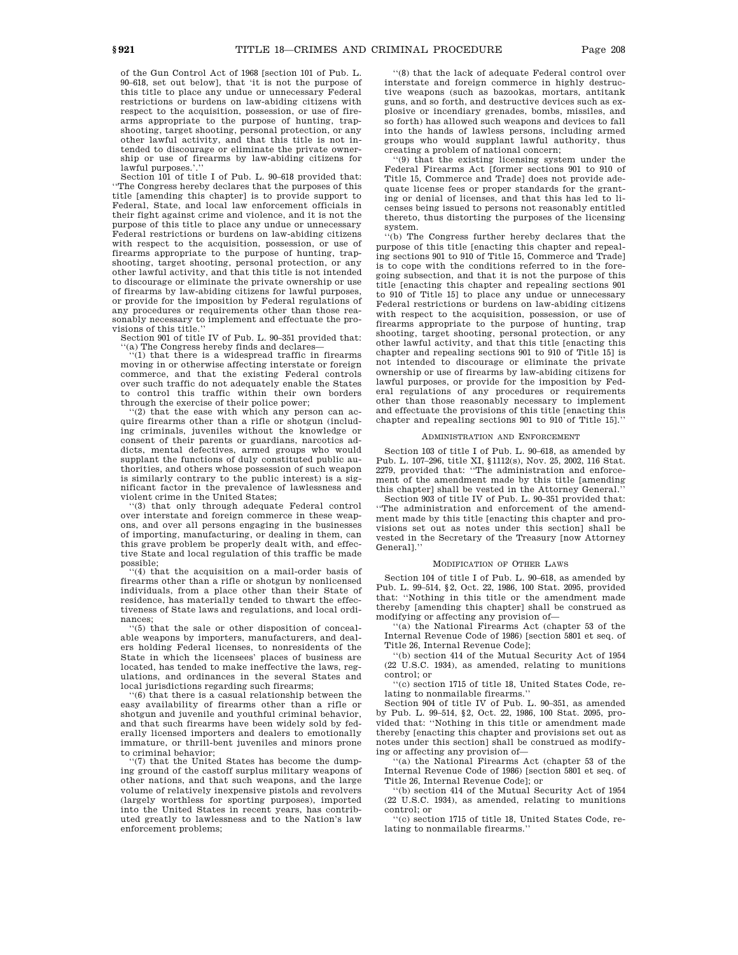of the Gun Control Act of 1968 [section 101 of Pub. L. 90–618, set out below], that 'it is not the purpose of this title to place any undue or unnecessary Federal restrictions or burdens on law-abiding citizens with respect to the acquisition, possession, or use of firearms appropriate to the purpose of hunting, trapshooting, target shooting, personal protection, or any other lawful activity, and that this title is not intended to discourage or eliminate the private ownership or use of firearms by law-abiding citizens for lawful purposes.

Section 101 of title I of Pub. L. 90–618 provided that: ''The Congress hereby declares that the purposes of this title [amending this chapter] is to provide support to Federal, State, and local law enforcement officials in their fight against crime and violence, and it is not the purpose of this title to place any undue or unnecessary Federal restrictions or burdens on law-abiding citizens with respect to the acquisition, possession, or use of firearms appropriate to the purpose of hunting, trapshooting, target shooting, personal protection, or any other lawful activity, and that this title is not intended to discourage or eliminate the private ownership or use of firearms by law-abiding citizens for lawful purposes, or provide for the imposition by Federal regulations of any procedures or requirements other than those reasonably necessary to implement and effectuate the pro-visions of this title.''

Section 901 of title IV of Pub. L. 90–351 provided that:

''(a) The Congress hereby finds and declares— ''(1) that there is a widespread traffic in firearms moving in or otherwise affecting interstate or foreign commerce, and that the existing Federal controls over such traffic do not adequately enable the States to control this traffic within their own borders through the exercise of their police power;

''(2) that the ease with which any person can acquire firearms other than a rifle or shotgun (including criminals, juveniles without the knowledge or consent of their parents or guardians, narcotics addicts, mental defectives, armed groups who would supplant the functions of duly constituted public authorities, and others whose possession of such weapon is similarly contrary to the public interest) is a significant factor in the prevalence of lawlessness and violent crime in the United States;

'(3) that only through adequate Federal control over interstate and foreign commerce in these weapons, and over all persons engaging in the businesses of importing, manufacturing, or dealing in them, can this grave problem be properly dealt with, and effective State and local regulation of this traffic be made possible;

''(4) that the acquisition on a mail-order basis of firearms other than a rifle or shotgun by nonlicensed individuals, from a place other than their State of residence, has materially tended to thwart the effectiveness of State laws and regulations, and local ordinances;

 $\cdot$ <sup>''(5)</sup> that the sale or other disposition of concealable weapons by importers, manufacturers, and dealers holding Federal licenses, to nonresidents of the State in which the licensees' places of business are located, has tended to make ineffective the laws, regulations, and ordinances in the several States and local jurisdictions regarding such firearms;

''(6) that there is a casual relationship between the easy availability of firearms other than a rifle or shotgun and juvenile and youthful criminal behavior, and that such firearms have been widely sold by federally licensed importers and dealers to emotionally immature, or thrill-bent juveniles and minors prone to criminal behavior; ''(7) that the United States has become the dump-

ing ground of the castoff surplus military weapons of other nations, and that such weapons, and the large volume of relatively inexpensive pistols and revolvers (largely worthless for sporting purposes), imported into the United States in recent years, has contributed greatly to lawlessness and to the Nation's law enforcement problems;

''(8) that the lack of adequate Federal control over interstate and foreign commerce in highly destructive weapons (such as bazookas, mortars, antitank guns, and so forth, and destructive devices such as explosive or incendiary grenades, bombs, missiles, and so forth) has allowed such weapons and devices to fall into the hands of lawless persons, including armed groups who would supplant lawful authority, thus creating a problem of national concern;

''(9) that the existing licensing system under the Federal Firearms Act [former sections 901 to 910 of Title 15, Commerce and Trade] does not provide adequate license fees or proper standards for the granting or denial of licenses, and that this has led to licenses being issued to persons not reasonably entitled thereto, thus distorting the purposes of the licensing system.

 $\dddot{f}$ (b) The Congress further hereby declares that the purpose of this title [enacting this chapter and repealing sections 901 to 910 of Title 15, Commerce and Trade] is to cope with the conditions referred to in the foregoing subsection, and that it is not the purpose of this title [enacting this chapter and repealing sections 901 to 910 of Title 15] to place any undue or unnecessary Federal restrictions or burdens on law-abiding citizens with respect to the acquisition, possession, or use of firearms appropriate to the purpose of hunting, trap shooting, target shooting, personal protection, or any other lawful activity, and that this title [enacting this chapter and repealing sections 901 to 910 of Title 15] is not intended to discourage or eliminate the private ownership or use of firearms by law-abiding citizens for lawful purposes, or provide for the imposition by Federal regulations of any procedures or requirements other than those reasonably necessary to implement and effectuate the provisions of this title [enacting this chapter and repealing sections 901 to 910 of Title 15].''

## ADMINISTRATION AND ENFORCEMENT

Section 103 of title I of Pub. L. 90–618, as amended by Pub. L. 107–296, title XI, §1112(s), Nov. 25, 2002, 116 Stat. 2279, provided that: ''The administration and enforcement of the amendment made by this title [amending this chapter] shall be vested in the Attorney General.''

Section 903 of title IV of Pub. L. 90–351 provided that: ''The administration and enforcement of the amendment made by this title [enacting this chapter and provisions set out as notes under this section] shall be vested in the Secretary of the Treasury [now Attorney General].''

#### MODIFICATION OF OTHER LAWS

Section 104 of title I of Pub. L. 90–618, as amended by Pub. L. 99–514, §2, Oct. 22, 1986, 100 Stat. 2095, provided that: ''Nothing in this title or the amendment made thereby [amending this chapter] shall be construed as modifying or affecting any provision of—

''(a) the National Firearms Act (chapter 53 of the Internal Revenue Code of 1986) [section 5801 et seq. of Title 26, Internal Revenue Code];

''(b) section 414 of the Mutual Security Act of 1954 (22 U.S.C. 1934), as amended, relating to munitions control; or

''(c) section 1715 of title 18, United States Code, relating to nonmailable firearms.'

Section 904 of title IV of Pub. L. 90–351, as amended by Pub. L. 99–514, §2, Oct. 22, 1986, 100 Stat. 2095, provided that: ''Nothing in this title or amendment made thereby [enacting this chapter and provisions set out as notes under this section] shall be construed as modifying or affecting any provision of—

'(a) the National Firearms Act (chapter 53 of the Internal Revenue Code of 1986) [section 5801 et seq. of Title 26, Internal Revenue Code]; or

''(b) section 414 of the Mutual Security Act of 1954 (22 U.S.C. 1934), as amended, relating to munitions control; or

''(c) section 1715 of title 18, United States Code, relating to nonmailable firearms.''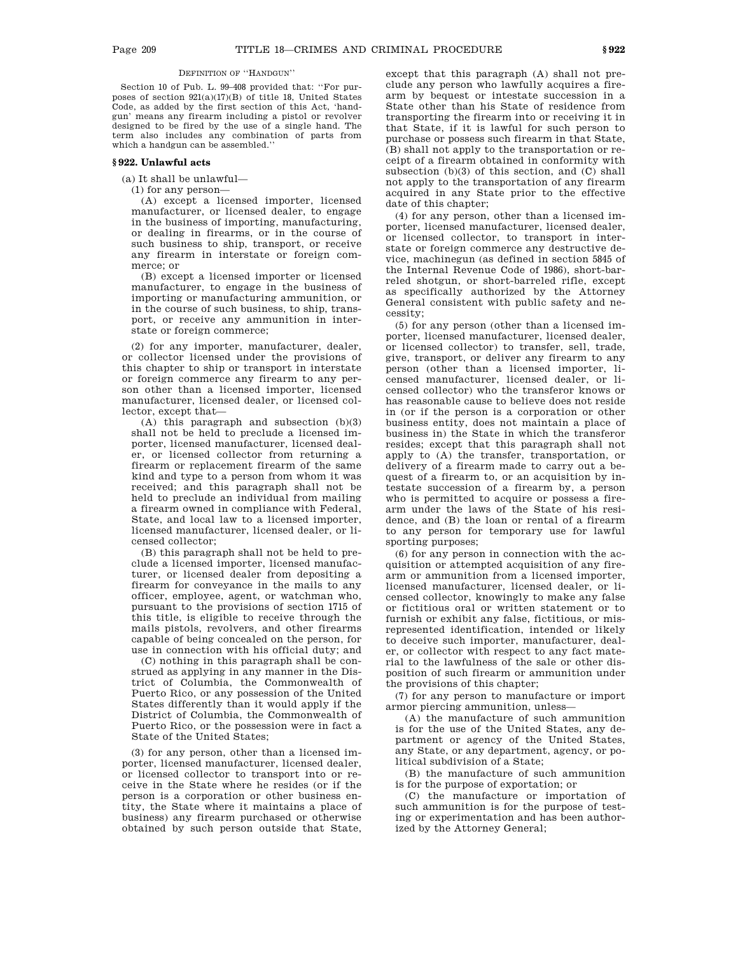## DEFINITION OF ''HANDGUN''

Section 10 of Pub. L. 99–408 provided that: ''For purposes of section 921(a)(17)(B) of title 18, United States Code, as added by the first section of this Act, 'handgun' means any firearm including a pistol or revolver designed to be fired by the use of a single hand. The term also includes any combination of parts from which a handgun can be assembled.''

## **§ 922. Unlawful acts**

(a) It shall be unlawful—

(1) for any person—

(A) except a licensed importer, licensed manufacturer, or licensed dealer, to engage in the business of importing, manufacturing, or dealing in firearms, or in the course of such business to ship, transport, or receive any firearm in interstate or foreign commerce; or

(B) except a licensed importer or licensed manufacturer, to engage in the business of importing or manufacturing ammunition, or in the course of such business, to ship, transport, or receive any ammunition in interstate or foreign commerce;

(2) for any importer, manufacturer, dealer, or collector licensed under the provisions of this chapter to ship or transport in interstate or foreign commerce any firearm to any person other than a licensed importer, licensed manufacturer, licensed dealer, or licensed collector, except that—

(A) this paragraph and subsection (b)(3) shall not be held to preclude a licensed importer, licensed manufacturer, licensed dealer, or licensed collector from returning a firearm or replacement firearm of the same kind and type to a person from whom it was received; and this paragraph shall not be held to preclude an individual from mailing a firearm owned in compliance with Federal, State, and local law to a licensed importer, licensed manufacturer, licensed dealer, or licensed collector;

(B) this paragraph shall not be held to preclude a licensed importer, licensed manufacturer, or licensed dealer from depositing a firearm for conveyance in the mails to any officer, employee, agent, or watchman who, pursuant to the provisions of section 1715 of this title, is eligible to receive through the mails pistols, revolvers, and other firearms capable of being concealed on the person, for use in connection with his official duty; and

(C) nothing in this paragraph shall be construed as applying in any manner in the District of Columbia, the Commonwealth of Puerto Rico, or any possession of the United States differently than it would apply if the District of Columbia, the Commonwealth of Puerto Rico, or the possession were in fact a State of the United States;

(3) for any person, other than a licensed importer, licensed manufacturer, licensed dealer, or licensed collector to transport into or receive in the State where he resides (or if the person is a corporation or other business entity, the State where it maintains a place of business) any firearm purchased or otherwise obtained by such person outside that State,

except that this paragraph (A) shall not preclude any person who lawfully acquires a firearm by bequest or intestate succession in a State other than his State of residence from transporting the firearm into or receiving it in that State, if it is lawful for such person to purchase or possess such firearm in that State, (B) shall not apply to the transportation or receipt of a firearm obtained in conformity with subsection (b)(3) of this section, and (C) shall not apply to the transportation of any firearm acquired in any State prior to the effective date of this chapter;

(4) for any person, other than a licensed importer, licensed manufacturer, licensed dealer, or licensed collector, to transport in interstate or foreign commerce any destructive device, machinegun (as defined in section 5845 of the Internal Revenue Code of 1986), short-barreled shotgun, or short-barreled rifle, except as specifically authorized by the Attorney General consistent with public safety and necessity;

(5) for any person (other than a licensed importer, licensed manufacturer, licensed dealer, or licensed collector) to transfer, sell, trade, give, transport, or deliver any firearm to any person (other than a licensed importer, licensed manufacturer, licensed dealer, or licensed collector) who the transferor knows or has reasonable cause to believe does not reside in (or if the person is a corporation or other business entity, does not maintain a place of business in) the State in which the transferor resides; except that this paragraph shall not apply to (A) the transfer, transportation, or delivery of a firearm made to carry out a bequest of a firearm to, or an acquisition by intestate succession of a firearm by, a person who is permitted to acquire or possess a firearm under the laws of the State of his residence, and (B) the loan or rental of a firearm to any person for temporary use for lawful sporting purposes;

(6) for any person in connection with the acquisition or attempted acquisition of any firearm or ammunition from a licensed importer, licensed manufacturer, licensed dealer, or licensed collector, knowingly to make any false or fictitious oral or written statement or to furnish or exhibit any false, fictitious, or misrepresented identification, intended or likely to deceive such importer, manufacturer, dealer, or collector with respect to any fact material to the lawfulness of the sale or other disposition of such firearm or ammunition under the provisions of this chapter;

(7) for any person to manufacture or import armor piercing ammunition, unless—

(A) the manufacture of such ammunition is for the use of the United States, any department or agency of the United States, any State, or any department, agency, or political subdivision of a State;

(B) the manufacture of such ammunition is for the purpose of exportation; or

(C) the manufacture or importation of such ammunition is for the purpose of testing or experimentation and has been authorized by the Attorney General;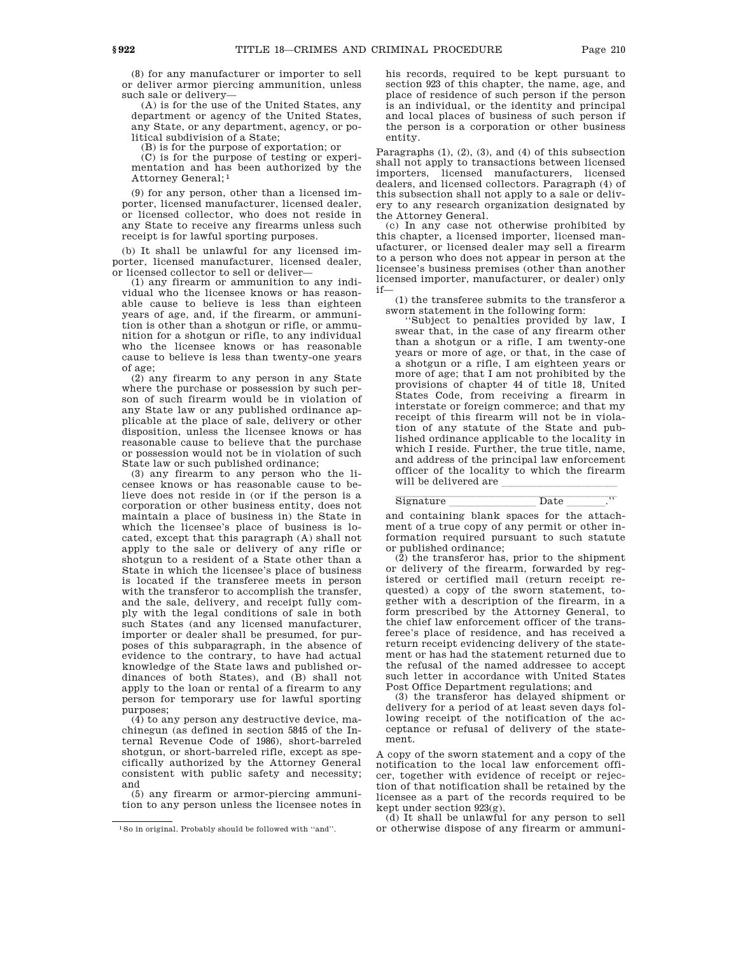(8) for any manufacturer or importer to sell or deliver armor piercing ammunition, unless such sale or delivery—

(A) is for the use of the United States, any department or agency of the United States, any State, or any department, agency, or political subdivision of a State;

(B) is for the purpose of exportation; or

(C) is for the purpose of testing or experimentation and has been authorized by the Attorney General; 1

(9) for any person, other than a licensed importer, licensed manufacturer, licensed dealer, or licensed collector, who does not reside in any State to receive any firearms unless such receipt is for lawful sporting purposes.

(b) It shall be unlawful for any licensed importer, licensed manufacturer, licensed dealer, or licensed collector to sell or deliver—

(1) any firearm or ammunition to any individual who the licensee knows or has reasonable cause to believe is less than eighteen years of age, and, if the firearm, or ammunition is other than a shotgun or rifle, or ammunition for a shotgun or rifle, to any individual who the licensee knows or has reasonable cause to believe is less than twenty-one years of age;

(2) any firearm to any person in any State where the purchase or possession by such person of such firearm would be in violation of any State law or any published ordinance applicable at the place of sale, delivery or other disposition, unless the licensee knows or has reasonable cause to believe that the purchase or possession would not be in violation of such State law or such published ordinance;

(3) any firearm to any person who the licensee knows or has reasonable cause to believe does not reside in (or if the person is a corporation or other business entity, does not maintain a place of business in) the State in which the licensee's place of business is located, except that this paragraph (A) shall not apply to the sale or delivery of any rifle or shotgun to a resident of a State other than a State in which the licensee's place of business is located if the transferee meets in person with the transferor to accomplish the transfer, and the sale, delivery, and receipt fully comply with the legal conditions of sale in both such States (and any licensed manufacturer, importer or dealer shall be presumed, for purposes of this subparagraph, in the absence of evidence to the contrary, to have had actual knowledge of the State laws and published ordinances of both States), and (B) shall not apply to the loan or rental of a firearm to any person for temporary use for lawful sporting purposes;

(4) to any person any destructive device, machinegun (as defined in section 5845 of the Internal Revenue Code of 1986), short-barreled shotgun, or short-barreled rifle, except as specifically authorized by the Attorney General consistent with public safety and necessity; and

(5) any firearm or armor-piercing ammunition to any person unless the licensee notes in his records, required to be kept pursuant to section 923 of this chapter, the name, age, and place of residence of such person if the person is an individual, or the identity and principal and local places of business of such person if the person is a corporation or other business entity.

Paragraphs (1), (2), (3), and (4) of this subsection shall not apply to transactions between licensed importers, licensed manufacturers, licensed dealers, and licensed collectors. Paragraph (4) of this subsection shall not apply to a sale or delivery to any research organization designated by the Attorney General.

(c) In any case not otherwise prohibited by this chapter, a licensed importer, licensed manufacturer, or licensed dealer may sell a firearm to a person who does not appear in person at the licensee's business premises (other than another licensed importer, manufacturer, or dealer) only if—

(1) the transferee submits to the transferor a sworn statement in the following form:

''Subject to penalties provided by law, I swear that, in the case of any firearm other than a shotgun or a rifle, I am twenty-one years or more of age, or that, in the case of a shotgun or a rifle, I am eighteen years or more of age; that I am not prohibited by the provisions of chapter 44 of title 18, United States Code, from receiving a firearm in interstate or foreign commerce; and that my receipt of this firearm will not be in violation of any statute of the State and published ordinance applicable to the locality in which I reside. Further, the true title, name, and address of the principal law enforcement officer of the locality to which the firearm will be delivered are

Signature Date ...

Signature <u>late</u> Date blank spaces for the attach-<br>and containing blank spaces for the attachment of a true copy of any permit or other information required pursuant to such statute or published ordinance;

(2) the transferor has, prior to the shipment or delivery of the firearm, forwarded by registered or certified mail (return receipt requested) a copy of the sworn statement, together with a description of the firearm, in a form prescribed by the Attorney General, to the chief law enforcement officer of the transferee's place of residence, and has received a return receipt evidencing delivery of the statement or has had the statement returned due to the refusal of the named addressee to accept such letter in accordance with United States Post Office Department regulations; and

(3) the transferor has delayed shipment or delivery for a period of at least seven days following receipt of the notification of the acceptance or refusal of delivery of the statement.

A copy of the sworn statement and a copy of the notification to the local law enforcement officer, together with evidence of receipt or rejection of that notification shall be retained by the licensee as a part of the records required to be kept under section 923(g).

(d) It shall be unlawful for any person to sell or otherwise dispose of any firearm or ammuni-

<sup>1</sup>So in original. Probably should be followed with ''and''.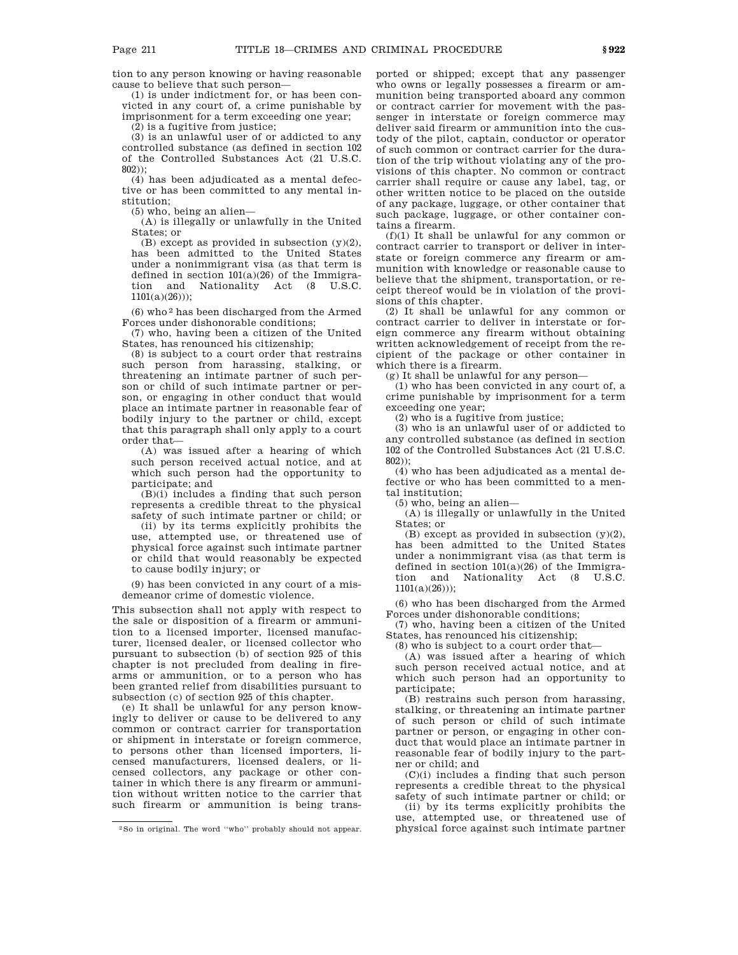tion to any person knowing or having reasonable cause to believe that such person—

(1) is under indictment for, or has been convicted in any court of, a crime punishable by imprisonment for a term exceeding one year;

 $(2)$  is a fugitive from justice;

(3) is an unlawful user of or addicted to any controlled substance (as defined in section 102 of the Controlled Substances Act (21 U.S.C. 802));

(4) has been adjudicated as a mental defective or has been committed to any mental institution;

(5) who, being an alien—

(A) is illegally or unlawfully in the United States; or

(B) except as provided in subsection  $(y)(2)$ , has been admitted to the United States under a nonimmigrant visa (as that term is defined in section  $101(a)(26)$  of the Immigration and Nationality Act (8 U.S.C. tion and Nationality Act (8 U.S.C.  $1101(a)(26))$ 

(6) who 2 has been discharged from the Armed Forces under dishonorable conditions;

(7) who, having been a citizen of the United States, has renounced his citizenship;

(8) is subject to a court order that restrains such person from harassing, stalking, or threatening an intimate partner of such person or child of such intimate partner or person, or engaging in other conduct that would place an intimate partner in reasonable fear of bodily injury to the partner or child, except that this paragraph shall only apply to a court order that—

(A) was issued after a hearing of which such person received actual notice, and at which such person had the opportunity to participate; and

(B)(i) includes a finding that such person represents a credible threat to the physical safety of such intimate partner or child; or

(ii) by its terms explicitly prohibits the use, attempted use, or threatened use of physical force against such intimate partner or child that would reasonably be expected to cause bodily injury; or

(9) has been convicted in any court of a misdemeanor crime of domestic violence.

This subsection shall not apply with respect to the sale or disposition of a firearm or ammunition to a licensed importer, licensed manufacturer, licensed dealer, or licensed collector who pursuant to subsection (b) of section 925 of this chapter is not precluded from dealing in firearms or ammunition, or to a person who has been granted relief from disabilities pursuant to subsection (c) of section 925 of this chapter.

(e) It shall be unlawful for any person knowingly to deliver or cause to be delivered to any common or contract carrier for transportation or shipment in interstate or foreign commerce, to persons other than licensed importers, licensed manufacturers, licensed dealers, or licensed collectors, any package or other container in which there is any firearm or ammunition without written notice to the carrier that such firearm or ammunition is being transported or shipped; except that any passenger who owns or legally possesses a firearm or ammunition being transported aboard any common or contract carrier for movement with the passenger in interstate or foreign commerce may deliver said firearm or ammunition into the custody of the pilot, captain, conductor or operator of such common or contract carrier for the duration of the trip without violating any of the provisions of this chapter. No common or contract carrier shall require or cause any label, tag, or other written notice to be placed on the outside of any package, luggage, or other container that such package, luggage, or other container contains a firearm.

(f)(1) It shall be unlawful for any common or contract carrier to transport or deliver in interstate or foreign commerce any firearm or ammunition with knowledge or reasonable cause to believe that the shipment, transportation, or receipt thereof would be in violation of the provisions of this chapter.

(2) It shall be unlawful for any common or contract carrier to deliver in interstate or foreign commerce any firearm without obtaining written acknowledgement of receipt from the recipient of the package or other container in which there is a firearm.

(g) It shall be unlawful for any person—

(1) who has been convicted in any court of, a crime punishable by imprisonment for a term exceeding one year;

(2) who is a fugitive from justice;

(3) who is an unlawful user of or addicted to any controlled substance (as defined in section 102 of the Controlled Substances Act (21 U.S.C. 802));

(4) who has been adjudicated as a mental defective or who has been committed to a mental institution;

(5) who, being an alien—

(A) is illegally or unlawfully in the United States; or

(B) except as provided in subsection  $(y)(2)$ , has been admitted to the United States under a nonimmigrant visa (as that term is defined in section  $101(a)(26)$  of the Immigration and Nationality Act (8 U.S.C. 1101(a)(26)));

(6) who has been discharged from the Armed Forces under dishonorable conditions;

(7) who, having been a citizen of the United States, has renounced his citizenship;

(8) who is subject to a court order that—

(A) was issued after a hearing of which such person received actual notice, and at which such person had an opportunity to participate;

(B) restrains such person from harassing, stalking, or threatening an intimate partner of such person or child of such intimate partner or person, or engaging in other conduct that would place an intimate partner in reasonable fear of bodily injury to the partner or child; and

(C)(i) includes a finding that such person represents a credible threat to the physical safety of such intimate partner or child; or

(ii) by its terms explicitly prohibits the use, attempted use, or threatened use of physical force against such intimate partner

<sup>2</sup>So in original. The word ''who'' probably should not appear.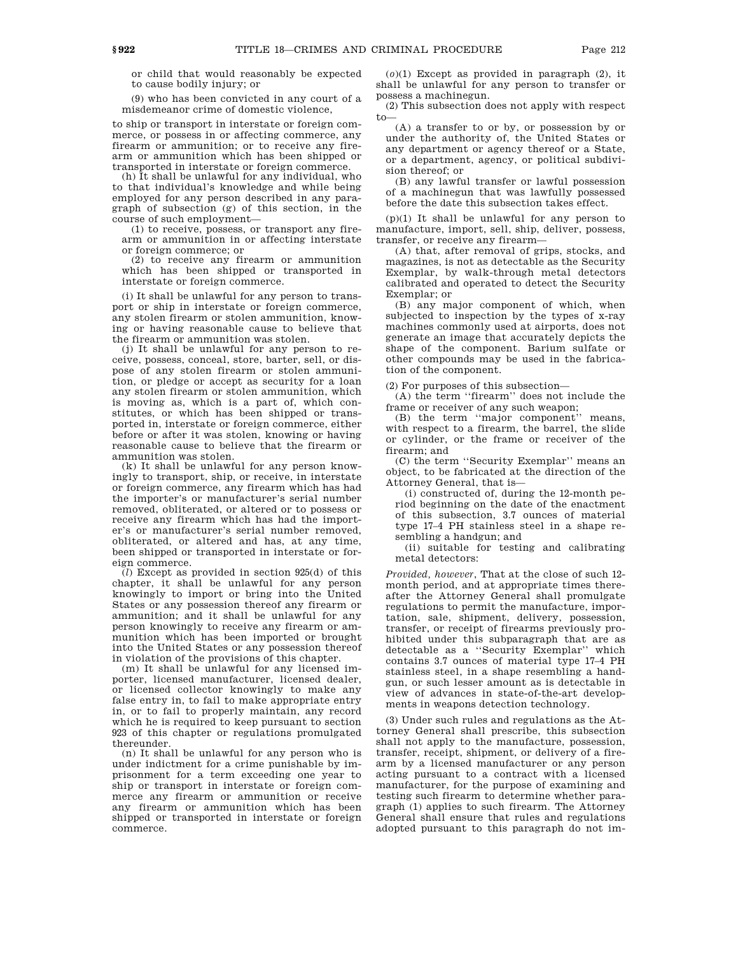or child that would reasonably be expected to cause bodily injury; or

(9) who has been convicted in any court of a misdemeanor crime of domestic violence,

to ship or transport in interstate or foreign commerce, or possess in or affecting commerce, any firearm or ammunition; or to receive any firearm or ammunition which has been shipped or transported in interstate or foreign commerce.

(h) It shall be unlawful for any individual, who to that individual's knowledge and while being employed for any person described in any paragraph of subsection (g) of this section, in the course of such employment—

(1) to receive, possess, or transport any firearm or ammunition in or affecting interstate or foreign commerce; or

(2) to receive any firearm or ammunition which has been shipped or transported in interstate or foreign commerce.

(i) It shall be unlawful for any person to transport or ship in interstate or foreign commerce, any stolen firearm or stolen ammunition, knowing or having reasonable cause to believe that the firearm or ammunition was stolen.

(j) It shall be unlawful for any person to receive, possess, conceal, store, barter, sell, or dispose of any stolen firearm or stolen ammunition, or pledge or accept as security for a loan any stolen firearm or stolen ammunition, which is moving as, which is a part of, which constitutes, or which has been shipped or transported in, interstate or foreign commerce, either before or after it was stolen, knowing or having reasonable cause to believe that the firearm or ammunition was stolen.

(k) It shall be unlawful for any person knowingly to transport, ship, or receive, in interstate or foreign commerce, any firearm which has had the importer's or manufacturer's serial number removed, obliterated, or altered or to possess or receive any firearm which has had the importer's or manufacturer's serial number removed, obliterated, or altered and has, at any time, been shipped or transported in interstate or foreign commerce.

(*l*) Except as provided in section 925(d) of this chapter, it shall be unlawful for any person knowingly to import or bring into the United States or any possession thereof any firearm or ammunition; and it shall be unlawful for any person knowingly to receive any firearm or ammunition which has been imported or brought into the United States or any possession thereof in violation of the provisions of this chapter.

(m) It shall be unlawful for any licensed importer, licensed manufacturer, licensed dealer, or licensed collector knowingly to make any false entry in, to fail to make appropriate entry in, or to fail to properly maintain, any record which he is required to keep pursuant to section 923 of this chapter or regulations promulgated thereunder.

(n) It shall be unlawful for any person who is under indictment for a crime punishable by imprisonment for a term exceeding one year to ship or transport in interstate or foreign commerce any firearm or ammunition or receive any firearm or ammunition which has been shipped or transported in interstate or foreign commerce.

 $(0)(1)$  Except as provided in paragraph  $(2)$ , it shall be unlawful for any person to transfer or possess a machinegun.

(2) This subsection does not apply with respect to—

(A) a transfer to or by, or possession by or under the authority of, the United States or any department or agency thereof or a State, or a department, agency, or political subdivision thereof; or

(B) any lawful transfer or lawful possession of a machinegun that was lawfully possessed before the date this subsection takes effect.

(p)(1) It shall be unlawful for any person to manufacture, import, sell, ship, deliver, possess, transfer, or receive any firearm—

(A) that, after removal of grips, stocks, and magazines, is not as detectable as the Security Exemplar, by walk-through metal detectors calibrated and operated to detect the Security Exemplar; or

(B) any major component of which, when subjected to inspection by the types of x-ray machines commonly used at airports, does not generate an image that accurately depicts the shape of the component. Barium sulfate or other compounds may be used in the fabrication of the component.

(2) For purposes of this subsection—

(A) the term ''firearm'' does not include the frame or receiver of any such weapon;

(B) the term ''major component'' means, with respect to a firearm, the barrel, the slide or cylinder, or the frame or receiver of the firearm; and

(C) the term ''Security Exemplar'' means an object, to be fabricated at the direction of the Attorney General, that is—

(i) constructed of, during the 12-month period beginning on the date of the enactment of this subsection, 3.7 ounces of material type 17–4 PH stainless steel in a shape resembling a handgun; and

(ii) suitable for testing and calibrating metal detectors:

*Provided, however*, That at the close of such 12 month period, and at appropriate times thereafter the Attorney General shall promulgate regulations to permit the manufacture, importation, sale, shipment, delivery, possession, transfer, or receipt of firearms previously prohibited under this subparagraph that are as detectable as a ''Security Exemplar'' which contains 3.7 ounces of material type 17–4 PH stainless steel, in a shape resembling a handgun, or such lesser amount as is detectable in view of advances in state-of-the-art developments in weapons detection technology.

(3) Under such rules and regulations as the Attorney General shall prescribe, this subsection shall not apply to the manufacture, possession, transfer, receipt, shipment, or delivery of a firearm by a licensed manufacturer or any person acting pursuant to a contract with a licensed manufacturer, for the purpose of examining and testing such firearm to determine whether paragraph (1) applies to such firearm. The Attorney General shall ensure that rules and regulations adopted pursuant to this paragraph do not im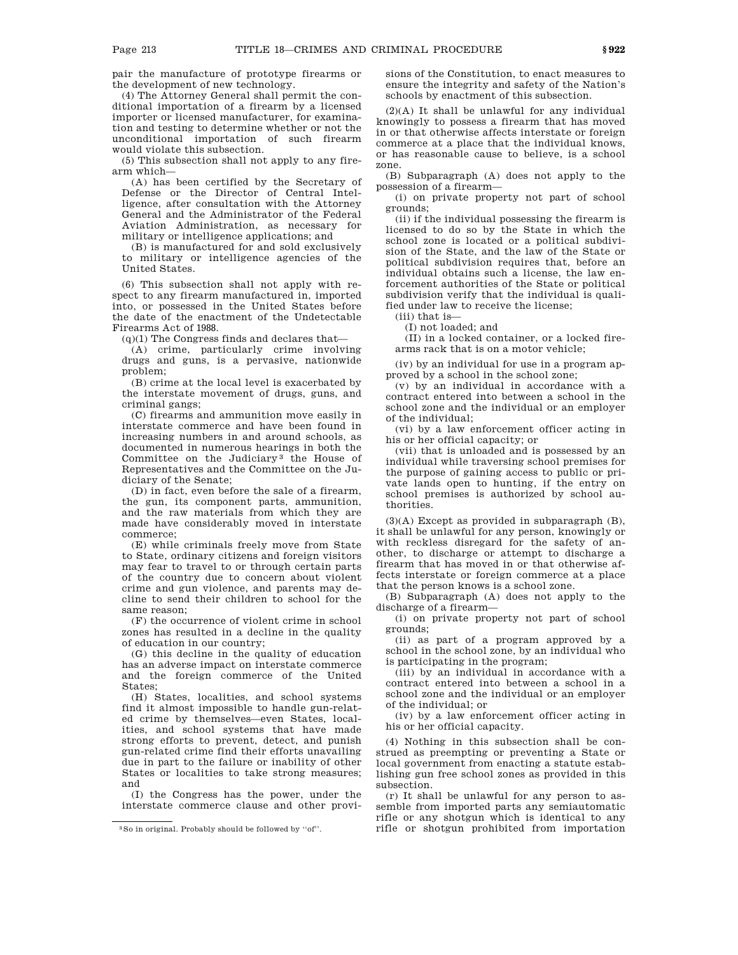pair the manufacture of prototype firearms or the development of new technology.

(4) The Attorney General shall permit the conditional importation of a firearm by a licensed importer or licensed manufacturer, for examination and testing to determine whether or not the unconditional importation of such firearm would violate this subsection.

(5) This subsection shall not apply to any firearm which—

(A) has been certified by the Secretary of Defense or the Director of Central Intelligence, after consultation with the Attorney General and the Administrator of the Federal Aviation Administration, as necessary for military or intelligence applications; and

(B) is manufactured for and sold exclusively to military or intelligence agencies of the United States.

(6) This subsection shall not apply with respect to any firearm manufactured in, imported into, or possessed in the United States before the date of the enactment of the Undetectable Firearms Act of 1988.

 $(q)(1)$  The Congress finds and declares that—

(A) crime, particularly crime involving drugs and guns, is a pervasive, nationwide problem;

(B) crime at the local level is exacerbated by the interstate movement of drugs, guns, and criminal gangs;

(C) firearms and ammunition move easily in interstate commerce and have been found in increasing numbers in and around schools, as documented in numerous hearings in both the Committee on the Judiciary3 the House of Representatives and the Committee on the Judiciary of the Senate;

(D) in fact, even before the sale of a firearm, the gun, its component parts, ammunition, and the raw materials from which they are made have considerably moved in interstate commerce;

(E) while criminals freely move from State to State, ordinary citizens and foreign visitors may fear to travel to or through certain parts of the country due to concern about violent crime and gun violence, and parents may decline to send their children to school for the same reason;

(F) the occurrence of violent crime in school zones has resulted in a decline in the quality of education in our country;

(G) this decline in the quality of education has an adverse impact on interstate commerce and the foreign commerce of the United States;

(H) States, localities, and school systems find it almost impossible to handle gun-related crime by themselves—even States, localities, and school systems that have made strong efforts to prevent, detect, and punish gun-related crime find their efforts unavailing due in part to the failure or inability of other States or localities to take strong measures; and

(I) the Congress has the power, under the interstate commerce clause and other provisions of the Constitution, to enact measures to ensure the integrity and safety of the Nation's schools by enactment of this subsection.

(2)(A) It shall be unlawful for any individual knowingly to possess a firearm that has moved in or that otherwise affects interstate or foreign commerce at a place that the individual knows, or has reasonable cause to believe, is a school zone.

(B) Subparagraph (A) does not apply to the possession of a firearm—

(i) on private property not part of school grounds;

(ii) if the individual possessing the firearm is licensed to do so by the State in which the school zone is located or a political subdivision of the State, and the law of the State or political subdivision requires that, before an individual obtains such a license, the law enforcement authorities of the State or political subdivision verify that the individual is qualified under law to receive the license;

(iii) that is—

(I) not loaded; and

(II) in a locked container, or a locked firearms rack that is on a motor vehicle;

(iv) by an individual for use in a program approved by a school in the school zone;

(v) by an individual in accordance with a contract entered into between a school in the school zone and the individual or an employer of the individual;

(vi) by a law enforcement officer acting in his or her official capacity; or

(vii) that is unloaded and is possessed by an individual while traversing school premises for the purpose of gaining access to public or private lands open to hunting, if the entry on school premises is authorized by school authorities.

(3)(A) Except as provided in subparagraph (B), it shall be unlawful for any person, knowingly or with reckless disregard for the safety of another, to discharge or attempt to discharge a firearm that has moved in or that otherwise affects interstate or foreign commerce at a place that the person knows is a school zone.

(B) Subparagraph (A) does not apply to the discharge of a firearm—

(i) on private property not part of school grounds;

(ii) as part of a program approved by a school in the school zone, by an individual who is participating in the program;

(iii) by an individual in accordance with a contract entered into between a school in a school zone and the individual or an employer of the individual; or

(iv) by a law enforcement officer acting in his or her official capacity.

(4) Nothing in this subsection shall be construed as preempting or preventing a State or local government from enacting a statute establishing gun free school zones as provided in this subsection.

(r) It shall be unlawful for any person to assemble from imported parts any semiautomatic rifle or any shotgun which is identical to any rifle or shotgun prohibited from importation

<sup>3</sup>So in original. Probably should be followed by ''of''.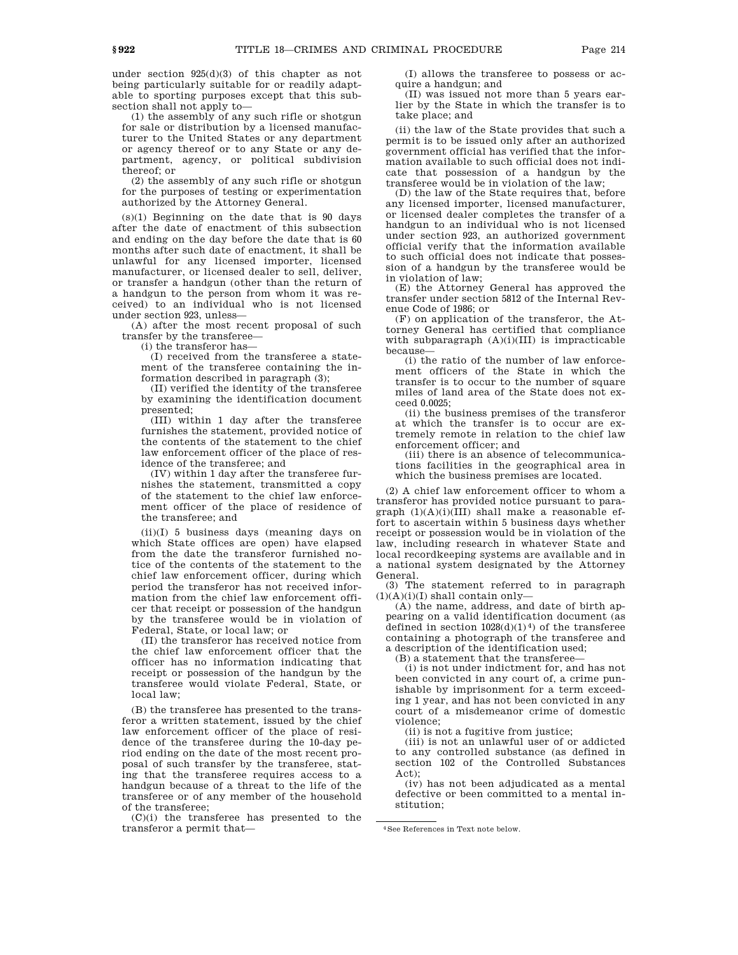under section 925(d)(3) of this chapter as not being particularly suitable for or readily adaptable to sporting purposes except that this subsection shall not apply to—

(1) the assembly of any such rifle or shotgun for sale or distribution by a licensed manufacturer to the United States or any department or agency thereof or to any State or any department, agency, or political subdivision thereof; or

(2) the assembly of any such rifle or shotgun for the purposes of testing or experimentation authorized by the Attorney General.

(s)(1) Beginning on the date that is 90 days after the date of enactment of this subsection and ending on the day before the date that is 60 months after such date of enactment, it shall be unlawful for any licensed importer, licensed manufacturer, or licensed dealer to sell, deliver, or transfer a handgun (other than the return of a handgun to the person from whom it was received) to an individual who is not licensed under section 923, unless—

(A) after the most recent proposal of such transfer by the transferee—

(i) the transferor has—

(I) received from the transferee a statement of the transferee containing the information described in paragraph (3);

(II) verified the identity of the transferee by examining the identification document presented;

(III) within 1 day after the transferee furnishes the statement, provided notice of the contents of the statement to the chief law enforcement officer of the place of residence of the transferee; and

(IV) within 1 day after the transferee furnishes the statement, transmitted a copy of the statement to the chief law enforcement officer of the place of residence of the transferee; and

(ii)(I) 5 business days (meaning days on which State offices are open) have elapsed from the date the transferor furnished notice of the contents of the statement to the chief law enforcement officer, during which period the transferor has not received information from the chief law enforcement officer that receipt or possession of the handgun by the transferee would be in violation of Federal, State, or local law; or

(II) the transferor has received notice from the chief law enforcement officer that the officer has no information indicating that receipt or possession of the handgun by the transferee would violate Federal, State, or local law;

(B) the transferee has presented to the transferor a written statement, issued by the chief law enforcement officer of the place of residence of the transferee during the 10-day period ending on the date of the most recent proposal of such transfer by the transferee, stating that the transferee requires access to a handgun because of a threat to the life of the transferee or of any member of the household of the transferee;

(C)(i) the transferee has presented to the transferor a permit that—

(I) allows the transferee to possess or acquire a handgun; and

(II) was issued not more than 5 years earlier by the State in which the transfer is to take place; and

(ii) the law of the State provides that such a permit is to be issued only after an authorized government official has verified that the information available to such official does not indicate that possession of a handgun by the transferee would be in violation of the law;

(D) the law of the State requires that, before any licensed importer, licensed manufacturer, or licensed dealer completes the transfer of a handgun to an individual who is not licensed under section 923, an authorized government official verify that the information available to such official does not indicate that possession of a handgun by the transferee would be in violation of law;

(E) the Attorney General has approved the transfer under section 5812 of the Internal Revenue Code of 1986; or

(F) on application of the transferor, the Attorney General has certified that compliance with subparagraph  $(A)(i)(III)$  is impracticable because—

(i) the ratio of the number of law enforcement officers of the State in which the transfer is to occur to the number of square miles of land area of the State does not exceed 0.0025;

(ii) the business premises of the transferor at which the transfer is to occur are extremely remote in relation to the chief law enforcement officer; and

(iii) there is an absence of telecommunications facilities in the geographical area in which the business premises are located.

(2) A chief law enforcement officer to whom a transferor has provided notice pursuant to paragraph (1)(A)(i)(III) shall make a reasonable effort to ascertain within 5 business days whether receipt or possession would be in violation of the law, including research in whatever State and local recordkeeping systems are available and in a national system designated by the Attorney General.

(3) The statement referred to in paragraph  $(1)(A)(i)(I)$  shall contain only-

(A) the name, address, and date of birth appearing on a valid identification document (as defined in section  $1028(d)(1)^4$  of the transferee containing a photograph of the transferee and a description of the identification used;

(B) a statement that the transferee—

(i) is not under indictment for, and has not been convicted in any court of, a crime punishable by imprisonment for a term exceeding 1 year, and has not been convicted in any court of a misdemeanor crime of domestic violence;

(ii) is not a fugitive from justice;

(iii) is not an unlawful user of or addicted to any controlled substance (as defined in section 102 of the Controlled Substances Act);

(iv) has not been adjudicated as a mental defective or been committed to a mental institution;

<sup>4</sup>See References in Text note below.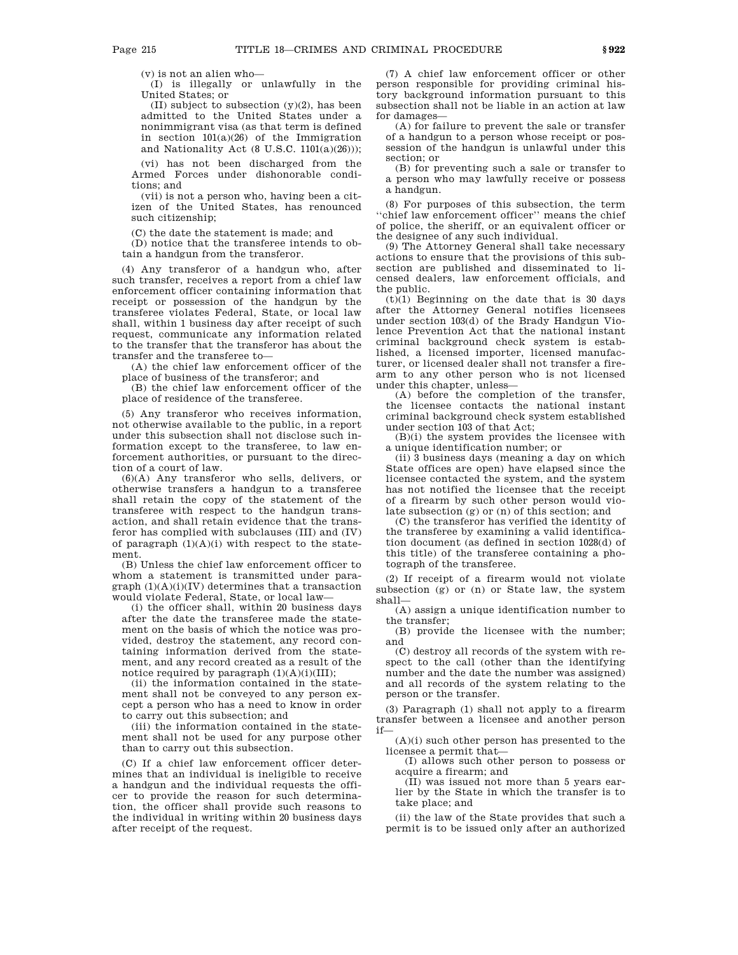(v) is not an alien who—

(I) is illegally or unlawfully in the United States; or

(II) subject to subsection  $(y)(2)$ , has been admitted to the United States under a nonimmigrant visa (as that term is defined in section  $101(a)(26)$  of the Immigration and Nationality Act  $(8 \text{ U.S.C. } 1101(a)(26))$ ;

(vi) has not been discharged from the Armed Forces under dishonorable conditions; and

(vii) is not a person who, having been a citizen of the United States, has renounced such citizenship;

(C) the date the statement is made; and

(D) notice that the transferee intends to obtain a handgun from the transferor.

(4) Any transferor of a handgun who, after such transfer, receives a report from a chief law enforcement officer containing information that receipt or possession of the handgun by the transferee violates Federal, State, or local law shall, within 1 business day after receipt of such request, communicate any information related to the transfer that the transferor has about the transfer and the transferee to—

(A) the chief law enforcement officer of the place of business of the transferor; and

(B) the chief law enforcement officer of the place of residence of the transferee.

(5) Any transferor who receives information, not otherwise available to the public, in a report under this subsection shall not disclose such information except to the transferee, to law enforcement authorities, or pursuant to the direction of a court of law.

(6)(A) Any transferor who sells, delivers, or otherwise transfers a handgun to a transferee shall retain the copy of the statement of the transferee with respect to the handgun transaction, and shall retain evidence that the transferor has complied with subclauses (III) and (IV) of paragraph  $(1)(A)(i)$  with respect to the statement.

(B) Unless the chief law enforcement officer to whom a statement is transmitted under para $graph (1)(A)(i)(IV)$  determines that a transaction would violate Federal, State, or local law—

(i) the officer shall, within 20 business days after the date the transferee made the statement on the basis of which the notice was provided, destroy the statement, any record containing information derived from the statement, and any record created as a result of the notice required by paragraph (1)(A)(i)(III);

(ii) the information contained in the statement shall not be conveyed to any person except a person who has a need to know in order to carry out this subsection; and

(iii) the information contained in the statement shall not be used for any purpose other than to carry out this subsection.

(C) If a chief law enforcement officer determines that an individual is ineligible to receive a handgun and the individual requests the officer to provide the reason for such determination, the officer shall provide such reasons to the individual in writing within 20 business days after receipt of the request.

(7) A chief law enforcement officer or other person responsible for providing criminal history background information pursuant to this subsection shall not be liable in an action at law for damages—

(A) for failure to prevent the sale or transfer of a handgun to a person whose receipt or possession of the handgun is unlawful under this section; or

(B) for preventing such a sale or transfer to a person who may lawfully receive or possess a handgun.

(8) For purposes of this subsection, the term ''chief law enforcement officer'' means the chief of police, the sheriff, or an equivalent officer or the designee of any such individual.

(9) The Attorney General shall take necessary actions to ensure that the provisions of this subsection are published and disseminated to licensed dealers, law enforcement officials, and the public.

 $(t)(1)$  Beginning on the date that is 30 days after the Attorney General notifies licensees under section 103(d) of the Brady Handgun Violence Prevention Act that the national instant criminal background check system is established, a licensed importer, licensed manufacturer, or licensed dealer shall not transfer a firearm to any other person who is not licensed under this chapter, unless—

(A) before the completion of the transfer, the licensee contacts the national instant criminal background check system established under section 103 of that Act;

(B)(i) the system provides the licensee with a unique identification number; or

(ii) 3 business days (meaning a day on which State offices are open) have elapsed since the licensee contacted the system, and the system has not notified the licensee that the receipt of a firearm by such other person would violate subsection (g) or (n) of this section; and

(C) the transferor has verified the identity of the transferee by examining a valid identification document (as defined in section 1028(d) of this title) of the transferee containing a photograph of the transferee.

(2) If receipt of a firearm would not violate subsection (g) or (n) or State law, the system shall—

(A) assign a unique identification number to the transfer;

(B) provide the licensee with the number; and

(C) destroy all records of the system with respect to the call (other than the identifying number and the date the number was assigned) and all records of the system relating to the person or the transfer.

(3) Paragraph (1) shall not apply to a firearm transfer between a licensee and another person if—

(A)(i) such other person has presented to the licensee a permit that—

(I) allows such other person to possess or acquire a firearm; and

(II) was issued not more than 5 years earlier by the State in which the transfer is to take place; and

(ii) the law of the State provides that such a permit is to be issued only after an authorized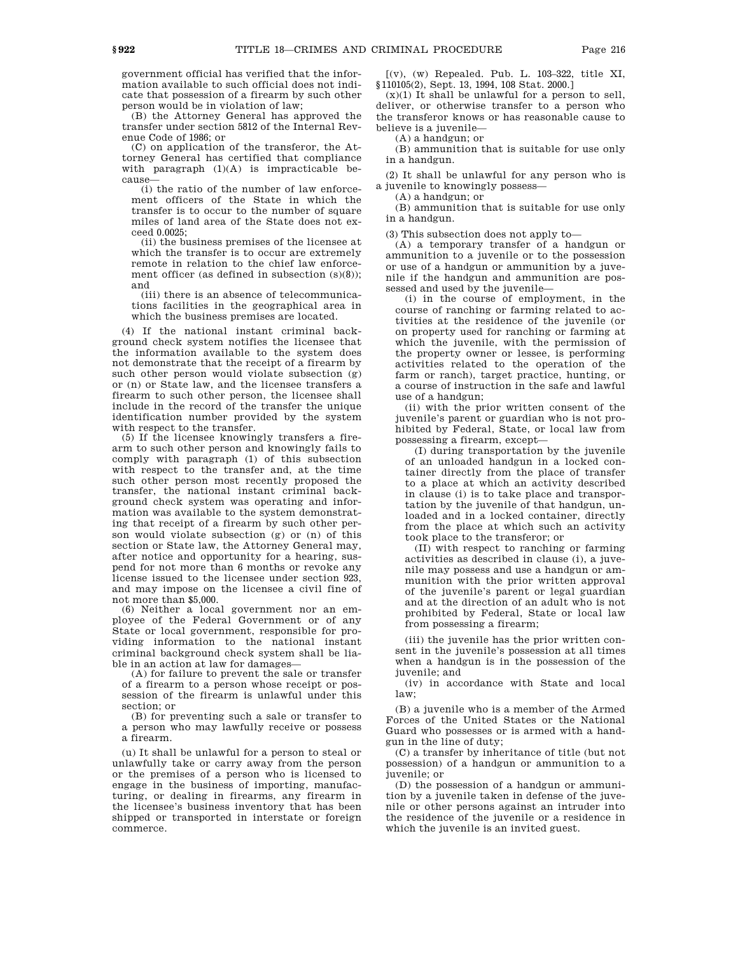government official has verified that the information available to such official does not indicate that possession of a firearm by such other person would be in violation of law;

(B) the Attorney General has approved the transfer under section 5812 of the Internal Revenue Code of 1986; or

(C) on application of the transferor, the Attorney General has certified that compliance with paragraph  $(1)(A)$  is impracticable because—

(i) the ratio of the number of law enforcement officers of the State in which the transfer is to occur to the number of square miles of land area of the State does not exceed 0.0025;

(ii) the business premises of the licensee at which the transfer is to occur are extremely remote in relation to the chief law enforcement officer (as defined in subsection (s)(8)); and

(iii) there is an absence of telecommunications facilities in the geographical area in which the business premises are located.

(4) If the national instant criminal background check system notifies the licensee that the information available to the system does not demonstrate that the receipt of a firearm by such other person would violate subsection (g) or (n) or State law, and the licensee transfers a firearm to such other person, the licensee shall include in the record of the transfer the unique identification number provided by the system with respect to the transfer.

(5) If the licensee knowingly transfers a firearm to such other person and knowingly fails to comply with paragraph (1) of this subsection with respect to the transfer and, at the time such other person most recently proposed the transfer, the national instant criminal background check system was operating and information was available to the system demonstrating that receipt of a firearm by such other person would violate subsection (g) or (n) of this section or State law, the Attorney General may, after notice and opportunity for a hearing, suspend for not more than 6 months or revoke any license issued to the licensee under section 923, and may impose on the licensee a civil fine of not more than \$5,000.

(6) Neither a local government nor an employee of the Federal Government or of any State or local government, responsible for providing information to the national instant criminal background check system shall be liable in an action at law for damages—

(A) for failure to prevent the sale or transfer of a firearm to a person whose receipt or possession of the firearm is unlawful under this section; or

(B) for preventing such a sale or transfer to a person who may lawfully receive or possess a firearm.

(u) It shall be unlawful for a person to steal or unlawfully take or carry away from the person or the premises of a person who is licensed to engage in the business of importing, manufacturing, or dealing in firearms, any firearm in the licensee's business inventory that has been shipped or transported in interstate or foreign commerce.

 $[(v), (w)$  Repealed. Pub. L. 103-322, title XI, §110105(2), Sept. 13, 1994, 108 Stat. 2000.]

 $(x)(1)$  It shall be unlawful for a person to sell, deliver, or otherwise transfer to a person who the transferor knows or has reasonable cause to believe is a juvenile—

(A) a handgun; or

(B) ammunition that is suitable for use only in a handgun.

(2) It shall be unlawful for any person who is a juvenile to knowingly possess—

(A) a handgun; or

(B) ammunition that is suitable for use only in a handgun.

(3) This subsection does not apply to—

(A) a temporary transfer of a handgun or ammunition to a juvenile or to the possession or use of a handgun or ammunition by a juvenile if the handgun and ammunition are possessed and used by the juvenile—

(i) in the course of employment, in the course of ranching or farming related to activities at the residence of the juvenile (or on property used for ranching or farming at which the juvenile, with the permission of the property owner or lessee, is performing activities related to the operation of the farm or ranch), target practice, hunting, or a course of instruction in the safe and lawful use of a handgun;

(ii) with the prior written consent of the juvenile's parent or guardian who is not prohibited by Federal, State, or local law from possessing a firearm, except—

(I) during transportation by the juvenile of an unloaded handgun in a locked container directly from the place of transfer to a place at which an activity described in clause (i) is to take place and transportation by the juvenile of that handgun, unloaded and in a locked container, directly from the place at which such an activity took place to the transferor; or

(II) with respect to ranching or farming activities as described in clause (i), a juvenile may possess and use a handgun or ammunition with the prior written approval of the juvenile's parent or legal guardian and at the direction of an adult who is not prohibited by Federal, State or local law from possessing a firearm;

(iii) the juvenile has the prior written consent in the juvenile's possession at all times when a handgun is in the possession of the juvenile; and

(iv) in accordance with State and local law;

(B) a juvenile who is a member of the Armed Forces of the United States or the National Guard who possesses or is armed with a handgun in the line of duty;

(C) a transfer by inheritance of title (but not possession) of a handgun or ammunition to a juvenile; or

(D) the possession of a handgun or ammunition by a juvenile taken in defense of the juvenile or other persons against an intruder into the residence of the juvenile or a residence in which the juvenile is an invited guest.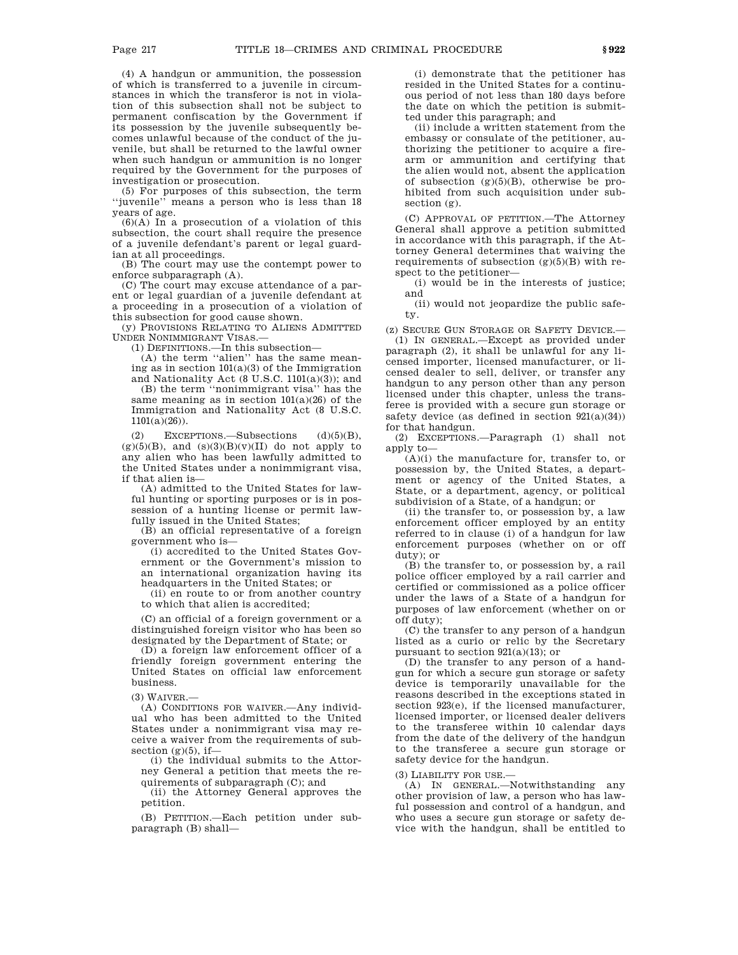(4) A handgun or ammunition, the possession of which is transferred to a juvenile in circumstances in which the transferor is not in violation of this subsection shall not be subject to permanent confiscation by the Government if its possession by the juvenile subsequently becomes unlawful because of the conduct of the juvenile, but shall be returned to the lawful owner when such handgun or ammunition is no longer required by the Government for the purposes of investigation or prosecution.

(5) For purposes of this subsection, the term ''juvenile'' means a person who is less than 18 years of age.

 $(6)(A)$  In a prosecution of a violation of this subsection, the court shall require the presence of a juvenile defendant's parent or legal guardian at all proceedings.

(B) The court may use the contempt power to enforce subparagraph (A).

(C) The court may excuse attendance of a parent or legal guardian of a juvenile defendant at a proceeding in a prosecution of a violation of this subsection for good cause shown.

(y) PROVISIONS RELATING TO ALIENS ADMITTED UNDER NONIMMIGRANT VISAS.—

(1) DEFINITIONS.—In this subsection—

(A) the term "alien" has the same meaning as in section  $101(a)(3)$  of the Immigration and Nationality Act (8 U.S.C. 1101(a)(3)); and

(B) the term ''nonimmigrant visa'' has the same meaning as in section  $101(a)(26)$  of the Immigration and Nationality Act (8 U.S.C. 1101(a)(26)).

(2) EXCEPTIONS.—Subsections  $(d)(5)(B)$ ,  $(g)(5)(B)$ , and  $(s)(3)(B)(v)(II)$  do not apply to any alien who has been lawfully admitted to the United States under a nonimmigrant visa, if that alien is—

(A) admitted to the United States for lawful hunting or sporting purposes or is in possession of a hunting license or permit lawfully issued in the United States;

(B) an official representative of a foreign government who is—

(i) accredited to the United States Government or the Government's mission to an international organization having its headquarters in the United States; or

(ii) en route to or from another country to which that alien is accredited;

(C) an official of a foreign government or a distinguished foreign visitor who has been so designated by the Department of State; or

(D) a foreign law enforcement officer of a friendly foreign government entering the United States on official law enforcement business.

(3) WAIVER.—

(A) CONDITIONS FOR WAIVER.—Any individual who has been admitted to the United States under a nonimmigrant visa may receive a waiver from the requirements of subsection  $(g)(5)$ , if-

(i) the individual submits to the Attorney General a petition that meets the requirements of subparagraph (C); and

(ii) the Attorney General approves the petition.

(B) PETITION.—Each petition under subparagraph (B) shall—

(i) demonstrate that the petitioner has resided in the United States for a continuous period of not less than 180 days before the date on which the petition is submitted under this paragraph; and

(ii) include a written statement from the embassy or consulate of the petitioner, authorizing the petitioner to acquire a firearm or ammunition and certifying that the alien would not, absent the application of subsection (g)(5)(B), otherwise be prohibited from such acquisition under subsection (g).

(C) APPROVAL OF PETITION.—The Attorney General shall approve a petition submitted in accordance with this paragraph, if the Attorney General determines that waiving the requirements of subsection (g)(5)(B) with respect to the petitioner—

(i) would be in the interests of justice; and

(ii) would not jeopardize the public safety.

(z) SECURE GUN STORAGE OR SAFETY DEVICE.—

(1) IN GENERAL.—Except as provided under paragraph (2), it shall be unlawful for any licensed importer, licensed manufacturer, or licensed dealer to sell, deliver, or transfer any handgun to any person other than any person licensed under this chapter, unless the transferee is provided with a secure gun storage or safety device (as defined in section 921(a)(34)) for that handgun.

(2) EXCEPTIONS.—Paragraph (1) shall not apply to-

(A)(i) the manufacture for, transfer to, or possession by, the United States, a department or agency of the United States, a State, or a department, agency, or political subdivision of a State, of a handgun; or

(ii) the transfer to, or possession by, a law enforcement officer employed by an entity referred to in clause (i) of a handgun for law enforcement purposes (whether on or off duty); or

(B) the transfer to, or possession by, a rail police officer employed by a rail carrier and certified or commissioned as a police officer under the laws of a State of a handgun for purposes of law enforcement (whether on or off duty);

(C) the transfer to any person of a handgun listed as a curio or relic by the Secretary pursuant to section  $921(a)(13)$ ; or

(D) the transfer to any person of a handgun for which a secure gun storage or safety device is temporarily unavailable for the reasons described in the exceptions stated in section 923(e), if the licensed manufacturer, licensed importer, or licensed dealer delivers to the transferee within 10 calendar days from the date of the delivery of the handgun to the transferee a secure gun storage or safety device for the handgun.

(3) LIABILITY FOR USE.—

(A) IN GENERAL.—Notwithstanding any other provision of law, a person who has lawful possession and control of a handgun, and who uses a secure gun storage or safety device with the handgun, shall be entitled to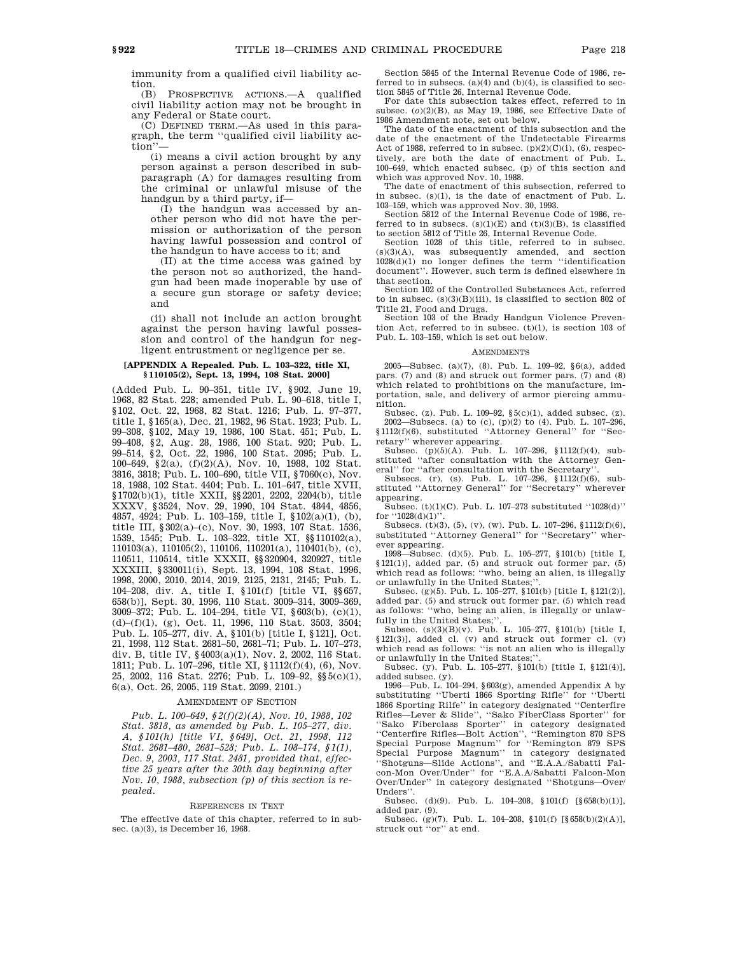immunity from a qualified civil liability action.

(B) PROSPECTIVE ACTIONS.—A qualified civil liability action may not be brought in any Federal or State court.

(C) DEFINED TERM.—As used in this paragraph, the term ''qualified civil liability action'

(i) means a civil action brought by any person against a person described in subparagraph (A) for damages resulting from the criminal or unlawful misuse of the handgun by a third party, if—

(I) the handgun was accessed by another person who did not have the permission or authorization of the person having lawful possession and control of the handgun to have access to it; and

(II) at the time access was gained by the person not so authorized, the handgun had been made inoperable by use of a secure gun storage or safety device; and

(ii) shall not include an action brought against the person having lawful possession and control of the handgun for negligent entrustment or negligence per se.

## **[APPENDIX A Repealed. Pub. L. 103–322, title XI, § 110105(2), Sept. 13, 1994, 108 Stat. 2000]**

(Added Pub. L. 90–351, title IV, §902, June 19, 1968, 82 Stat. 228; amended Pub. L. 90–618, title I, §102, Oct. 22, 1968, 82 Stat. 1216; Pub. L. 97–377, title I, §165(a), Dec. 21, 1982, 96 Stat. 1923; Pub. L. 99–308, §102, May 19, 1986, 100 Stat. 451; Pub. L. 99–408, §2, Aug. 28, 1986, 100 Stat. 920; Pub. L. 99–514, §2, Oct. 22, 1986, 100 Stat. 2095; Pub. L. 100–649, §2(a), (f)(2)(A), Nov. 10, 1988, 102 Stat. 3816, 3818; Pub. L. 100–690, title VII, §7060(c), Nov. 18, 1988, 102 Stat. 4404; Pub. L. 101–647, title XVII, §1702(b)(1), title XXII, §§2201, 2202, 2204(b), title XXXV, §3524, Nov. 29, 1990, 104 Stat. 4844, 4856, 4857, 4924; Pub. L. 103–159, title I, §102(a)(1), (b), title III, §302(a)–(c), Nov. 30, 1993, 107 Stat. 1536, 1539, 1545; Pub. L. 103–322, title XI, §§110102(a), 110103(a), 110105(2), 110106, 110201(a), 110401(b), (c), 110511, 110514, title XXXII, §§320904, 320927, title XXXIII, §330011(i), Sept. 13, 1994, 108 Stat. 1996, 1998, 2000, 2010, 2014, 2019, 2125, 2131, 2145; Pub. L. 104–208, div. A, title I, §101(f) [title VI, §§657, 658(b)], Sept. 30, 1996, 110 Stat. 3009–314, 3009–369, 3009–372; Pub. L. 104–294, title VI, §603(b), (c)(1), (d)–(f)(1), (g), Oct. 11, 1996, 110 Stat. 3503, 3504; Pub. L. 105–277, div. A, §101(b) [title I, §121], Oct. 21, 1998, 112 Stat. 2681–50, 2681–71; Pub. L. 107–273, div. B, title IV, §4003(a)(1), Nov. 2, 2002, 116 Stat. 1811; Pub. L. 107–296, title XI, §1112(f)(4), (6), Nov. 25, 2002, 116 Stat. 2276; Pub. L. 109–92, §§5(c)(1), 6(a), Oct. 26, 2005, 119 Stat. 2099, 2101.)

## AMENDMENT OF SECTION

*Pub. L. 100–649, §2(f)(2)(A), Nov. 10, 1988, 102 Stat. 3818, as amended by Pub. L. 105–277, div. A, §101(h) [title VI, §649], Oct. 21, 1998, 112 Stat. 2681–480, 2681–528; Pub. L. 108–174, §1(1), Dec. 9, 2003, 117 Stat. 2481, provided that, effective 25 years after the 30th day beginning after Nov. 10, 1988, subsection (p) of this section is repealed.*

#### REFERENCES IN TEXT

The effective date of this chapter, referred to in subsec. (a)(3), is December 16, 1968.

Section 5845 of the Internal Revenue Code of 1986, referred to in subsecs.  $(a)(4)$  and  $(b)(4)$ , is classified to section 5845 of Title 26, Internal Revenue Code.

For date this subsection takes effect, referred to in subsec. (*o*)(2)(B), as May 19, 1986, see Effective Date of 1986 Amendment note, set out below.

The date of the enactment of this subsection and the date of the enactment of the Undetectable Firearms Act of 1988, referred to in subsec.  $(p)(2)(C)(i)$ ,  $(6)$ , respectively, are both the date of enactment of Pub. L. 100–649, which enacted subsec. (p) of this section and which was approved Nov. 10, 1988.

The date of enactment of this subsection, referred to in subsec. (s)(1), is the date of enactment of Pub. L.

103–159, which was approved Nov. 30, 1993. Section 5812 of the Internal Revenue Code of 1986, referred to in subsecs.  $(s)(1)(E)$  and  $(t)(3)(B)$ , is classified

to section 5812 of Title 26, Internal Revenue Code. Section 1028 of this title, referred to in subsec. (s)(3)(A), was subsequently amended, and section  $1028(d)(1)$  no longer defines the term "identification" document''. However, such term is defined elsewhere in that section.

Section 102 of the Controlled Substances Act, referred to in subsec.  $(s)(3)(B)(iii)$ , is classified to section 802 of Title 21, Food and Drugs.

Section 103 of the Brady Handgun Violence Prevention Act, referred to in subsec.  $(t)(1)$ , is section 103 of Pub. L. 103–159, which is set out below.

## AMENDMENTS

2005—Subsec. (a)(7), (8). Pub. L. 109–92, §6(a), added pars. (7) and (8) and struck out former pars. (7) and (8) which related to prohibitions on the manufacture, importation, sale, and delivery of armor piercing ammunition.

Subsec. (z). Pub. L. 109–92, §5(c)(1), added subsec. (z). 2002—Subsecs. (a) to (c), (p)(2) to (4). Pub. L. 107–296, §1112(f)(6), substituted ''Attorney General'' for ''Sec-

retary'' wherever appearing. Subsec. (p)(5)(A). Pub. L. 107–296, §1112(f)(4), substituted ''after consultation with the Attorney General" for "after consultation with the Secretary'

Subsecs. (r), (s). Pub. L. 107–296, §1112(f)(6), substituted ''Attorney General'' for ''Secretary'' wherever

appearing. Subsec. (t)(1)(C). Pub. L. 107–273 substituted ''1028(d)'' for  $"1028(d)(1)"$ 

Subsecs. (t)(3), (5), (v), (w). Pub. L. 107–296, §1112(f)(6), substituted ''Attorney General'' for ''Secretary'' wher-

ever appearing. 1998—Subsec. (d)(5). Pub. L. 105–277, §101(b) [title I, §121(1)], added par. (5) and struck out former par. (5) which read as follows: ''who, being an alien, is illegally or unlawfully in the United States;

Subsec. (g)(5). Pub. L. 105–277, §101(b) [title I, §121(2)], added par. (5) and struck out former par. (5) which read as follows: ''who, being an alien, is illegally or unlawfully in the United States;'

Subsec. (s)(3)(B)(v). Pub. L. 105–277, §101(b) [title I, §121(3)], added cl. (v) and struck out former cl. (v) which read as follows: ''is not an alien who is illegally or unlawfully in the United States;

Subsec. (y). Pub. L. 105–277, §101(b) [title I, §121(4)], added subsec. (y).

1996—Pub. L. 104–294, §603(g), amended Appendix A by substituting ''Uberti 1866 Sporting Rifle'' for ''Uberti 1866 Sporting Rilfe'' in category designated ''Centerfire Rifles—Lever & Slide'', ''Sako FiberClass Sporter'' for ''Sako Fiberclass Sporter'' in category designated ''Centerfire Rifles—Bolt Action'', ''Remington 870 SPS Special Purpose Magnum'' for ''Remington 879 SPS Special Purpose Magnum'' in category designated ''Shotguns—Slide Actions'', and ''E.A.A./Sabatti Falcon-Mon Over/Under'' for ''E.A.A/Sabatti Falcon-Mon Over/Under'' in category designated ''Shotguns—Over/ Unders''.

Subsec. (d)(9). Pub. L. 104–208, §101(f) [§658(b)(1)], added par. (9).

Subsec. (g)(7). Pub. L. 104–208, §101(f) [§658(b)(2)(A)], struck out "or" at end.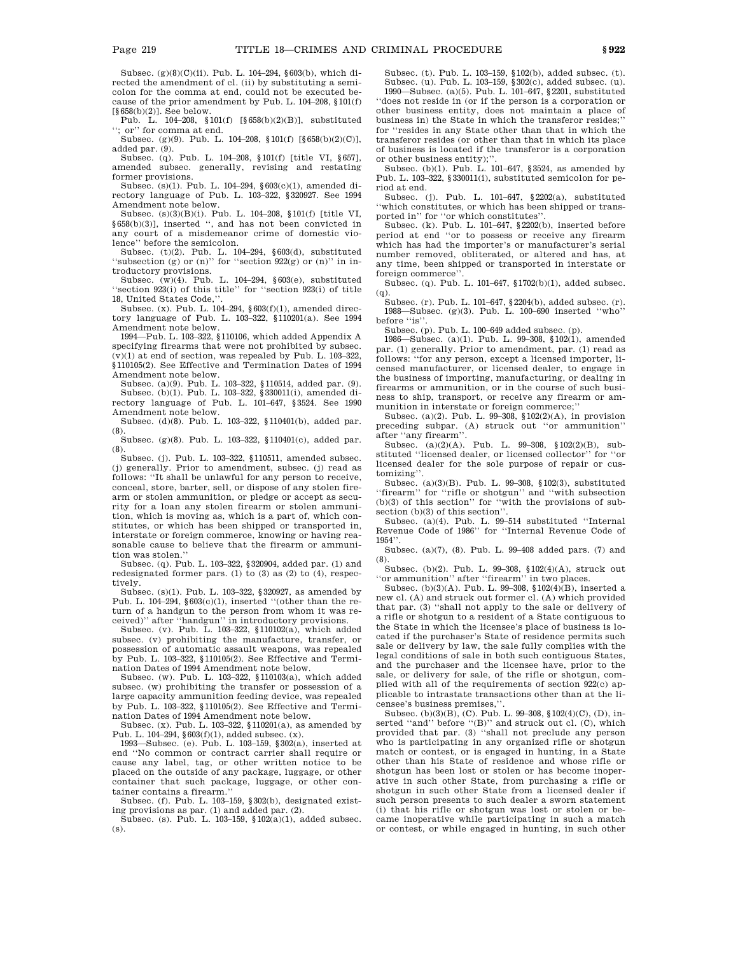Subsec. (g)(8)(C)(ii). Pub. L. 104–294, §603(b), which directed the amendment of cl. (ii) by substituting a semicolon for the comma at end, could not be executed because of the prior amendment by Pub. L. 104–208, §101(f)  $[\S 658(b)(2)]$  See below.

Pub. L. 104–208, §101(f) [§658(b)(2)(B)], substituted ''; or'' for comma at end.

Subsec. (g)(9). Pub. L. 104–208, §101(f) [§658(b)(2)(C)], added par. (9).

Subsec. (q). Pub. L. 104–208, §101(f) [title VI, §657], amended subsec. generally, revising and restating former provisions.

Subsec. (s)(1). Pub. L. 104–294, §603(c)(1), amended directory language of Pub. L. 103–322, §320927. See 1994 Amendment note below.

Subsec. (s)(3)(B)(i). Pub. L. 104–208, §101(f) [title VI, §658(b)(3)], inserted '', and has not been convicted in any court of a misdemeanor crime of domestic violence'' before the semicolon.

Subsec. (t)(2). Pub. L. 104–294, §603(d), substituted "subsection  $(g)$  or  $(n)$ " for "section 922 $(g)$  or  $(n)$ " in introductory provisions.

Subsec. (w)(4). Pub. L. 104–294, §603(e), substituted ''section 923(i) of this title'' for ''section 923(i) of title 18, United States Code,

Subsec. (x). Pub. L. 104–294, §603(f)(1), amended directory language of Pub. L. 103–322, §110201(a). See 1994 Amendment note below.

1994—Pub. L. 103–322, §110106, which added Appendix A specifying firearms that were not prohibited by subsec.  $(v)(1)$  at end of section, was repealed by Pub. L. 103-322, §110105(2). See Effective and Termination Dates of 1994 Amendment note below.

Subsec. (a)(9). Pub. L. 103–322, §110514, added par. (9). Subsec. (b)(1). Pub. L. 103–322, §330011(i), amended directory language of Pub. L. 101–647, §3524. See 1990 Amendment note below.

Subsec. (d)(8). Pub. L. 103–322, §110401(b), added par. (8).

Subsec. (g)(8). Pub. L. 103–322, §110401(c), added par. (8).

Subsec. (j). Pub. L. 103–322, §110511, amended subsec. (j) generally. Prior to amendment, subsec. (j) read as follows: ''It shall be unlawful for any person to receive, conceal, store, barter, sell, or dispose of any stolen firearm or stolen ammunition, or pledge or accept as security for a loan any stolen firearm or stolen ammunition, which is moving as, which is a part of, which constitutes, or which has been shipped or transported in, interstate or foreign commerce, knowing or having reasonable cause to believe that the firearm or ammunition was stolen.''

Subsec. (q). Pub. L. 103–322, §320904, added par. (1) and redesignated former pars. (1) to (3) as (2) to (4), respectively.

Subsec. (s)(1). Pub. L. 103–322, §320927, as amended by Pub. L. 104–294, §603(c)(1), inserted ''(other than the return of a handgun to the person from whom it was received)'' after ''handgun'' in introductory provisions.

Subsec. (v). Pub. L. 103–322, §110102(a), which added subsec. (v) prohibiting the manufacture, transfer, or possession of automatic assault weapons, was repealed by Pub. L. 103–322, §110105(2). See Effective and Termination Dates of 1994 Amendment note below.

Subsec. (w). Pub. L. 103–322, §110103(a), which added subsec. (w) prohibiting the transfer or possession of a large capacity ammunition feeding device, was repealed by Pub. L. 103–322, §110105(2). See Effective and Termination Dates of 1994 Amendment note below.

Subsec. (x). Pub. L. 103–322, §110201(a), as amended by Pub. L. 104–294, §603(f)(1), added subsec. (x).

1993—Subsec. (e). Pub. L. 103–159, §302(a), inserted at end ''No common or contract carrier shall require or cause any label, tag, or other written notice to be placed on the outside of any package, luggage, or other container that such package, luggage, or other container contains a firearm.''

Subsec. (f). Pub. L. 103–159, §302(b), designated existing provisions as par. (1) and added par. (2).

Subsec. (s). Pub. L. 103–159, §102(a)(1), added subsec. (s).

Subsec. (t). Pub. L. 103–159, §102(b), added subsec. (t). Subsec. (u). Pub. L. 103–159, §302(c), added subsec. (u). 1990—Subsec. (a)(5). Pub. L. 101–647, §2201, substituted

''does not reside in (or if the person is a corporation or other business entity, does not maintain a place of business in) the State in which the transferor resides;'' for ''resides in any State other than that in which the transferor resides (or other than that in which its place of business is located if the transferor is a corporation or other business entity);

Subsec. (b)(1). Pub. L. 101–647, §3524, as amended by Pub. L. 103–322, §330011(i), substituted semicolon for period at end.

Subsec. (j). Pub. L. 101–647, §2202(a), substituted ''which constitutes, or which has been shipped or transported in'' for ''or which constitutes''.

Subsec. (k). Pub. L. 101–647, §2202(b), inserted before period at end ''or to possess or receive any firearm which has had the importer's or manufacturer's serial number removed, obliterated, or altered and has, at any time, been shipped or transported in interstate or foreign commerce''.

Subsec. (q). Pub. L. 101–647, §1702(b)(1), added subsec.  $(q)$ 

Subsec. (r). Pub. L. 101–647, §2204(b), added subsec. (r). 1988—Subsec. (g)(3). Pub. L. 100–690 inserted ''who'' before "is".

Subsec. (p). Pub. L. 100–649 added subsec. (p).

1986—Subsec. (a)(1). Pub. L. 99–308, §102(1), amended par. (1) generally. Prior to amendment, par. (1) read as follows: ''for any person, except a licensed importer, licensed manufacturer, or licensed dealer, to engage in the business of importing, manufacturing, or dealing in firearms or ammunition, or in the course of such business to ship, transport, or receive any firearm or ammunition in interstate or foreign commerce;''

Subsec. (a)(2). Pub. L. 99–308, §102(2)(A), in provision preceding subpar. (A) struck out ''or ammunition'' after ''any firearm''.

Subsec. (a)(2)(A). Pub. L. 99–308, §102(2)(B), substituted ''licensed dealer, or licensed collector'' for ''or licensed dealer for the sole purpose of repair or customizing''.

Subsec. (a)(3)(B). Pub. L. 99–308, §102(3), substituted ''firearm'' for ''rifle or shotgun'' and ''with subsection (b)(3) of this section'' for ''with the provisions of subsection (b)(3) of this section''.

Subsec. (a)(4). Pub. L. 99–514 substituted ''Internal Revenue Code of 1986'' for ''Internal Revenue Code of 1954''.

Subsec. (a)(7), (8). Pub. L. 99–408 added pars. (7) and (8).

Subsec. (b)(2). Pub. L. 99–308, §102(4)(A), struck out ''or ammunition'' after ''firearm'' in two places.

Subsec. (b)(3)(A). Pub. L. 99–308, §102(4)(B), inserted a new cl. (A) and struck out former cl. (A) which provided that par. (3) ''shall not apply to the sale or delivery of a rifle or shotgun to a resident of a State contiguous to the State in which the licensee's place of business is located if the purchaser's State of residence permits such sale or delivery by law, the sale fully complies with the legal conditions of sale in both such contiguous States, and the purchaser and the licensee have, prior to the sale, or delivery for sale, of the rifle or shotgun, complied with all of the requirements of section 922(c) applicable to intrastate transactions other than at the licensee's business premises,''.

Subsec. (b)(3)(B), (C). Pub. L. 99–308, §102(4)(C), (D), inserted "and" before "(B)" and struck out cl. (C), which provided that par. (3) ''shall not preclude any person who is participating in any organized rifle or shotgun match or contest, or is engaged in hunting, in a State other than his State of residence and whose rifle or shotgun has been lost or stolen or has become inoperative in such other State, from purchasing a rifle or shotgun in such other State from a licensed dealer if such person presents to such dealer a sworn statement (i) that his rifle or shotgun was lost or stolen or became inoperative while participating in such a match or contest, or while engaged in hunting, in such other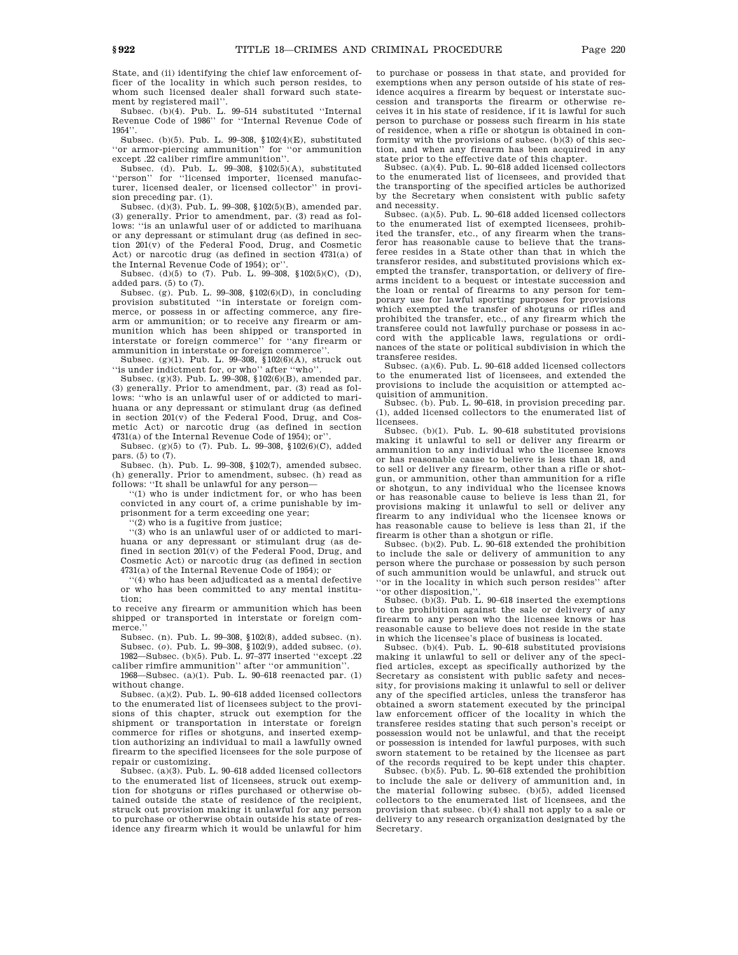State, and (ii) identifying the chief law enforcement officer of the locality in which such person resides, to whom such licensed dealer shall forward such statement by registered mail''.

Subsec. (b)(4). Pub. L. 99–514 substituted ''Internal Revenue Code of 1986'' for ''Internal Revenue Code of 1954''.

Subsec. (b)(5). Pub. L. 99–308, §102(4)(E), substituted ''or armor-piercing ammunition'' for ''or ammunition except .22 caliber rimfire ammunition''.

Subsec. (d). Pub. L. 99–308, §102(5)(A), substituted ''person'' for ''licensed importer, licensed manufacturer, licensed dealer, or licensed collector'' in provision preceding par. (1).

Subsec. (d)(3). Pub. L. 99–308, §102(5)(B), amended par. (3) generally. Prior to amendment, par. (3) read as follows: ''is an unlawful user of or addicted to marihuana or any depressant or stimulant drug (as defined in section  $201(v)$  of the Federal Food, Drug, and Cosmetic Act) or narcotic drug (as defined in section 4731(a) of the Internal Revenue Code of 1954); or''.

Subsec. (d)(5) to (7). Pub. L. 99–308, §102(5)(C), (D), added pars. (5) to (7).

Subsec. (g). Pub. L. 99–308, §102(6)(D), in concluding provision substituted ''in interstate or foreign commerce, or possess in or affecting commerce, any firearm or ammunition; or to receive any firearm or ammunition which has been shipped or transported in interstate or foreign commerce'' for ''any firearm or ammunition in interstate or foreign commerce''.

Subsec. (g)(1). Pub. L. 99–308, §102(6)(A), struck out "is under indictment for, or who" after "who"

Subsec. (g)(3). Pub. L. 99–308, §102(6)(B), amended par. (3) generally. Prior to amendment, par. (3) read as follows: ''who is an unlawful user of or addicted to marihuana or any depressant or stimulant drug (as defined in section 201(v) of the Federal Food, Drug, and Cosmetic Act) or narcotic drug (as defined in section 4731(a) of the Internal Revenue Code of 1954); or''.

Subsec. (g)(5) to (7). Pub. L. 99–308, §102(6)(C), added pars. (5) to (7).

Subsec. (h). Pub. L. 99–308, §102(7), amended subsec. (h) generally. Prior to amendment, subsec. (h) read as follows: ''It shall be unlawful for any person—

''(1) who is under indictment for, or who has been convicted in any court of, a crime punishable by imprisonment for a term exceeding one year;

 $'(2)$  who is a fugitive from justice:

''(3) who is an unlawful user of or addicted to marihuana or any depressant or stimulant drug (as defined in section  $201(v)$  of the Federal Food, Drug, and Cosmetic Act) or narcotic drug (as defined in section 4731(a) of the Internal Revenue Code of 1954); or

''(4) who has been adjudicated as a mental defective or who has been committed to any mental institution;

to receive any firearm or ammunition which has been shipped or transported in interstate or foreign commerce.'

Subsec. (n). Pub. L. 99–308, §102(8), added subsec. (n). Subsec. (*o*). Pub. L. 99–308, §102(9), added subsec. (*o*). 1982—Subsec. (b)(5). Pub. L. 97–377 inserted ''except .22 caliber rimfire ammunition'' after ''or ammunition''.

1968—Subsec. (a)(1). Pub. L. 90–618 reenacted par. (1) without change.

Subsec. (a)<sup>(2)</sup>. Pub. L. 90–618 added licensed collectors to the enumerated list of licensees subject to the provisions of this chapter, struck out exemption for the shipment or transportation in interstate or foreign commerce for rifles or shotguns, and inserted exemption authorizing an individual to mail a lawfully owned firearm to the specified licensees for the sole purpose of repair or customizing.

Subsec. (a)(3). Pub. L. 90–618 added licensed collectors to the enumerated list of licensees, struck out exemption for shotguns or rifles purchased or otherwise obtained outside the state of residence of the recipient, struck out provision making it unlawful for any person to purchase or otherwise obtain outside his state of residence any firearm which it would be unlawful for him

to purchase or possess in that state, and provided for exemptions when any person outside of his state of residence acquires a firearm by bequest or interstate succession and transports the firearm or otherwise receives it in his state of residence, if it is lawful for such person to purchase or possess such firearm in his state of residence, when a rifle or shotgun is obtained in conformity with the provisions of subsec. (b)(3) of this section, and when any firearm has been acquired in any state prior to the effective date of this chapter.

Subsec. (a)(4). Pub. L. 90–618 added licensed collectors to the enumerated list of licensees, and provided that the transporting of the specified articles be authorized by the Secretary when consistent with public safety

and necessity. Subsec. (a)(5). Pub. L. 90–618 added licensed collectors to the enumerated list of exempted licensees, prohibited the transfer, etc., of any firearm when the transferor has reasonable cause to believe that the transferee resides in a State other than that in which the transferor resides, and substituted provisions which exempted the transfer, transportation, or delivery of firearms incident to a bequest or intestate succession and the loan or rental of firearms to any person for temporary use for lawful sporting purposes for provisions which exempted the transfer of shotguns or rifles and prohibited the transfer, etc., of any firearm which the transferee could not lawfully purchase or possess in accord with the applicable laws, regulations or ordinances of the state or political subdivision in which the transferee resides.

Subsec. (a)(6). Pub. L. 90–618 added licensed collectors to the enumerated list of licensees, and extended the provisions to include the acquisition or attempted acquisition of ammunition.

Subsec. (b). Pub. L. 90–618, in provision preceding par. (1), added licensed collectors to the enumerated list of licensees.

Subsec. (b)(1). Pub. L. 90–618 substituted provisions making it unlawful to sell or deliver any firearm or ammunition to any individual who the licensee knows or has reasonable cause to believe is less than 18, and to sell or deliver any firearm, other than a rifle or shotgun, or ammunition, other than ammunition for a rifle or shotgun, to any individual who the licensee knows or has reasonable cause to believe is less than 21, for provisions making it unlawful to sell or deliver any firearm to any individual who the licensee knows or has reasonable cause to believe is less than 21, if the firearm is other than a shotgun or rifle.

Subsec. (b)(2). Pub. L. 90–618 extended the prohibition to include the sale or delivery of ammunition to any person where the purchase or possession by such person of such ammunition would be unlawful, and struck out ''or in the locality in which such person resides'' after "or other disposition,

Subsec. (b)(3). Pub. L. 90–618 inserted the exemptions to the prohibition against the sale or delivery of any firearm to any person who the licensee knows or has reasonable cause to believe does not reside in the state in which the licensee's place of business is located.

Subsec. (b)(4). Pub.  $\hat{L}$ . 90–618 substituted provisions making it unlawful to sell or deliver any of the specified articles, except as specifically authorized by the Secretary as consistent with public safety and necessity, for provisions making it unlawful to sell or deliver any of the specified articles, unless the transferor has obtained a sworn statement executed by the principal law enforcement officer of the locality in which the transferee resides stating that such person's receipt or possession would not be unlawful, and that the receipt or possession is intended for lawful purposes, with such sworn statement to be retained by the licensee as part of the records required to be kept under this chapter.

Subsec. (b)(5). Pub. L. 90–618 extended the prohibition to include the sale or delivery of ammunition and, in the material following subsec. (b)(5), added licensed collectors to the enumerated list of licensees, and the provision that subsec. (b)(4) shall not apply to a sale or delivery to any research organization designated by the Secretary.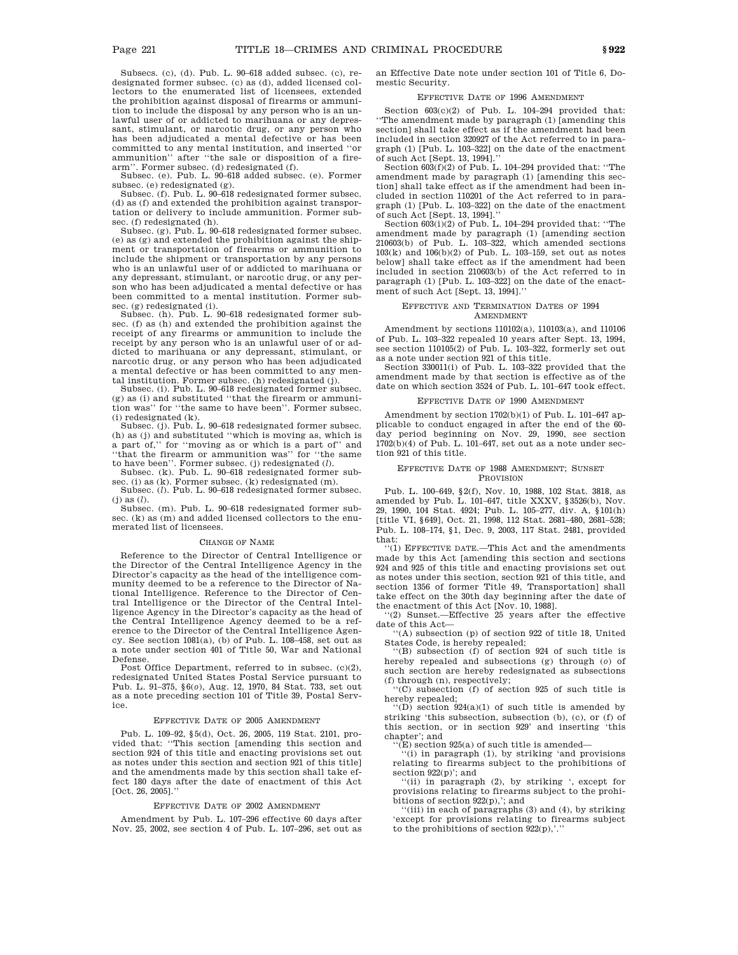Subsecs. (c), (d). Pub. L. 90–618 added subsec. (c), redesignated former subsec. (c) as (d), added licensed collectors to the enumerated list of licensees, extended the prohibition against disposal of firearms or ammunition to include the disposal by any person who is an unlawful user of or addicted to marihuana or any depressant, stimulant, or narcotic drug, or any person who has been adjudicated a mental defective or has been committed to any mental institution, and inserted ''or ammunition'' after ''the sale or disposition of a fire-

arm''. Former subsec. (d) redesignated (f). Subsec. (e). Pub. L. 90–618 added subsec. (e). Former subsec. (e) redesignated (g).

Subsec. (f). Pub. L. 90–618 redesignated former subsec. (d) as (f) and extended the prohibition against transportation or delivery to include ammunition. Former sub-

sec. (f) redesignated (h). Subsec. (g). Pub. L. 90–618 redesignated former subsec. (e) as (g) and extended the prohibition against the shipment or transportation of firearms or ammunition to include the shipment or transportation by any persons who is an unlawful user of or addicted to marihuana or any depressant, stimulant, or narcotic drug, or any person who has been adjudicated a mental defective or has been committed to a mental institution. Former sub-

sec. (g) redesignated (i). Subsec. (h). Pub. L. 90–618 redesignated former subsec. (f) as (h) and extended the prohibition against the receipt of any firearms or ammunition to include the receipt by any person who is an unlawful user of or addicted to marihuana or any depressant, stimulant, or narcotic drug, or any person who has been adjudicated a mental defective or has been committed to any mental institution. Former subsec. (h) redesignated (j).

Subsec. (i). Pub. L. 90–618 redesignated former subsec.  $(g)$  as (i) and substituted "that the firearm or ammunition was'' for ''the same to have been''. Former subsec. (i) redesignated (k).

Subsec. (j). Pub. L. 90–618 redesignated former subsec. (h) as (j) and substituted ''which is moving as, which is a part of,'' for ''moving as or which is a part of'' and ''that the firearm or ammunition was'' for ''the same to have been''. Former subsec. (j) redesignated (*l*).

Subsec. (k). Pub. L. 90–618 redesignated former subsec. (i) as (k). Former subsec. (k) redesignated (m).

Subsec. (*l*). Pub. L. 90–618 redesignated former subsec. (j) as (*l*).

Subsec. (m). Pub. L. 90–618 redesignated former subsec. (k) as (m) and added licensed collectors to the enumerated list of licensees.

#### CHANGE OF NAME

Reference to the Director of Central Intelligence or the Director of the Central Intelligence Agency in the Director's capacity as the head of the intelligence community deemed to be a reference to the Director of National Intelligence. Reference to the Director of Central Intelligence or the Director of the Central Intelligence Agency in the Director's capacity as the head of the Central Intelligence Agency deemed to be a reference to the Director of the Central Intelligence Agency. See section  $1081(a)$ , (b) of Pub. L.  $108-458$ , set out as a note under section 401 of Title 50, War and National Defense.

Post Office Department, referred to in subsec. (c)(2), redesignated United States Postal Service pursuant to Pub. L. 91–375, §6(*o*), Aug. 12, 1970, 84 Stat. 733, set out as a note preceding section 101 of Title 39, Postal Service.

#### EFFECTIVE DATE OF 2005 AMENDMENT

Pub. L. 109–92, §5(d), Oct. 26, 2005, 119 Stat. 2101, pro-vided that: ''This section [amending this section and section 924 of this title and enacting provisions set out as notes under this section and section 921 of this title] and the amendments made by this section shall take effect 180 days after the date of enactment of this Act [Oct. 26, 2005].

#### EFFECTIVE DATE OF 2002 AMENDMENT

Amendment by Pub. L. 107–296 effective 60 days after Nov. 25, 2002, see section 4 of Pub. L. 107–296, set out as an Effective Date note under section 101 of Title 6, Domestic Security.

## EFFECTIVE DATE OF 1996 AMENDMENT

Section  $603(c)(2)$  of Pub. L. 104-294 provided that: ''The amendment made by paragraph (1) [amending this section] shall take effect as if the amendment had been included in section 320927 of the Act referred to in paragraph (1) [Pub. L. 103–322] on the date of the enactment

of such Act [Sept. 13, 1994].'' Section 603(f)(2) of Pub. L. 104–294 provided that: ''The amendment made by paragraph (1) [amending this section] shall take effect as if the amendment had been included in section 110201 of the Act referred to in paragraph (1) [Pub. L. 103–322] on the date of the enactment of such Act [Sept. 13, 1994].''

Section 603(i)(2) of Pub. L. 104–294 provided that: ''The amendment made by paragraph (1) [amending section 210603(b) of Pub. L. 103–322, which amended sections 103(k) and 106(b)(2) of Pub. L. 103–159, set out as notes below] shall take effect as if the amendment had been included in section 210603(b) of the Act referred to in paragraph (1) [Pub. L. 103–322] on the date of the enactment of such Act [Sept. 13, 1994].''

# EFFECTIVE AND TERMINATION DATES OF 1994

AMENDMENT

Amendment by sections 110102(a), 110103(a), and 110106 of Pub. L. 103–322 repealed 10 years after Sept. 13, 1994, see section 110105(2) of Pub. L. 103–322, formerly set out as a note under section 921 of this title.

Section 330011(i) of Pub. L. 103–322 provided that the amendment made by that section is effective as of the date on which section 3524 of Pub. L. 101–647 took effect.

## EFFECTIVE DATE OF 1990 AMENDMENT

Amendment by section 1702(b)(1) of Pub. L. 101–647 applicable to conduct engaged in after the end of the 60 day period beginning on Nov. 29, 1990, see section 1702(b)(4) of Pub. L. 101–647, set out as a note under section 921 of this title.

#### EFFECTIVE DATE OF 1988 AMENDMENT; SUNSET PROVISION

Pub. L. 100–649, §2(f), Nov. 10, 1988, 102 Stat. 3818, as amended by Pub. L. 101–647, title XXXV, §3526(b), Nov. 29, 1990, 104 Stat. 4924; Pub. L. 105–277, div. A, §101(h) [title VI, §649], Oct. 21, 1998, 112 Stat. 2681–480, 2681–528; Pub. L. 108–174, §1, Dec. 9, 2003, 117 Stat. 2481, provided that:

''(1) EFFECTIVE DATE.—This Act and the amendments made by this Act [amending this section and sections 924 and 925 of this title and enacting provisions set out as notes under this section, section 921 of this title, and section 1356 of former Title 49, Transportation] shall take effect on the 30th day beginning after the date of

the enactment of this Act [Nov. 10, 1988]. ''(2) Sunset.—Effective 25 years after the effective date of this Act—

''(A) subsection (p) of section 922 of title 18, United States Code, is hereby repealed;

''(B) subsection (f) of section 924 of such title is hereby repealed and subsections (g) through (*o*) of such section are hereby redesignated as subsections

(f) through (n), respectively; ''(C) subsection (f) of section 925 of such title is hereby repealed;

 $(1)$  section  $924(a)(1)$  of such title is amended by striking 'this subsection, subsection (b), (c), or (f) of this section, or in section 929' and inserting 'this chapter'; and

 $f(E)$  section 925(a) of such title is amended—

''(i) in paragraph (1), by striking 'and provisions relating to firearms subject to the prohibitions of section 922(p)'; and

''(ii) in paragraph (2), by striking ', except for provisions relating to firearms subject to the prohibitions of section 922(p),'; and

'(iii) in each of paragraphs (3) and (4), by striking 'except for provisions relating to firearms subject to the prohibitions of section  $922(p)$ ,'.'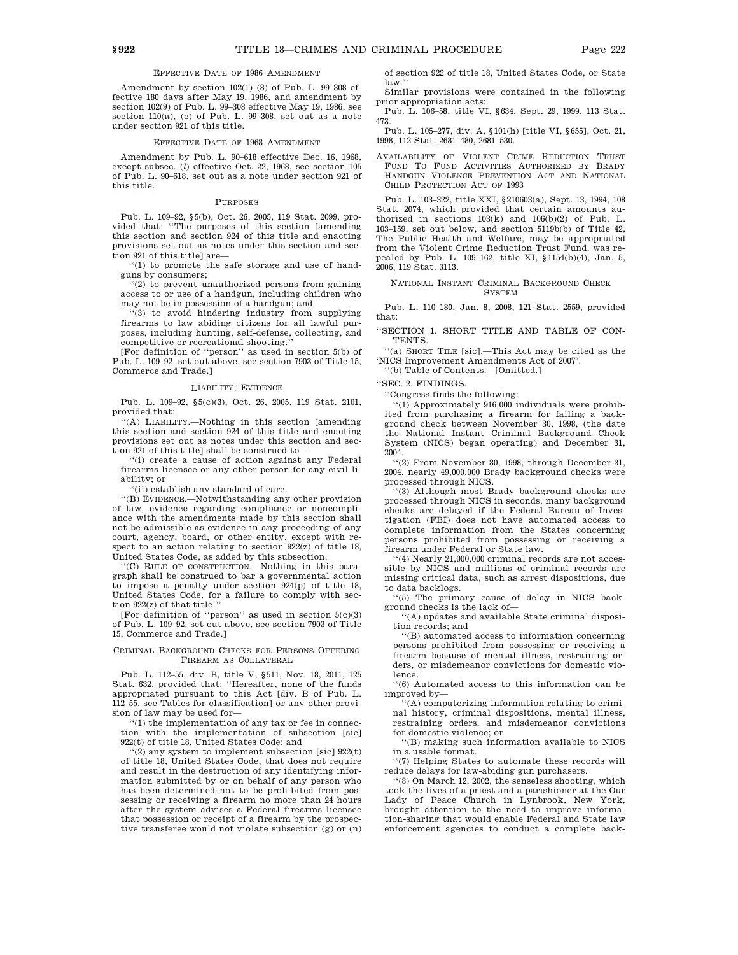## EFFECTIVE DATE OF 1986 AMENDMENT

Amendment by section 102(1)–(8) of Pub. L. 99–308 effective 180 days after May 19, 1986, and amendment by section 102(9) of Pub. L. 99–308 effective May 19, 1986, see section 110(a), (c) of Pub. L. 99–308, set out as a note under section 921 of this title.

#### EFFECTIVE DATE OF 1968 AMENDMENT

Amendment by Pub. L. 90–618 effective Dec. 16, 1968, except subsec. (*l*) effective Oct. 22, 1968, see section 105 of Pub. L. 90–618, set out as a note under section 921 of this title.

#### PURPOSES

Pub. L. 109–92, §5(b), Oct. 26, 2005, 119 Stat. 2099, provided that: ''The purposes of this section [amending this section and section 924 of this title and enacting provisions set out as notes under this section and section 921 of this title] are—

''(1) to promote the safe storage and use of handguns by consumers;

''(2) to prevent unauthorized persons from gaining access to or use of a handgun, including children who may not be in possession of a handgun; and

''(3) to avoid hindering industry from supplying firearms to law abiding citizens for all lawful purposes, including hunting, self-defense, collecting, and competitive or recreational shooting.''

[For definition of ''person'' as used in section 5(b) of Pub. L. 109–92, set out above, see section 7903 of Title 15, Commerce and Trade.]

#### LIABILITY; EVIDENCE

Pub. L. 109–92, §5(c)(3), Oct. 26, 2005, 119 Stat. 2101, provided that:

''(A) LIABILITY.—Nothing in this section [amending this section and section 924 of this title and enacting provisions set out as notes under this section and section 921 of this title] shall be construed to—

''(i) create a cause of action against any Federal firearms licensee or any other person for any civil liability; or

''(ii) establish any standard of care.

''(B) EVIDENCE.—Notwithstanding any other provision of law, evidence regarding compliance or noncompliance with the amendments made by this section shall not be admissible as evidence in any proceeding of any court, agency, board, or other entity, except with respect to an action relating to section 922(z) of title 18, United States Code, as added by this subsection.

''(C) RULE OF CONSTRUCTION.—Nothing in this paragraph shall be construed to bar a governmental action to impose a penalty under section 924(p) of title 18, United States Code, for a failure to comply with section 922(z) of that title.''

[For definition of "person" as used in section  $5(c)(3)$ of Pub. L. 109–92, set out above, see section 7903 of Title 15, Commerce and Trade.]

### CRIMINAL BACKGROUND CHECKS FOR PERSONS OFFERING FIREARM AS COLLATERAL

Pub. L. 112–55, div. B, title V, §511, Nov. 18, 2011, 125 Stat. 632, provided that: ''Hereafter, none of the funds appropriated pursuant to this Act [div. B of Pub. L. 112–55, see Tables for classification] or any other provision of law may be used for—

''(1) the implementation of any tax or fee in connection with the implementation of subsection [sic] 922(t) of title 18, United States Code; and

''(2) any system to implement subsection [sic] 922(t) of title 18, United States Code, that does not require and result in the destruction of any identifying information submitted by or on behalf of any person who has been determined not to be prohibited from possessing or receiving a firearm no more than 24 hours after the system advises a Federal firearms licensee that possession or receipt of a firearm by the prospective transferee would not violate subsection (g) or (n) of section 922 of title 18, United States Code, or State law.''

Similar provisions were contained in the following prior appropriation acts: Pub. L. 106–58, title VI, §634, Sept. 29, 1999, 113 Stat.

473. Pub. L. 105–277, div. A, §101(h) [title VI, §655], Oct. 21,

1998, 112 Stat. 2681–480, 2681–530.

AVAILABILITY OF VIOLENT CRIME REDUCTION TRUST FUND TO FUND ACTIVITIES AUTHORIZED BY BRADY HANDGUN VIOLENCE PREVENTION ACT AND NATIONAL CHILD PROTECTION ACT OF 1993

Pub. L. 103–322, title XXI, §210603(a), Sept. 13, 1994, 108 Stat. 2074, which provided that certain amounts authorized in sections  $103(k)$  and  $106(b)(2)$  of Pub. L. 103–159, set out below, and section 5119b(b) of Title 42, The Public Health and Welfare, may be appropriated from the Violent Crime Reduction Trust Fund, was repealed by Pub. L. 109–162, title XI, §1154(b)(4), Jan. 5, 2006, 119 Stat. 3113.

## NATIONAL INSTANT CRIMINAL BACKGROUND CHECK **SYSTEM**

Pub. L. 110–180, Jan. 8, 2008, 121 Stat. 2559, provided that:

''SECTION 1. SHORT TITLE AND TABLE OF CON-TENTS.

'(a) SHORT TILE [ $\mathrm{sic}$ ].—This Act may be cited as the 'NICS Improvement Amendments Act of 2007'. ''(b) Table of Contents.—[Omitted.]

''SEC. 2. FINDINGS.

''Congress finds the following:

 $'(1)$  Approximately  $916,000$  individuals were prohibited from purchasing a firearm for failing a background check between November 30, 1998, (the date the National Instant Criminal Background Check System (NICS) began operating) and December 31, 2004.

''(2) From November 30, 1998, through December 31, 2004, nearly 49,000,000 Brady background checks were processed through NICS.

''(3) Although most Brady background checks are processed through NICS in seconds, many background checks are delayed if the Federal Bureau of Investigation (FBI) does not have automated access to complete information from the States concerning persons prohibited from possessing or receiving a firearm under Federal or State law.

''(4) Nearly 21,000,000 criminal records are not accessible by NICS and millions of criminal records are missing critical data, such as arrest dispositions, due to data backlogs.

''(5) The primary cause of delay in NICS background checks is the lack of—

''(A) updates and available State criminal disposition records; and

''(B) automated access to information concerning persons prohibited from possessing or receiving a firearm because of mental illness, restraining orders, or misdemeanor convictions for domestic violence.

''(6) Automated access to this information can be improved by—

''(A) computerizing information relating to criminal history, criminal dispositions, mental illness, restraining orders, and misdemeanor convictions for domestic violence; or

''(B) making such information available to NICS in a usable format.

''(7) Helping States to automate these records will reduce delays for law-abiding gun purchasers.

''(8) On March 12, 2002, the senseless shooting, which took the lives of a priest and a parishioner at the Our Lady of Peace Church in Lynbrook, New York, brought attention to the need to improve information-sharing that would enable Federal and State law enforcement agencies to conduct a complete back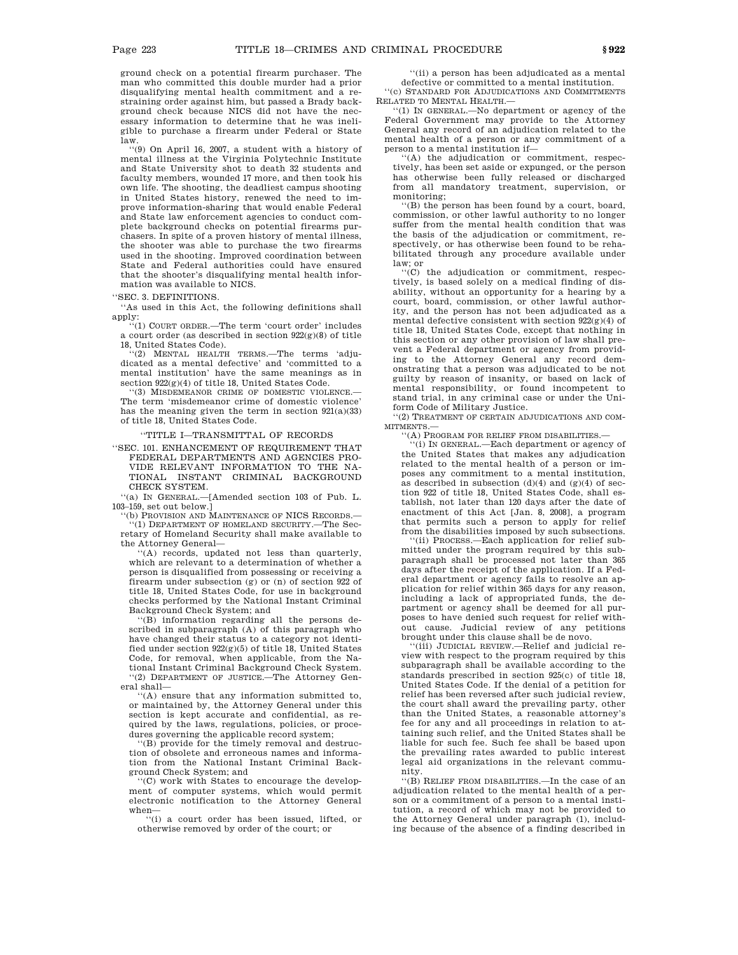ground check on a potential firearm purchaser. The man who committed this double murder had a prior disqualifying mental health commitment and a restraining order against him, but passed a Brady background check because NICS did not have the necessary information to determine that he was ineligible to purchase a firearm under Federal or State law.

''(9) On April 16, 2007, a student with a history of mental illness at the Virginia Polytechnic Institute and State University shot to death 32 students and faculty members, wounded 17 more, and then took his own life. The shooting, the deadliest campus shooting in United States history, renewed the need to improve information-sharing that would enable Federal and State law enforcement agencies to conduct complete background checks on potential firearms purchasers. In spite of a proven history of mental illness, the shooter was able to purchase the two firearms used in the shooting. Improved coordination between State and Federal authorities could have ensured that the shooter's disqualifying mental health information was available to NICS.

''SEC. 3. DEFINITIONS.

''As used in this Act, the following definitions shall apply: ''(1) COURT ORDER.—The term 'court order' includes

a court order (as described in section 922(g)(8) of title 18, United States Code). ''(2) MENTAL HEALTH TERMS.—The terms 'adju-

dicated as a mental defective' and 'committed to a mental institution' have the same meanings as in section  $922<sup>(g)</sup>(4)$  of title 18. United States Code.

'(3) MISDEMEANOR CRIME OF DOMESTIC VIOLENCE.-The term 'misdemeanor crime of domestic violence' has the meaning given the term in section 921(a)(33) of title 18, United States Code.

## ''TITLE I—TRANSMITTAL OF RECORDS

''SEC. 101. ENHANCEMENT OF REQUIREMENT THAT FEDERAL DEPARTMENTS AND AGENCIES PRO-VIDE RELEVANT INFORMATION TO THE NA-TIONAL INSTANT CRIMINAL BACKGROUND CHECK SYSTEM.

 $'(a)$  IN GENERAL.—[Amended section 103 of Pub. L. 103–159, set out below.]

(b) PROVISION AND MAINTENANCE OF NICS RECORDS. ''(1) DEPARTMENT OF HOMELAND SECURITY.—The Secretary of Homeland Security shall make available to the Attorney General—

''(A) records, updated not less than quarterly, which are relevant to a determination of whether a person is disqualified from possessing or receiving a firearm under subsection (g) or (n) of section 922 of title 18, United States Code, for use in background checks performed by the National Instant Criminal Background Check System; and

''(B) information regarding all the persons described in subparagraph (A) of this paragraph who have changed their status to a category not identified under section 922(g)(5) of title 18, United States Code, for removal, when applicable, from the National Instant Criminal Background Check System. ''(2) DEPARTMENT OF JUSTICE.—The Attorney General shall—

''(A) ensure that any information submitted to, or maintained by, the Attorney General under this section is kept accurate and confidential, as required by the laws, regulations, policies, or procedures governing the applicable record system;

''(B) provide for the timely removal and destruction of obsolete and erroneous names and information from the National Instant Criminal Background Check System; and

''(C) work with States to encourage the development of computer systems, which would permit electronic notification to the Attorney General when—

''(i) a court order has been issued, lifted, or otherwise removed by order of the court; or

''(ii) a person has been adjudicated as a mental defective or committed to a mental institution.

''(c) STANDARD FOR ADJUDICATIONS AND COMMITMENTS RELATED TO MENTAL HEALTH.—

''(1) IN GENERAL.—No department or agency of the Federal Government may provide to the Attorney General any record of an adjudication related to the mental health of a person or any commitment of a person to a mental institution if—

''(A) the adjudication or commitment, respectively, has been set aside or expunged, or the person has otherwise been fully released or discharged from all mandatory treatment, supervision, or monitoring;

''(B) the person has been found by a court, board, commission, or other lawful authority to no longer suffer from the mental health condition that was the basis of the adjudication or commitment, respectively, or has otherwise been found to be rehabilitated through any procedure available under law; or

''(C) the adjudication or commitment, respectively, is based solely on a medical finding of disability, without an opportunity for a hearing by a court, board, commission, or other lawful authority, and the person has not been adjudicated as a mental defective consistent with section 922(g)(4) of title 18, United States Code, except that nothing in this section or any other provision of law shall prevent a Federal department or agency from providing to the Attorney General any record demonstrating that a person was adjudicated to be not guilty by reason of insanity, or based on lack of mental responsibility, or found incompetent to stand trial, in any criminal case or under the Uniform Code of Military Justice.

''(2) TREATMENT OF CERTAIN ADJUDICATIONS AND COM-MITMENTS.

''(A) PROGRAM FOR RELIEF FROM DISABILITIES.—

''(i) IN GENERAL.—Each department or agency of the United States that makes any adjudication related to the mental health of a person or imposes any commitment to a mental institution, as described in subsection (d)(4) and (g)(4) of section 922 of title 18, United States Code, shall establish, not later than 120 days after the date of enactment of this Act [Jan. 8, 2008], a program that permits such a person to apply for relief from the disabilities imposed by such subsections.

''(ii) PROCESS.—Each application for relief submitted under the program required by this subparagraph shall be processed not later than 365 days after the receipt of the application. If a Federal department or agency fails to resolve an application for relief within 365 days for any reason, including a lack of appropriated funds, the department or agency shall be deemed for all purposes to have denied such request for relief without cause. Judicial review of any petitions brought under this clause shall be de novo.

'(iii) JUDICIAL REVIEW.—Relief and judicial review with respect to the program required by this subparagraph shall be available according to the standards prescribed in section 925(c) of title 18, United States Code. If the denial of a petition for relief has been reversed after such judicial review, the court shall award the prevailing party, other than the United States, a reasonable attorney's fee for any and all proceedings in relation to attaining such relief, and the United States shall be liable for such fee. Such fee shall be based upon the prevailing rates awarded to public interest legal aid organizations in the relevant community.

''(B) RELIEF FROM DISABILITIES.—In the case of an adjudication related to the mental health of a person or a commitment of a person to a mental institution, a record of which may not be provided to the Attorney General under paragraph (1), including because of the absence of a finding described in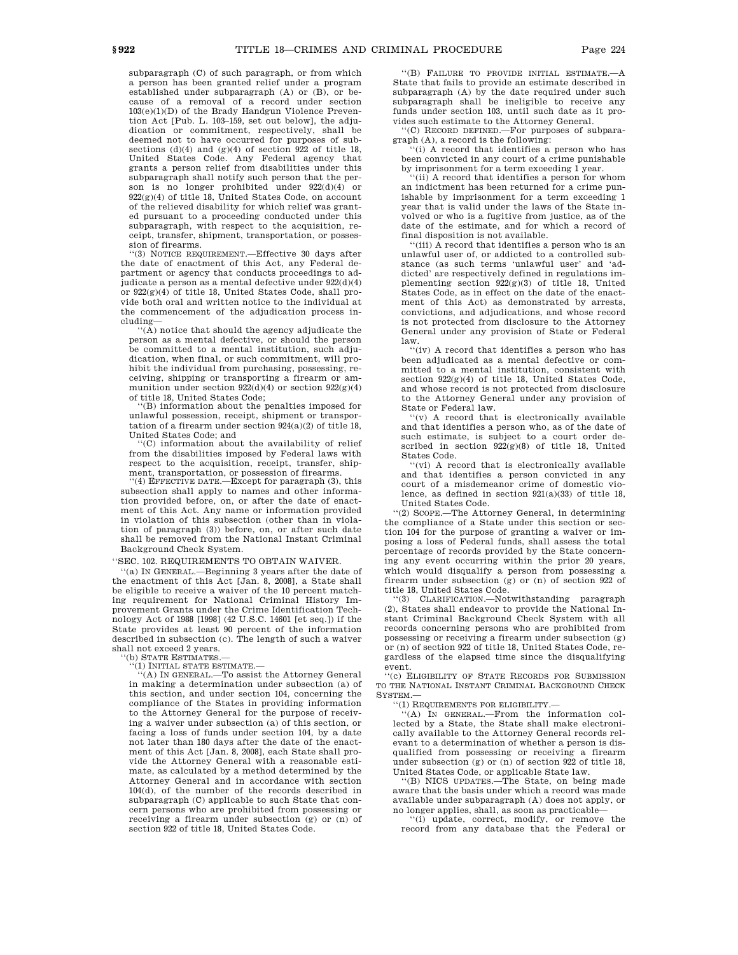subparagraph (C) of such paragraph, or from which a person has been granted relief under a program established under subparagraph (A) or (B), or because of a removal of a record under section 103(e)(1)(D) of the Brady Handgun Violence Prevention Act [Pub. L. 103–159, set out below], the adjudication or commitment, respectively, shall be deemed not to have occurred for purposes of subsections  $(d)(4)$  and  $(g)(4)$  of section 922 of title 18, United States Code. Any Federal agency that grants a person relief from disabilities under this subparagraph shall notify such person that the person is no longer prohibited under 922(d)(4) or  $922(g)(4)$  of title 18, United States Code, on account of the relieved disability for which relief was granted pursuant to a proceeding conducted under this subparagraph, with respect to the acquisition, receipt, transfer, shipment, transportation, or possession of firearms.

''(3) NOTICE REQUIREMENT.—Effective 30 days after the date of enactment of this Act, any Federal department or agency that conducts proceedings to adjudicate a person as a mental defective under 922(d)(4) or 922(g)(4) of title 18, United States Code, shall provide both oral and written notice to the individual at the commencement of the adjudication process including—

 $\cdot$ <sup>'</sup>( $\tilde{A}$ ) notice that should the agency adjudicate the person as a mental defective, or should the person be committed to a mental institution, such adjudication, when final, or such commitment, will prohibit the individual from purchasing, possessing, receiving, shipping or transporting a firearm or ammunition under section  $922(d)(4)$  or section  $922(g)(4)$ of title 18, United States Code;

''(B) information about the penalties imposed for unlawful possession, receipt, shipment or transportation of a firearm under section 924(a)(2) of title 18, United States Code; and

''(C) information about the availability of relief from the disabilities imposed by Federal laws with respect to the acquisition, receipt, transfer, shipment, transportation, or possession of firearms.

''(4) EFFECTIVE DATE.—Except for paragraph (3), this subsection shall apply to names and other information provided before, on, or after the date of enactment of this Act. Any name or information provided in violation of this subsection (other than in violation of paragraph (3)) before, on, or after such date shall be removed from the National Instant Criminal Background Check System.

''SEC. 102. REQUIREMENTS TO OBTAIN WAIVER.

''(a) IN GENERAL.—Beginning 3 years after the date of the enactment of this Act [Jan. 8, 2008], a State shall be eligible to receive a waiver of the 10 percent matching requirement for National Criminal History Improvement Grants under the Crime Identification Technology Act of 1988 [1998] (42 U.S.C. 14601 [et seq.]) if the State provides at least 90 percent of the information described in subsection (c). The length of such a waiver shall not exceed 2 years.

''(b) STATE ESTIMATES.—

''(1) INITIAL STATE ESTIMATE.— ''(A) IN GENERAL.—To assist the Attorney General in making a determination under subsection (a) of this section, and under section 104, concerning the compliance of the States in providing information to the Attorney General for the purpose of receiving a waiver under subsection (a) of this section, or facing a loss of funds under section 104, by a date not later than 180 days after the date of the enactment of this Act [Jan. 8, 2008], each State shall provide the Attorney General with a reasonable estimate, as calculated by a method determined by the Attorney General and in accordance with section 104(d), of the number of the records described in subparagraph (C) applicable to such State that concern persons who are prohibited from possessing or receiving a firearm under subsection (g) or (n) of section 922 of title 18, United States Code.

''(B) FAILURE TO PROVIDE INITIAL ESTIMATE.—A State that fails to provide an estimate described in subparagraph (A) by the date required under such subparagraph shall be ineligible to receive any funds under section 103, until such date as it provides such estimate to the Attorney General.

''(C) RECORD DEFINED.—For purposes of subparagraph (A), a record is the following:

''(i) A record that identifies a person who has been convicted in any court of a crime punishable by imprisonment for a term exceeding 1 year.

'(ii) A record that identifies a person for whom an indictment has been returned for a crime punishable by imprisonment for a term exceeding 1 year that is valid under the laws of the State involved or who is a fugitive from justice, as of the date of the estimate, and for which a record of final disposition is not available.

''(iii) A record that identifies a person who is an unlawful user of, or addicted to a controlled substance (as such terms 'unlawful user' and 'addicted' are respectively defined in regulations implementing section 922(g)(3) of title 18, United States Code, as in effect on the date of the enactment of this Act) as demonstrated by arrests, convictions, and adjudications, and whose record is not protected from disclosure to the Attorney General under any provision of State or Federal law.

''(iv) A record that identifies a person who has been adjudicated as a mental defective or committed to a mental institution, consistent with section 922(g)(4) of title 18, United States Code, and whose record is not protected from disclosure to the Attorney General under any provision of State or Federal law.

 $(y)$  A record that is electronically available and that identifies a person who, as of the date of such estimate, is subject to a court order described in section  $922(g)(8)$  of title 18, United States Code.

''(vi) A record that is electronically available and that identifies a person convicted in any court of a misdemeanor crime of domestic violence, as defined in section 921(a)(33) of title 18, United States Code.

''(2) SCOPE.—The Attorney General, in determining the compliance of a State under this section or section 104 for the purpose of granting a waiver or imposing a loss of Federal funds, shall assess the total percentage of records provided by the State concerning any event occurring within the prior 20 years, which would disqualify a person from possessing a firearm under subsection (g) or (n) of section 922 of title 18, United States Code.

''(3) CLARIFICATION.—Notwithstanding paragraph (2), States shall endeavor to provide the National Instant Criminal Background Check System with all records concerning persons who are prohibited from possessing or receiving a firearm under subsection (g) or (n) of section 922 of title 18, United States Code, regardless of the elapsed time since the disqualifying event.

''(c) ELIGIBILITY OF STATE RECORDS FOR SUBMISSION TO THE NATIONAL INSTANT CRIMINAL BACKGROUND CHECK SYSTEM.—

''(1) REQUIREMENTS FOR ELIGIBILITY.— ''(A) IN GENERAL.—From the information collected by a State, the State shall make electronically available to the Attorney General records relevant to a determination of whether a person is disqualified from possessing or receiving a firearm under subsection (g) or (n) of section 922 of title 18,

United States Code, or applicable State law. ''(B) NICS UPDATES.—The State, on being made aware that the basis under which a record was made available under subparagraph (A) does not apply, or no longer applies, shall, as soon as practicable—

''(i) update, correct, modify, or remove the record from any database that the Federal or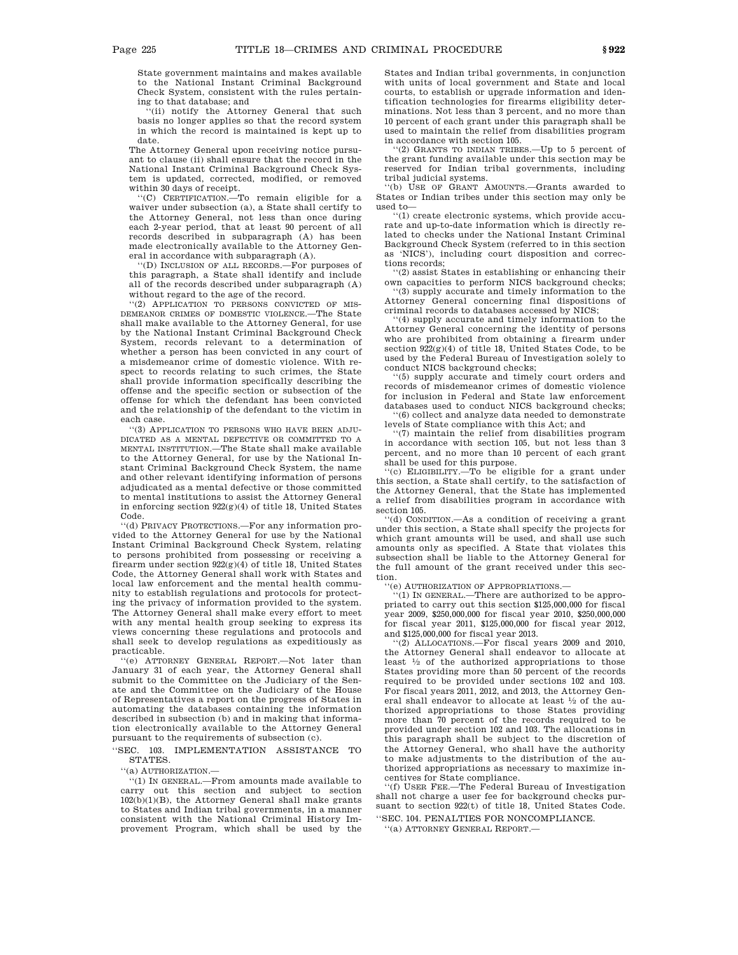State government maintains and makes available to the National Instant Criminal Background Check System, consistent with the rules pertaining to that database; and

''(ii) notify the Attorney General that such basis no longer applies so that the record system in which the record is maintained is kept up to date.

The Attorney General upon receiving notice pursuant to clause (ii) shall ensure that the record in the National Instant Criminal Background Check System is updated, corrected, modified, or removed within 30 days of receipt.

''(C) CERTIFICATION.—To remain eligible for a waiver under subsection (a), a State shall certify to the Attorney General, not less than once during each 2-year period, that at least 90 percent of all records described in subparagraph (A) has been made electronically available to the Attorney General in accordance with subparagraph (A).

''(D) INCLUSION OF ALL RECORDS.—For purposes of this paragraph, a State shall identify and include all of the records described under subparagraph (A) without regard to the age of the record.

''(2) APPLICATION TO PERSONS CONVICTED OF MIS-DEMEANOR CRIMES OF DOMESTIC VIOLENCE.—The State shall make available to the Attorney General, for use by the National Instant Criminal Background Check System, records relevant to a determination of whether a person has been convicted in any court of a misdemeanor crime of domestic violence. With respect to records relating to such crimes, the State shall provide information specifically describing the offense and the specific section or subsection of the offense for which the defendant has been convicted and the relationship of the defendant to the victim in each case.

''(3) APPLICATION TO PERSONS WHO HAVE BEEN ADJU-DICATED AS A MENTAL DEFECTIVE OR COMMITTED TO A MENTAL INSTITUTION.—The State shall make available to the Attorney General, for use by the National Instant Criminal Background Check System, the name and other relevant identifying information of persons adjudicated as a mental defective or those committed to mental institutions to assist the Attorney General in enforcing section  $922(g)(4)$  of title 18, United States Code.

''(d) PRIVACY PROTECTIONS.—For any information provided to the Attorney General for use by the National Instant Criminal Background Check System, relating to persons prohibited from possessing or receiving a firearm under section 922(g)(4) of title 18, United States Code, the Attorney General shall work with States and local law enforcement and the mental health community to establish regulations and protocols for protecting the privacy of information provided to the system. The Attorney General shall make every effort to meet with any mental health group seeking to express its views concerning these regulations and protocols and shall seek to develop regulations as expeditiously as practicable.

''(e) ATTORNEY GENERAL REPORT.—Not later than January 31 of each year, the Attorney General shall submit to the Committee on the Judiciary of the Senate and the Committee on the Judiciary of the House of Representatives a report on the progress of States in automating the databases containing the information described in subsection (b) and in making that information electronically available to the Attorney General pursuant to the requirements of subsection (c).

''SEC. 103. IMPLEMENTATION ASSISTANCE TO STATES.

''(a) AUTHORIZATION.—

''(1) IN GENERAL.—From amounts made available to carry out this section and subject to section  $102(b)(1)(B)$ , the Attorney General shall make grants to States and Indian tribal governments, in a manner consistent with the National Criminal History Improvement Program, which shall be used by the

States and Indian tribal governments, in conjunction with units of local government and State and local courts, to establish or upgrade information and identification technologies for firearms eligibility determinations. Not less than 3 percent, and no more than 10 percent of each grant under this paragraph shall be used to maintain the relief from disabilities program in accordance with section 105.

''(2) GRANTS TO INDIAN TRIBES.—Up to 5 percent of the grant funding available under this section may be reserved for Indian tribal governments, including

tribal judicial systems. ''(b) USE OF GRANT AMOUNTS.—Grants awarded to States or Indian tribes under this section may only be used to—

''(1) create electronic systems, which provide accurate and up-to-date information which is directly related to checks under the National Instant Criminal Background Check System (referred to in this section as 'NICS'), including court disposition and corrections records;

''(2) assist States in establishing or enhancing their own capacities to perform NICS background checks;

''(3) supply accurate and timely information to the Attorney General concerning final dispositions of criminal records to databases accessed by NICS;

'(4) supply accurate and timely information to the Attorney General concerning the identity of persons who are prohibited from obtaining a firearm under section  $922(g)(4)$  of title 18, United States Code, to be used by the Federal Bureau of Investigation solely to conduct NICS background checks;

'(5) supply accurate and timely court orders and records of misdemeanor crimes of domestic violence for inclusion in Federal and State law enforcement databases used to conduct NICS background checks;

''(6) collect and analyze data needed to demonstrate levels of State compliance with this Act; and

''(7) maintain the relief from disabilities program in accordance with section 105, but not less than 3 percent, and no more than 10 percent of each grant shall be used for this purpose.

'(c) ELIGIBILITY.—To be eligible for a grant under this section, a State shall certify, to the satisfaction of the Attorney General, that the State has implemented a relief from disabilities program in accordance with section 105.

''(d) CONDITION.—As a condition of receiving a grant under this section, a State shall specify the projects for which grant amounts will be used, and shall use such amounts only as specified. A State that violates this subsection shall be liable to the Attorney General for the full amount of the grant received under this section.

'(e) AUTHORIZATION OF APPROPRIATIONS.

''(1) IN GENERAL.—There are authorized to be appropriated to carry out this section \$125,000,000 for fiscal year 2009, \$250,000,000 for fiscal year 2010, \$250,000,000 for fiscal year 2011, \$125,000,000 for fiscal year 2012, and \$125,000,000 for fiscal year 2013.

''(2) ALLOCATIONS.—For fiscal years 2009 and 2010, the Attorney General shall endeavor to allocate at least 1 ⁄2 of the authorized appropriations to those States providing more than 50 percent of the records required to be provided under sections 102 and 103. For fiscal years 2011, 2012, and 2013, the Attorney General shall endeavor to allocate at least 1 ⁄2 of the authorized appropriations to those States providing more than 70 percent of the records required to be provided under section 102 and 103. The allocations in this paragraph shall be subject to the discretion of the Attorney General, who shall have the authority to make adjustments to the distribution of the authorized appropriations as necessary to maximize incentives for State compliance.

''(f) USER FEE.—The Federal Bureau of Investigation shall not charge a user fee for background checks pursuant to section 922(t) of title 18, United States Code. ''SEC. 104. PENALTIES FOR NONCOMPLIANCE.

''(a) ATTORNEY GENERAL REPORT.—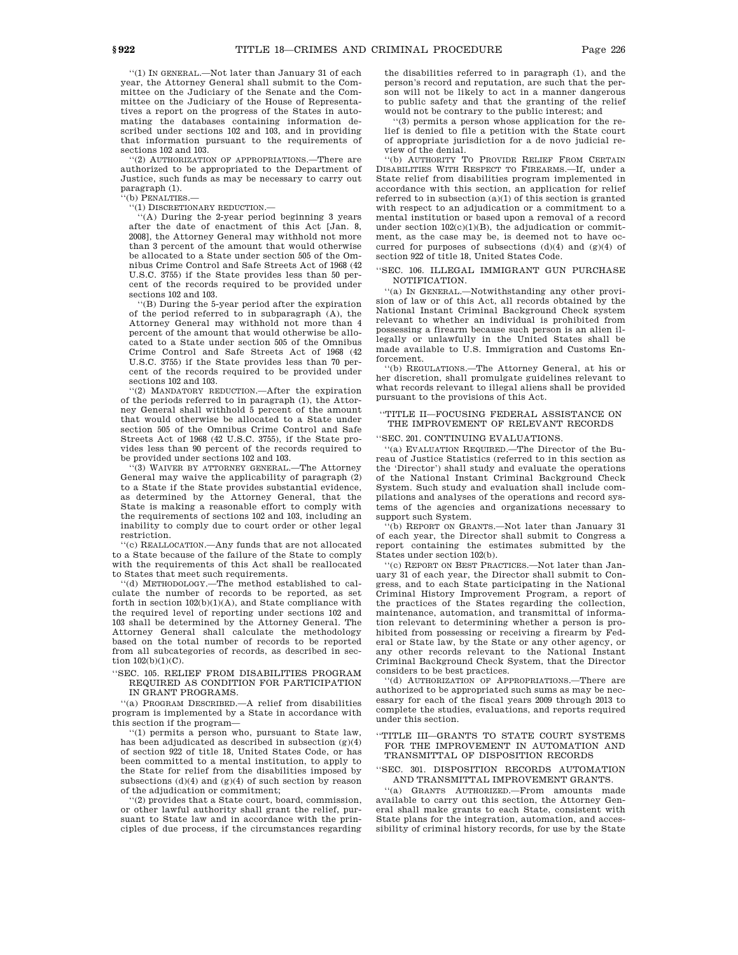''(1) IN GENERAL.—Not later than January 31 of each year, the Attorney General shall submit to the Committee on the Judiciary of the Senate and the Committee on the Judiciary of the House of Representatives a report on the progress of the States in automating the databases containing information described under sections 102 and 103, and in providing that information pursuant to the requirements of sections 102 and 103.

''(2) AUTHORIZATION OF APPROPRIATIONS.—There are authorized to be appropriated to the Department of Justice, such funds as may be necessary to carry out paragraph (1).

(b) PENALTIES.-

''(1) DISCRETIONARY REDUCTION.—

 $(A)$  During the 2-year period beginning 3 years after the date of enactment of this Act [Jan. 8, 2008], the Attorney General may withhold not more than 3 percent of the amount that would otherwise be allocated to a State under section 505 of the Omnibus Crime Control and Safe Streets Act of 1968 (42 U.S.C. 3755) if the State provides less than 50 percent of the records required to be provided under sections 102 and 103.

''(B) During the 5-year period after the expiration of the period referred to in subparagraph (A), the Attorney General may withhold not more than 4 percent of the amount that would otherwise be allocated to a State under section 505 of the Omnibus Crime Control and Safe Streets Act of 1968 (42 U.S.C. 3755) if the State provides less than 70 percent of the records required to be provided under sections 102 and 103.

''(2) MANDATORY REDUCTION.—After the expiration of the periods referred to in paragraph (1), the Attorney General shall withhold 5 percent of the amount that would otherwise be allocated to a State under section 505 of the Omnibus Crime Control and Safe Streets Act of 1968 (42 U.S.C. 3755), if the State provides less than 90 percent of the records required to be provided under sections 102 and 103.

'(3) WAIVER BY ATTORNEY GENERAL.—The Attorney General may waive the applicability of paragraph (2) to a State if the State provides substantial evidence, as determined by the Attorney General, that the State is making a reasonable effort to comply with the requirements of sections 102 and 103, including an inability to comply due to court order or other legal restriction.

''(c) REALLOCATION.—Any funds that are not allocated to a State because of the failure of the State to comply with the requirements of this Act shall be reallocated to States that meet such requirements.

''(d) METHODOLOGY.—The method established to calculate the number of records to be reported, as set forth in section 102(b)(1)(A), and State compliance with the required level of reporting under sections 102 and 103 shall be determined by the Attorney General. The Attorney General shall calculate the methodology based on the total number of records to be reported from all subcategories of records, as described in section 102(b)(1)(C).

### ''SEC. 105. RELIEF FROM DISABILITIES PROGRAM REQUIRED AS CONDITION FOR PARTICIPATION IN GRANT PROGRAMS.

''(a) PROGRAM DESCRIBED.—A relief from disabilities program is implemented by a State in accordance with this section if the program—

 $(1)$  permits a person who, pursuant to State law, has been adjudicated as described in subsection  $(g)(4)$ of section 922 of title 18, United States Code, or has been committed to a mental institution, to apply to the State for relief from the disabilities imposed by subsections  $(d)(4)$  and  $(g)(4)$  of such section by reason of the adjudication or commitment;

''(2) provides that a State court, board, commission, or other lawful authority shall grant the relief, pursuant to State law and in accordance with the principles of due process, if the circumstances regarding the disabilities referred to in paragraph (1), and the person's record and reputation, are such that the person will not be likely to act in a manner dangerous to public safety and that the granting of the relief would not be contrary to the public interest; and

'(3) permits a person whose application for the relief is denied to file a petition with the State court of appropriate jurisdiction for a de novo judicial review of the denial.

''(b) AUTHORITY TO PROVIDE RELIEF FROM CERTAIN DISABILITIES WITH RESPECT TO FIREARMS.—If, under a State relief from disabilities program implemented in accordance with this section, an application for relief referred to in subsection (a)(1) of this section is granted with respect to an adjudication or a commitment to a mental institution or based upon a removal of a record under section  $102(c)(1)(B)$ , the adjudication or commitment, as the case may be, is deemed not to have occurred for purposes of subsections  $(d)(4)$  and  $(g)(4)$  of section 922 of title 18, United States Code.

## ''SEC. 106. ILLEGAL IMMIGRANT GUN PURCHASE NOTIFICATION.

'(a) IN GENERAL.—Notwithstanding any other provision of law or of this Act, all records obtained by the National Instant Criminal Background Check system relevant to whether an individual is prohibited from possessing a firearm because such person is an alien illegally or unlawfully in the United States shall be made available to U.S. Immigration and Customs Enforcement.

''(b) REGULATIONS.—The Attorney General, at his or her discretion, shall promulgate guidelines relevant to what records relevant to illegal aliens shall be provided pursuant to the provisions of this Act.

## ''TITLE II—FOCUSING FEDERAL ASSISTANCE ON THE IMPROVEMENT OF RELEVANT RECORDS

## ''SEC. 201. CONTINUING EVALUATIONS.

''(a) EVALUATION REQUIRED.—The Director of the Bureau of Justice Statistics (referred to in this section as the 'Director') shall study and evaluate the operations of the National Instant Criminal Background Check System. Such study and evaluation shall include compilations and analyses of the operations and record systems of the agencies and organizations necessary to support such System.

''(b) REPORT ON GRANTS.—Not later than January 31 of each year, the Director shall submit to Congress a report containing the estimates submitted by the States under section 102(b).

''(c) REPORT ON BEST PRACTICES.—Not later than January 31 of each year, the Director shall submit to Congress, and to each State participating in the National Criminal History Improvement Program, a report of the practices of the States regarding the collection, maintenance, automation, and transmittal of information relevant to determining whether a person is prohibited from possessing or receiving a firearm by Federal or State law, by the State or any other agency, or any other records relevant to the National Instant Criminal Background Check System, that the Director considers to be best practices.

''(d) AUTHORIZATION OF APPROPRIATIONS.—There are authorized to be appropriated such sums as may be necessary for each of the fiscal years 2009 through 2013 to complete the studies, evaluations, and reports required under this section.

## ''TITLE III—GRANTS TO STATE COURT SYSTEMS FOR THE IMPROVEMENT IN AUTOMATION AND TRANSMITTAL OF DISPOSITION RECORDS

## ''SEC. 301. DISPOSITION RECORDS AUTOMATION AND TRANSMITTAL IMPROVEMENT GRANTS.

''(a) GRANTS AUTHORIZED.—From amounts made available to carry out this section, the Attorney General shall make grants to each State, consistent with State plans for the integration, automation, and accessibility of criminal history records, for use by the State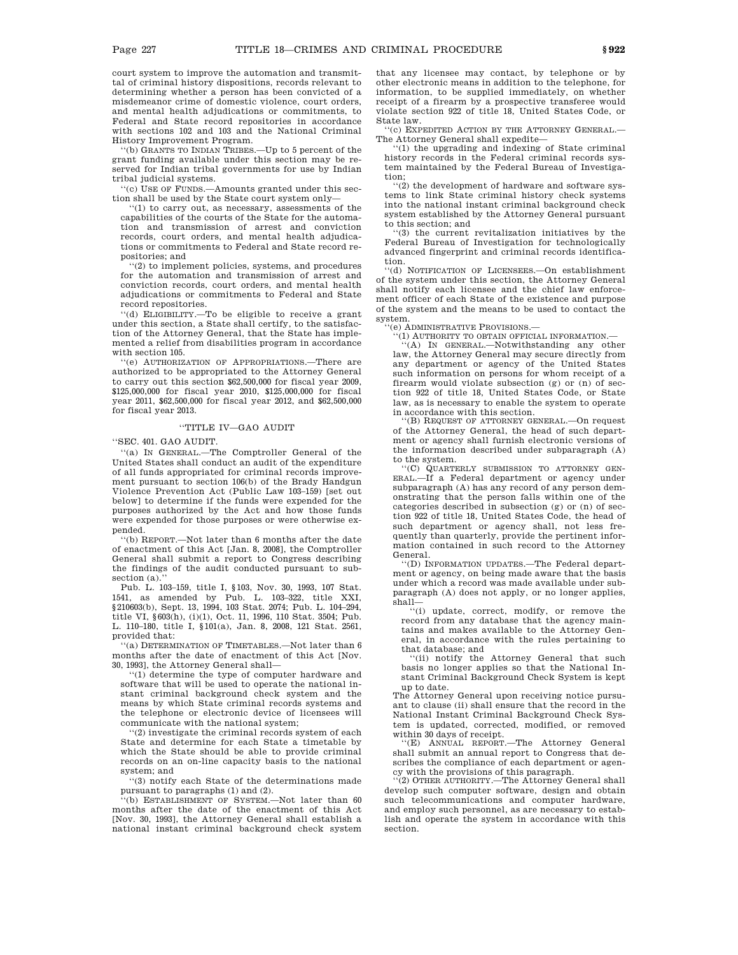court system to improve the automation and transmittal of criminal history dispositions, records relevant to determining whether a person has been convicted of a misdemeanor crime of domestic violence, court orders, and mental health adjudications or commitments, to Federal and State record repositories in accordance with sections 102 and 103 and the National Criminal History Improvement Program.

''(b) GRANTS TO INDIAN TRIBES.—Up to 5 percent of the grant funding available under this section may be reserved for Indian tribal governments for use by Indian tribal judicial systems.

''(c) USE OF FUNDS.—Amounts granted under this section shall be used by the State court system only—

''(1) to carry out, as necessary, assessments of the capabilities of the courts of the State for the automation and transmission of arrest and conviction records, court orders, and mental health adjudications or commitments to Federal and State record repositories; and

''(2) to implement policies, systems, and procedures for the automation and transmission of arrest and conviction records, court orders, and mental health adjudications or commitments to Federal and State record repositories.

''(d) ELIGIBILITY.—To be eligible to receive a grant under this section, a State shall certify, to the satisfaction of the Attorney General, that the State has implemented a relief from disabilities program in accordance with section 105.

''(e) AUTHORIZATION OF APPROPRIATIONS.—There are authorized to be appropriated to the Attorney General to carry out this section \$62,500,000 for fiscal year 2009, \$125,000,000 for fiscal year 2010, \$125,000,000 for fiscal year 2011, \$62,500,000 for fiscal year 2012, and \$62,500,000 for fiscal year 2013.

## ''TITLE IV—GAO AUDIT

''SEC. 401. GAO AUDIT.

''(a) IN GENERAL.—The Comptroller General of the United States shall conduct an audit of the expenditure of all funds appropriated for criminal records improvement pursuant to section 106(b) of the Brady Handgun Violence Prevention Act (Public Law 103–159) [set out below] to determine if the funds were expended for the purposes authorized by the Act and how those funds were expended for those purposes or were otherwise expended.

''(b) REPORT.—Not later than 6 months after the date of enactment of this Act [Jan. 8, 2008], the Comptroller General shall submit a report to Congress describing the findings of the audit conducted pursuant to subsection (a).

Pub. L. 103–159, title I, §103, Nov. 30, 1993, 107 Stat. 1541, as amended by Pub. L. 103–322, title XXI, §210603(b), Sept. 13, 1994, 103 Stat. 2074; Pub. L. 104–294, title VI, §603(h), (i)(1), Oct. 11, 1996, 110 Stat. 3504; Pub. L. 110–180, title I, §101(a), Jan. 8, 2008, 121 Stat. 2561, provided that:

''(a) DETERMINATION OF TIMETABLES.—Not later than 6 months after the date of enactment of this Act [Nov. 30, 1993], the Attorney General shall—

''(1) determine the type of computer hardware and software that will be used to operate the national instant criminal background check system and the means by which State criminal records systems and the telephone or electronic device of licensees will communicate with the national system;

 $(2)$  investigate the criminal records system of each State and determine for each State a timetable by which the State should be able to provide criminal records on an on-line capacity basis to the national system; and

''(3) notify each State of the determinations made pursuant to paragraphs (1) and (2).

''(b) ESTABLISHMENT OF SYSTEM.—Not later than 60 months after the date of the enactment of this Act [Nov. 30, 1993], the Attorney General shall establish a national instant criminal background check system that any licensee may contact, by telephone or by other electronic means in addition to the telephone, for information, to be supplied immediately, on whether receipt of a firearm by a prospective transferee would violate section 922 of title 18, United States Code, or State law.

''(c) EXPEDITED ACTION BY THE ATTORNEY GENERAL.— The Attorney General shall expedite—

''(1) the upgrading and indexing of State criminal history records in the Federal criminal records system maintained by the Federal Bureau of Investigation;

''(2) the development of hardware and software systems to link State criminal history check systems into the national instant criminal background check system established by the Attorney General pursuant to this section; and

''(3) the current revitalization initiatives by the Federal Bureau of Investigation for technologically advanced fingerprint and criminal records identification.

''(d) NOTIFICATION OF LICENSEES.—On establishment of the system under this section, the Attorney General shall notify each licensee and the chief law enforcement officer of each State of the existence and purpose of the system and the means to be used to contact the system.

(e) ADMINISTRATIVE PROVISIONS.-

''(1) AUTHORITY TO OBTAIN OFFICIAL INFORMATION.—

''(A) IN GENERAL.—Notwithstanding any other law, the Attorney General may secure directly from any department or agency of the United States such information on persons for whom receipt of a firearm would violate subsection (g) or (n) of section 922 of title 18, United States Code, or State law, as is necessary to enable the system to operate in accordance with this section.

''(B) REQUEST OF ATTORNEY GENERAL.—On request of the Attorney General, the head of such department or agency shall furnish electronic versions of the information described under subparagraph (A) to the system.

''(C) QUARTERLY SUBMISSION TO ATTORNEY GEN-ERAL.—If a Federal department or agency under subparagraph (A) has any record of any person demonstrating that the person falls within one of the categories described in subsection (g) or (n) of section 922 of title 18, United States Code, the head of such department or agency shall, not less frequently than quarterly, provide the pertinent information contained in such record to the Attorney General.

''(D) INFORMATION UPDATES.—The Federal department or agency, on being made aware that the basis under which a record was made available under subparagraph (A) does not apply, or no longer applies, shall—

''(i) update, correct, modify, or remove the record from any database that the agency maintains and makes available to the Attorney General, in accordance with the rules pertaining to that database; and

''(ii) notify the Attorney General that such basis no longer applies so that the National Instant Criminal Background Check System is kept up to date.

The Attorney General upon receiving notice pursuant to clause (ii) shall ensure that the record in the National Instant Criminal Background Check System is updated, corrected, modified, or removed within 30 days of receipt.

''(E) ANNUAL REPORT.—The Attorney General shall submit an annual report to Congress that describes the compliance of each department or agen-

cy with the provisions of this paragraph. ''(2) OTHER AUTHORITY.—The Attorney General shall develop such computer software, design and obtain such telecommunications and computer hardware, and employ such personnel, as are necessary to establish and operate the system in accordance with this section.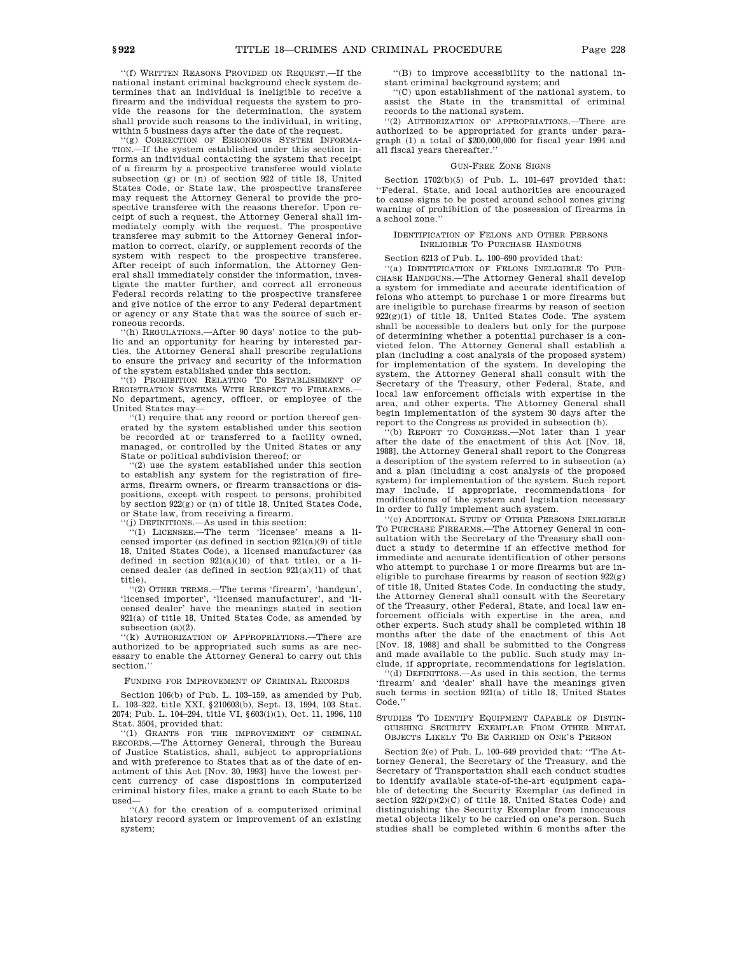''(f) WRITTEN REASONS PROVIDED ON REQUEST.—If the national instant criminal background check system determines that an individual is ineligible to receive a firearm and the individual requests the system to provide the reasons for the determination, the system shall provide such reasons to the individual, in writing, within 5 business days after the date of the request.

'(g) CORRECTION OF ERRONEOUS SYSTEM INFORMA-TION.—If the system established under this section informs an individual contacting the system that receipt of a firearm by a prospective transferee would violate subsection (g) or (n) of section 922 of title 18, United States Code, or State law, the prospective transferee may request the Attorney General to provide the prospective transferee with the reasons therefor. Upon receipt of such a request, the Attorney General shall immediately comply with the request. The prospective transferee may submit to the Attorney General information to correct, clarify, or supplement records of the system with respect to the prospective transferee. After receipt of such information, the Attorney General shall immediately consider the information, investigate the matter further, and correct all erroneous Federal records relating to the prospective transferee and give notice of the error to any Federal department or agency or any State that was the source of such erroneous records.

'(h) REGULATIONS.—After 90 days' notice to the public and an opportunity for hearing by interested parties, the Attorney General shall prescribe regulations to ensure the privacy and security of the information

of the system established under this section. ''(i) PROHIBITION RELATING TO ESTABLISHMENT OF REGISTRATION SYSTEMS WITH RESPECT TO FIREARMS.— No department, agency, officer, or employee of the United States may—

''(1) require that any record or portion thereof generated by the system established under this section be recorded at or transferred to a facility owned, managed, or controlled by the United States or any State or political subdivision thereof; or

 $(2)$  use the system established under this section to establish any system for the registration of firearms, firearm owners, or firearm transactions or dispositions, except with respect to persons, prohibited by section 922(g) or (n) of title 18, United States Code, or State law, from receiving a firearm.

''(j) DEFINITIONS.—As used in this section: ''(1) LICENSEE.—The term 'licensee' means a licensed importer (as defined in section 921(a)(9) of title 18, United States Code), a licensed manufacturer (as defined in section  $921(a)(10)$  of that title), or a licensed dealer (as defined in section  $921(a)(11)$  of that title).

''(2) OTHER TERMS.—The terms 'firearm', 'handgun', 'licensed importer', 'licensed manufacturer', and 'licensed dealer' have the meanings stated in section 921(a) of title 18, United States Code, as amended by subsection (a)(2).

(k) AUTHORIZATION OF APPROPRIATIONS.-There are authorized to be appropriated such sums as are necessary to enable the Attorney General to carry out this section.''

FUNDING FOR IMPROVEMENT OF CRIMINAL RECORDS

Section 106(b) of Pub. L. 103–159, as amended by Pub. L. 103–322, title XXI, §210603(b), Sept. 13, 1994, 103 Stat. 2074; Pub. L. 104–294, title VI, §603(i)(1), Oct. 11, 1996, 110 Stat. 3504, provided that:

'(1) GRANTS FOR THE IMPROVEMENT OF CRIMINAL RECORDS.—The Attorney General, through the Bureau of Justice Statistics, shall, subject to appropriations and with preference to States that as of the date of enactment of this Act [Nov. 30, 1993] have the lowest percent currency of case dispositions in computerized criminal history files, make a grant to each State to be used—

''(A) for the creation of a computerized criminal history record system or improvement of an existing system;

''(B) to improve accessibility to the national instant criminal background system; and

''(C) upon establishment of the national system, to assist the State in the transmittal of criminal records to the national system.

''(2) AUTHORIZATION OF APPROPRIATIONS.—There are authorized to be appropriated for grants under paragraph (1) a total of \$200,000,000 for fiscal year 1994 and all fiscal years thereafter.''

# GUN-FREE ZONE SIGNS

Section 1702(b)(5) of Pub. L. 101–647 provided that: ''Federal, State, and local authorities are encouraged to cause signs to be posted around school zones giving warning of prohibition of the possession of firearms in a school zone.''

### IDENTIFICATION OF FELONS AND OTHER PERSONS INELIGIBLE TO PURCHASE HANDGUNS

Section 6213 of Pub. L. 100–690 provided that:

''(a) IDENTIFICATION OF FELONS INELIGIBLE TO PUR-CHASE HANDGUNS.—The Attorney General shall develop a system for immediate and accurate identification of felons who attempt to purchase 1 or more firearms but are ineligible to purchase firearms by reason of section  $922(g)(1)$  of title 18, United States Code. The system shall be accessible to dealers but only for the purpose of determining whether a potential purchaser is a convicted felon. The Attorney General shall establish a plan (including a cost analysis of the proposed system) for implementation of the system. In developing the system, the Attorney General shall consult with the Secretary of the Treasury, other Federal, State, and local law enforcement officials with expertise in the area, and other experts. The Attorney General shall begin implementation of the system 30 days after the report to the Congress as provided in subsection (b).

''(b) REPORT TO CONGRESS.—Not later than 1 year after the date of the enactment of this Act [Nov. 18, 1988], the Attorney General shall report to the Congress a description of the system referred to in subsection (a) and a plan (including a cost analysis of the proposed system) for implementation of the system. Such report may include, if appropriate, recommendations for modifications of the system and legislation necessary in order to fully implement such system.

'(c) ADDITIONAL STUDY OF OTHER PERSONS INELIGIBLE TO PURCHASE FIREARMS.—The Attorney General in consultation with the Secretary of the Treasury shall conduct a study to determine if an effective method for immediate and accurate identification of other persons who attempt to purchase 1 or more firearms but are ineligible to purchase firearms by reason of section  $922<sub>(g)</sub>$ of title 18, United States Code. In conducting the study, the Attorney General shall consult with the Secretary of the Treasury, other Federal, State, and local law enforcement officials with expertise in the area, and other experts. Such study shall be completed within 18 months after the date of the enactment of this Act [Nov. 18, 1988] and shall be submitted to the Congress and made available to the public. Such study may include, if appropriate, recommendations for legislation.

''(d) DEFINITIONS.—As used in this section, the terms 'firearm' and 'dealer' shall have the meanings given such terms in section 921(a) of title 18, United States Code.''

STUDIES TO IDENTIFY EQUIPMENT CAPABLE OF DISTIN-GUISHING SECURITY EXEMPLAR FROM OTHER METAL OBJECTS LIKELY TO BE CARRIED ON ONE'S PERSON

Section 2(e) of Pub. L. 100–649 provided that: ''The Attorney General, the Secretary of the Treasury, and the Secretary of Transportation shall each conduct studies to identify available state-of-the-art equipment capable of detecting the Security Exemplar (as defined in section  $922(p)(2)(C)$  of title 18, United States Code) and distinguishing the Security Exemplar from innocuous metal objects likely to be carried on one's person. Such studies shall be completed within 6 months after the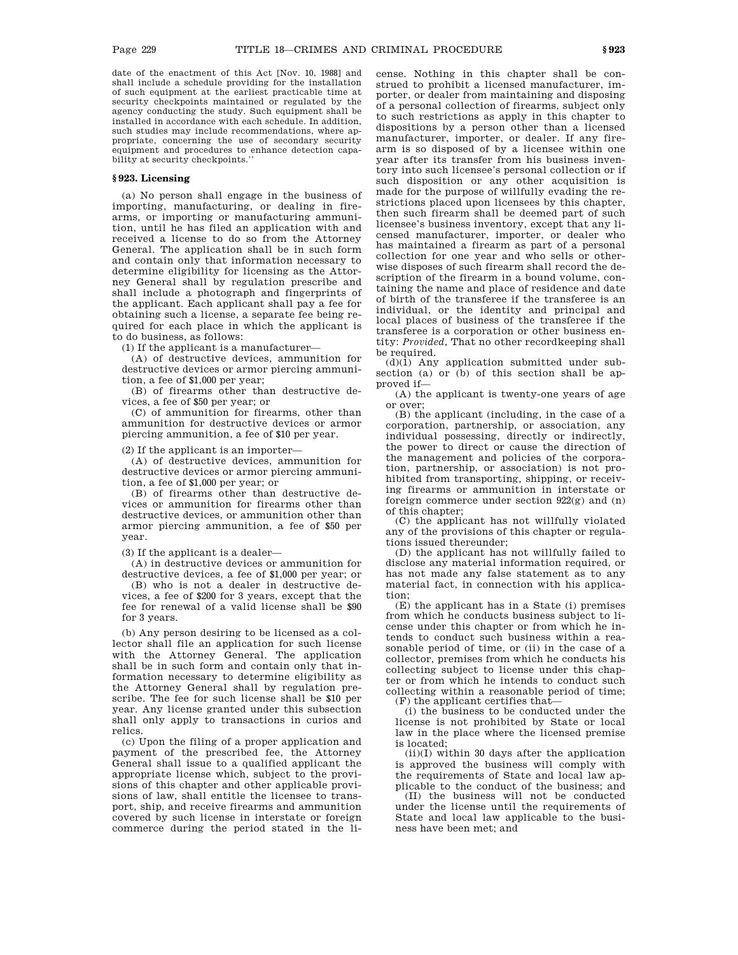date of the enactment of this Act [Nov. 10, 1988] and shall include a schedule providing for the installation of such equipment at the earliest practicable time at security checkpoints maintained or regulated by the agency conducting the study. Such equipment shall be installed in accordance with each schedule. In addition, such studies may include recommendations, where appropriate, concerning the use of secondary security equipment and procedures to enhance detection capability at security checkpoints.''

## **§ 923. Licensing**

(a) No person shall engage in the business of importing, manufacturing, or dealing in firearms, or importing or manufacturing ammunition, until he has filed an application with and received a license to do so from the Attorney General. The application shall be in such form and contain only that information necessary to determine eligibility for licensing as the Attorney General shall by regulation prescribe and shall include a photograph and fingerprints of the applicant. Each applicant shall pay a fee for obtaining such a license, a separate fee being required for each place in which the applicant is to do business, as follows:

(1) If the applicant is a manufacturer—

(A) of destructive devices, ammunition for destructive devices or armor piercing ammunition, a fee of \$1,000 per year;

(B) of firearms other than destructive devices, a fee of \$50 per year; or

(C) of ammunition for firearms, other than ammunition for destructive devices or armor piercing ammunition, a fee of \$10 per year.

(2) If the applicant is an importer—

(A) of destructive devices, ammunition for destructive devices or armor piercing ammunition, a fee of \$1,000 per year; or

(B) of firearms other than destructive devices or ammunition for firearms other than destructive devices, or ammunition other than armor piercing ammunition, a fee of \$50 per year.

(3) If the applicant is a dealer—

(A) in destructive devices or ammunition for destructive devices, a fee of \$1,000 per year; or

(B) who is not a dealer in destructive devices, a fee of \$200 for 3 years, except that the fee for renewal of a valid license shall be \$90 for 3 years.

(b) Any person desiring to be licensed as a collector shall file an application for such license with the Attorney General. The application shall be in such form and contain only that information necessary to determine eligibility as the Attorney General shall by regulation prescribe. The fee for such license shall be \$10 per year. Any license granted under this subsection shall only apply to transactions in curios and relics.

(c) Upon the filing of a proper application and payment of the prescribed fee, the Attorney General shall issue to a qualified applicant the appropriate license which, subject to the provisions of this chapter and other applicable provisions of law, shall entitle the licensee to transport, ship, and receive firearms and ammunition covered by such license in interstate or foreign commerce during the period stated in the license. Nothing in this chapter shall be construed to prohibit a licensed manufacturer, importer, or dealer from maintaining and disposing of a personal collection of firearms, subject only to such restrictions as apply in this chapter to dispositions by a person other than a licensed manufacturer, importer, or dealer. If any firearm is so disposed of by a licensee within one year after its transfer from his business inventory into such licensee's personal collection or if such disposition or any other acquisition is made for the purpose of willfully evading the restrictions placed upon licensees by this chapter, then such firearm shall be deemed part of such licensee's business inventory, except that any licensed manufacturer, importer, or dealer who has maintained a firearm as part of a personal collection for one year and who sells or otherwise disposes of such firearm shall record the description of the firearm in a bound volume, containing the name and place of residence and date of birth of the transferee if the transferee is an individual, or the identity and principal and local places of business of the transferee if the transferee is a corporation or other business entity: *Provided*, That no other recordkeeping shall be required.

 $(d)(\overline{1})$  Any application submitted under subsection (a) or (b) of this section shall be approved if—

(A) the applicant is twenty-one years of age or over;

(B) the applicant (including, in the case of a corporation, partnership, or association, any individual possessing, directly or indirectly, the power to direct or cause the direction of the management and policies of the corporation, partnership, or association) is not prohibited from transporting, shipping, or receiving firearms or ammunition in interstate or foreign commerce under section 922(g) and (n) of this chapter;

(C) the applicant has not willfully violated any of the provisions of this chapter or regulations issued thereunder;

(D) the applicant has not willfully failed to disclose any material information required, or has not made any false statement as to any material fact, in connection with his application;

(E) the applicant has in a State (i) premises from which he conducts business subject to license under this chapter or from which he intends to conduct such business within a reasonable period of time, or (ii) in the case of a collector, premises from which he conducts his collecting subject to license under this chapter or from which he intends to conduct such collecting within a reasonable period of time;  $(F)$  the applicant certifies that-

(i) the business to be conducted under the license is not prohibited by State or local law in the place where the licensed premise is located;

(ii)(I) within 30 days after the application is approved the business will comply with the requirements of State and local law applicable to the conduct of the business; and

(II) the business will not be conducted under the license until the requirements of State and local law applicable to the business have been met; and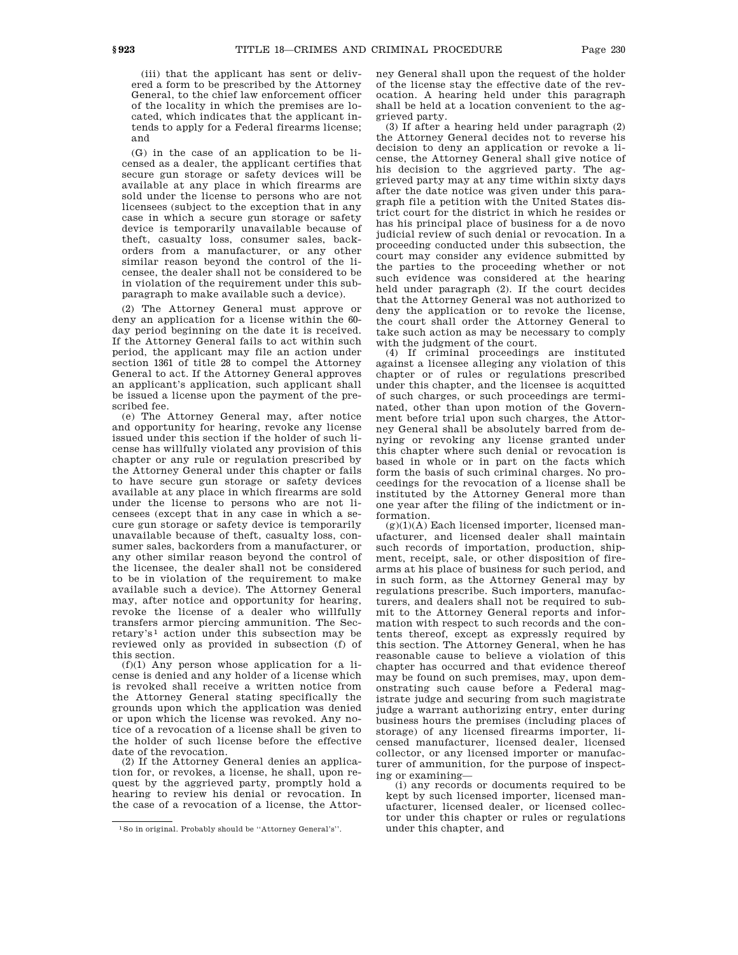(iii) that the applicant has sent or delivered a form to be prescribed by the Attorney General, to the chief law enforcement officer of the locality in which the premises are located, which indicates that the applicant intends to apply for a Federal firearms license; and

(G) in the case of an application to be licensed as a dealer, the applicant certifies that secure gun storage or safety devices will be available at any place in which firearms are sold under the license to persons who are not licensees (subject to the exception that in any case in which a secure gun storage or safety device is temporarily unavailable because of theft, casualty loss, consumer sales, backorders from a manufacturer, or any other similar reason beyond the control of the licensee, the dealer shall not be considered to be in violation of the requirement under this subparagraph to make available such a device).

(2) The Attorney General must approve or deny an application for a license within the 60 day period beginning on the date it is received. If the Attorney General fails to act within such period, the applicant may file an action under section 1361 of title 28 to compel the Attorney General to act. If the Attorney General approves an applicant's application, such applicant shall be issued a license upon the payment of the prescribed fee.

(e) The Attorney General may, after notice and opportunity for hearing, revoke any license issued under this section if the holder of such license has willfully violated any provision of this chapter or any rule or regulation prescribed by the Attorney General under this chapter or fails to have secure gun storage or safety devices available at any place in which firearms are sold under the license to persons who are not licensees (except that in any case in which a secure gun storage or safety device is temporarily unavailable because of theft, casualty loss, consumer sales, backorders from a manufacturer, or any other similar reason beyond the control of the licensee, the dealer shall not be considered to be in violation of the requirement to make available such a device). The Attorney General may, after notice and opportunity for hearing, revoke the license of a dealer who willfully transfers armor piercing ammunition. The Secretary's<sup>1</sup> action under this subsection may be reviewed only as provided in subsection (f) of this section.

 $(f)(1)$  Any person whose application for a license is denied and any holder of a license which is revoked shall receive a written notice from the Attorney General stating specifically the grounds upon which the application was denied or upon which the license was revoked. Any notice of a revocation of a license shall be given to the holder of such license before the effective date of the revocation.

(2) If the Attorney General denies an application for, or revokes, a license, he shall, upon request by the aggrieved party, promptly hold a hearing to review his denial or revocation. In the case of a revocation of a license, the Attorney General shall upon the request of the holder of the license stay the effective date of the revocation. A hearing held under this paragraph shall be held at a location convenient to the aggrieved party.

(3) If after a hearing held under paragraph (2) the Attorney General decides not to reverse his decision to deny an application or revoke a license, the Attorney General shall give notice of his decision to the aggrieved party. The aggrieved party may at any time within sixty days after the date notice was given under this paragraph file a petition with the United States district court for the district in which he resides or has his principal place of business for a de novo judicial review of such denial or revocation. In a proceeding conducted under this subsection, the court may consider any evidence submitted by the parties to the proceeding whether or not such evidence was considered at the hearing held under paragraph (2). If the court decides that the Attorney General was not authorized to deny the application or to revoke the license, the court shall order the Attorney General to take such action as may be necessary to comply with the judgment of the court.

(4) If criminal proceedings are instituted against a licensee alleging any violation of this chapter or of rules or regulations prescribed under this chapter, and the licensee is acquitted of such charges, or such proceedings are terminated, other than upon motion of the Government before trial upon such charges, the Attorney General shall be absolutely barred from denying or revoking any license granted under this chapter where such denial or revocation is based in whole or in part on the facts which form the basis of such criminal charges. No proceedings for the revocation of a license shall be instituted by the Attorney General more than one year after the filing of the indictment or information.

 $(g)(1)(A)$  Each licensed importer, licensed manufacturer, and licensed dealer shall maintain such records of importation, production, shipment, receipt, sale, or other disposition of firearms at his place of business for such period, and in such form, as the Attorney General may by regulations prescribe. Such importers, manufacturers, and dealers shall not be required to submit to the Attorney General reports and information with respect to such records and the contents thereof, except as expressly required by this section. The Attorney General, when he has reasonable cause to believe a violation of this chapter has occurred and that evidence thereof may be found on such premises, may, upon demonstrating such cause before a Federal magistrate judge and securing from such magistrate judge a warrant authorizing entry, enter during business hours the premises (including places of storage) of any licensed firearms importer, licensed manufacturer, licensed dealer, licensed collector, or any licensed importer or manufacturer of ammunition, for the purpose of inspecting or examining—

(i) any records or documents required to be kept by such licensed importer, licensed manufacturer, licensed dealer, or licensed collector under this chapter or rules or regulations under this chapter, and

<sup>1</sup>So in original. Probably should be ''Attorney General's''.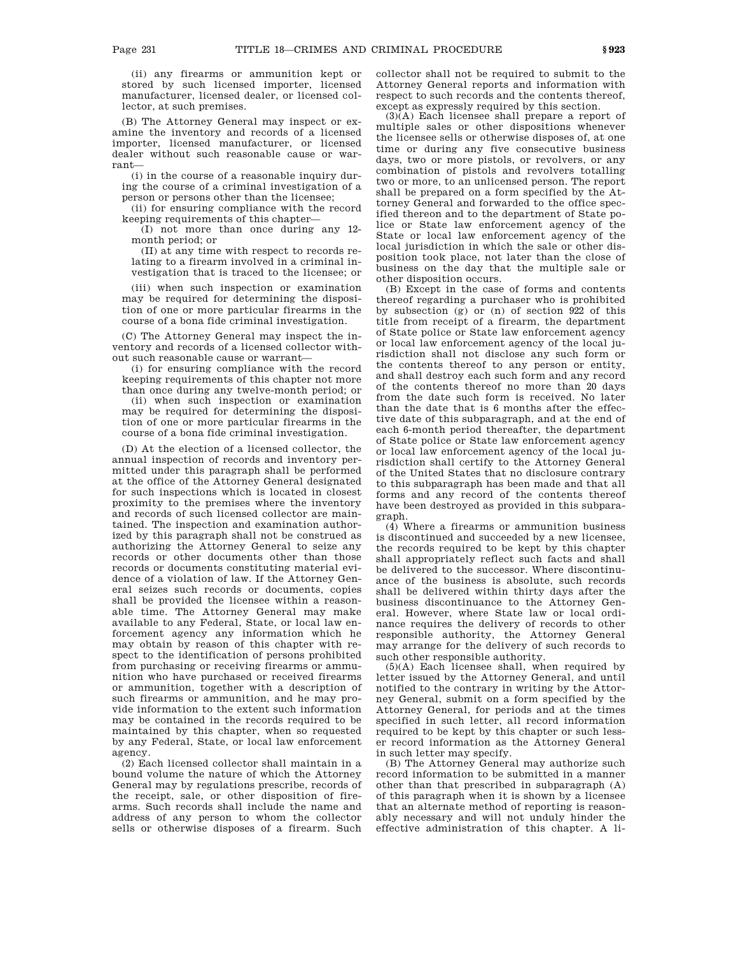(ii) any firearms or ammunition kept or stored by such licensed importer, licensed manufacturer, licensed dealer, or licensed collector, at such premises.

(B) The Attorney General may inspect or examine the inventory and records of a licensed importer, licensed manufacturer, or licensed dealer without such reasonable cause or warrant—

(i) in the course of a reasonable inquiry during the course of a criminal investigation of a person or persons other than the licensee;

(ii) for ensuring compliance with the record keeping requirements of this chapter—

(I) not more than once during any 12 month period; or

(II) at any time with respect to records relating to a firearm involved in a criminal investigation that is traced to the licensee; or

(iii) when such inspection or examination may be required for determining the disposition of one or more particular firearms in the course of a bona fide criminal investigation.

(C) The Attorney General may inspect the inventory and records of a licensed collector without such reasonable cause or warrant—

(i) for ensuring compliance with the record keeping requirements of this chapter not more than once during any twelve-month period; or

(ii) when such inspection or examination may be required for determining the disposition of one or more particular firearms in the course of a bona fide criminal investigation.

(D) At the election of a licensed collector, the annual inspection of records and inventory permitted under this paragraph shall be performed at the office of the Attorney General designated for such inspections which is located in closest proximity to the premises where the inventory and records of such licensed collector are maintained. The inspection and examination authorized by this paragraph shall not be construed as authorizing the Attorney General to seize any records or other documents other than those records or documents constituting material evidence of a violation of law. If the Attorney General seizes such records or documents, copies shall be provided the licensee within a reasonable time. The Attorney General may make available to any Federal, State, or local law enforcement agency any information which he may obtain by reason of this chapter with respect to the identification of persons prohibited from purchasing or receiving firearms or ammunition who have purchased or received firearms or ammunition, together with a description of such firearms or ammunition, and he may provide information to the extent such information may be contained in the records required to be maintained by this chapter, when so requested by any Federal, State, or local law enforcement agency.

(2) Each licensed collector shall maintain in a bound volume the nature of which the Attorney General may by regulations prescribe, records of the receipt, sale, or other disposition of firearms. Such records shall include the name and address of any person to whom the collector sells or otherwise disposes of a firearm. Such

collector shall not be required to submit to the Attorney General reports and information with respect to such records and the contents thereof, except as expressly required by this section.

(3)(A) Each licensee shall prepare a report of multiple sales or other dispositions whenever the licensee sells or otherwise disposes of, at one time or during any five consecutive business days, two or more pistols, or revolvers, or any combination of pistols and revolvers totalling two or more, to an unlicensed person. The report shall be prepared on a form specified by the Attorney General and forwarded to the office specified thereon and to the department of State police or State law enforcement agency of the State or local law enforcement agency of the local jurisdiction in which the sale or other disposition took place, not later than the close of business on the day that the multiple sale or other disposition occurs.

(B) Except in the case of forms and contents thereof regarding a purchaser who is prohibited by subsection (g) or (n) of section 922 of this title from receipt of a firearm, the department of State police or State law enforcement agency or local law enforcement agency of the local jurisdiction shall not disclose any such form or the contents thereof to any person or entity, and shall destroy each such form and any record of the contents thereof no more than 20 days from the date such form is received. No later than the date that is 6 months after the effective date of this subparagraph, and at the end of each 6-month period thereafter, the department of State police or State law enforcement agency or local law enforcement agency of the local jurisdiction shall certify to the Attorney General of the United States that no disclosure contrary to this subparagraph has been made and that all forms and any record of the contents thereof have been destroyed as provided in this subparagraph.

(4) Where a firearms or ammunition business is discontinued and succeeded by a new licensee, the records required to be kept by this chapter shall appropriately reflect such facts and shall be delivered to the successor. Where discontinuance of the business is absolute, such records shall be delivered within thirty days after the business discontinuance to the Attorney General. However, where State law or local ordinance requires the delivery of records to other responsible authority, the Attorney General may arrange for the delivery of such records to such other responsible authority.

(5)(A) Each licensee shall, when required by letter issued by the Attorney General, and until notified to the contrary in writing by the Attorney General, submit on a form specified by the Attorney General, for periods and at the times specified in such letter, all record information required to be kept by this chapter or such lesser record information as the Attorney General in such letter may specify.

(B) The Attorney General may authorize such record information to be submitted in a manner other than that prescribed in subparagraph (A) of this paragraph when it is shown by a licensee that an alternate method of reporting is reasonably necessary and will not unduly hinder the effective administration of this chapter. A li-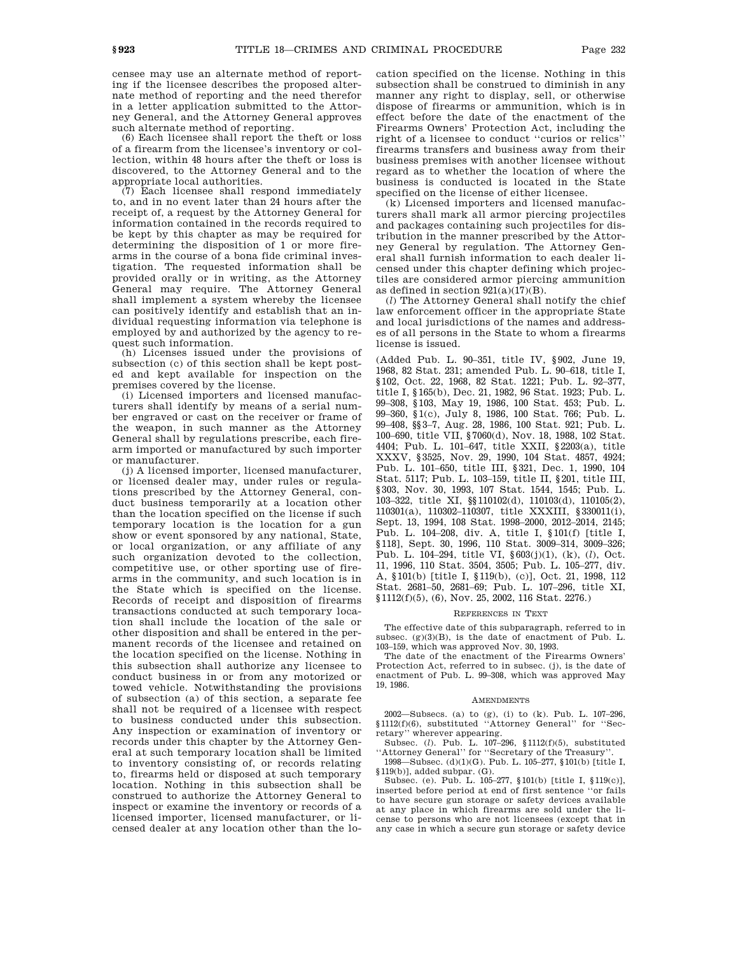censee may use an alternate method of reporting if the licensee describes the proposed alternate method of reporting and the need therefor in a letter application submitted to the Attorney General, and the Attorney General approves such alternate method of reporting.

(6) Each licensee shall report the theft or loss of a firearm from the licensee's inventory or collection, within 48 hours after the theft or loss is discovered, to the Attorney General and to the appropriate local authorities.

(7) Each licensee shall respond immediately to, and in no event later than 24 hours after the receipt of, a request by the Attorney General for information contained in the records required to be kept by this chapter as may be required for determining the disposition of 1 or more firearms in the course of a bona fide criminal investigation. The requested information shall be provided orally or in writing, as the Attorney General may require. The Attorney General shall implement a system whereby the licensee can positively identify and establish that an individual requesting information via telephone is employed by and authorized by the agency to request such information.

(h) Licenses issued under the provisions of subsection (c) of this section shall be kept posted and kept available for inspection on the premises covered by the license.

(i) Licensed importers and licensed manufacturers shall identify by means of a serial number engraved or cast on the receiver or frame of the weapon, in such manner as the Attorney General shall by regulations prescribe, each firearm imported or manufactured by such importer or manufacturer.

(j) A licensed importer, licensed manufacturer, or licensed dealer may, under rules or regulations prescribed by the Attorney General, conduct business temporarily at a location other than the location specified on the license if such temporary location is the location for a gun show or event sponsored by any national, State, or local organization, or any affiliate of any such organization devoted to the collection, competitive use, or other sporting use of firearms in the community, and such location is in the State which is specified on the license. Records of receipt and disposition of firearms transactions conducted at such temporary location shall include the location of the sale or other disposition and shall be entered in the permanent records of the licensee and retained on the location specified on the license. Nothing in this subsection shall authorize any licensee to conduct business in or from any motorized or towed vehicle. Notwithstanding the provisions of subsection (a) of this section, a separate fee shall not be required of a licensee with respect to business conducted under this subsection. Any inspection or examination of inventory or records under this chapter by the Attorney General at such temporary location shall be limited to inventory consisting of, or records relating to, firearms held or disposed at such temporary location. Nothing in this subsection shall be construed to authorize the Attorney General to inspect or examine the inventory or records of a licensed importer, licensed manufacturer, or licensed dealer at any location other than the location specified on the license. Nothing in this subsection shall be construed to diminish in any manner any right to display, sell, or otherwise dispose of firearms or ammunition, which is in effect before the date of the enactment of the Firearms Owners' Protection Act, including the right of a licensee to conduct ''curios or relics'' firearms transfers and business away from their business premises with another licensee without regard as to whether the location of where the business is conducted is located in the State specified on the license of either licensee.

(k) Licensed importers and licensed manufacturers shall mark all armor piercing projectiles and packages containing such projectiles for distribution in the manner prescribed by the Attorney General by regulation. The Attorney General shall furnish information to each dealer licensed under this chapter defining which projectiles are considered armor piercing ammunition as defined in section 921(a)(17)(B).

(*l*) The Attorney General shall notify the chief law enforcement officer in the appropriate State and local jurisdictions of the names and addresses of all persons in the State to whom a firearms license is issued.

(Added Pub. L. 90–351, title IV, §902, June 19, 1968, 82 Stat. 231; amended Pub. L. 90–618, title I, §102, Oct. 22, 1968, 82 Stat. 1221; Pub. L. 92–377, title I, §165(b), Dec. 21, 1982, 96 Stat. 1923; Pub. L. 99–308, §103, May 19, 1986, 100 Stat. 453; Pub. L. 99–360, §1(c), July 8, 1986, 100 Stat. 766; Pub. L. 99–408, §§3–7, Aug. 28, 1986, 100 Stat. 921; Pub. L. 100–690, title VII, §7060(d), Nov. 18, 1988, 102 Stat. 4404; Pub. L. 101–647, title XXII, §2203(a), title XXXV, §3525, Nov. 29, 1990, 104 Stat. 4857, 4924; Pub. L. 101–650, title III, §321, Dec. 1, 1990, 104 Stat. 5117; Pub. L. 103–159, title II, §201, title III, §303, Nov. 30, 1993, 107 Stat. 1544, 1545; Pub. L. 103–322, title XI, §§110102(d), 110103(d), 110105(2), 110301(a), 110302–110307, title XXXIII, §330011(i), Sept. 13, 1994, 108 Stat. 1998–2000, 2012–2014, 2145; Pub. L. 104–208, div. A, title I, §101(f) [title I, §118], Sept. 30, 1996, 110 Stat. 3009–314, 3009–326; Pub. L. 104–294, title VI, §603(j)(1), (k), (*l*), Oct. 11, 1996, 110 Stat. 3504, 3505; Pub. L. 105–277, div. A, §101(b) [title I, §119(b), (c)], Oct. 21, 1998, 112 Stat. 2681–50, 2681–69; Pub. L. 107–296, title XI, §1112(f)(5), (6), Nov. 25, 2002, 116 Stat. 2276.)

### REFERENCES IN TEXT

The effective date of this subparagraph, referred to in subsec.  $(g)(3)(B)$ , is the date of enactment of Pub. L. 103–159, which was approved Nov. 30, 1993.

The date of the enactment of the Firearms Owners' Protection Act, referred to in subsec. (j), is the date of enactment of Pub. L. 99–308, which was approved May 19, 1986.

#### AMENDMENTS

2002—Subsecs. (a) to (g), (i) to (k). Pub. L. 107–296, §1112(f)(6), substituted ''Attorney General'' for ''Secretary'' wherever appearing.

Subsec. (*l*). Pub. L. 107–296, §1112(f)(5), substituted ''Attorney General'' for ''Secretary of the Treasury''.

1998—Subsec. (d)(1)(G). Pub. L. 105–277, §101(b) [title I, §119(b)], added subpar. (G).

Subsec. (e). Pub. L. 105–277, §101(b) [title I, §119(c)], inserted before period at end of first sentence ''or fails to have secure gun storage or safety devices available at any place in which firearms are sold under the license to persons who are not licensees (except that in any case in which a secure gun storage or safety device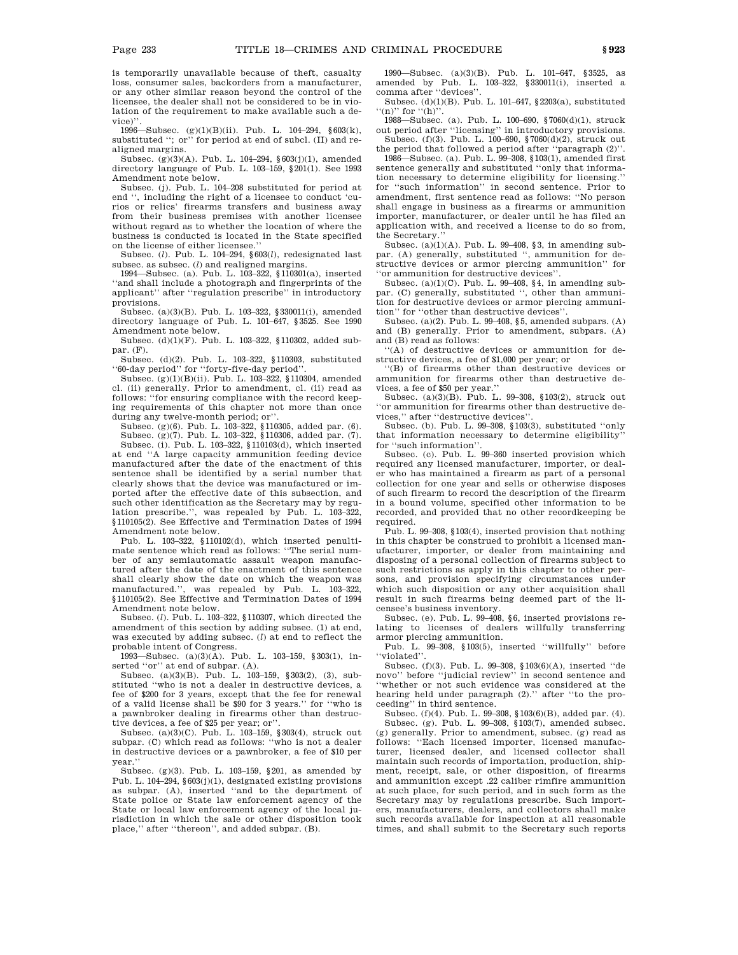is temporarily unavailable because of theft, casualty loss, consumer sales, backorders from a manufacturer, or any other similar reason beyond the control of the licensee, the dealer shall not be considered to be in violation of the requirement to make available such a device)''.

1996—Subsec. (g)(1)(B)(ii). Pub. L. 104–294, §603(k), substituted ''; or'' for period at end of subcl. (II) and realigned margins.

Subsec. (g)(3)(A). Pub. L. 104–294, §603(j)(1), amended directory language of Pub. L. 103–159, §201(1). See 1993 Amendment note below.

Subsec. (j). Pub. L. 104–208 substituted for period at end '', including the right of a licensee to conduct 'curios or relics' firearms transfers and business away from their business premises with another licensee without regard as to whether the location of where the business is conducted is located in the State specified on the license of either licensee.''

Subsec. (*l*). Pub. L. 104–294, §603(*l*), redesignated last subsec. as subsec. (*l*) and realigned margins.

1994—Subsec. (a). Pub. L. 103–322, §110301(a), inserted ''and shall include a photograph and fingerprints of the applicant'' after ''regulation prescribe'' in introductory provisions.

Subsec. (a)(3)(B). Pub. L. 103–322, §330011(i), amended directory language of Pub. L. 101–647, §3525. See 1990 Amendment note below.

Subsec. (d)(1)(F). Pub. L. 103–322, §110302, added subpar. (F).

Subsec. (d)(2). Pub. L. 103–322, §110303, substituted ''60-day period'' for ''forty-five-day period''.

Subsec. (g)(1)(B)(ii). Pub. L. 103–322, §110304, amended cl. (ii) generally. Prior to amendment, cl. (ii) read as follows: ''for ensuring compliance with the record keeping requirements of this chapter not more than once during any twelve-month period; or''.

Subsec. (g)(6). Pub. L. 103–322, §110305, added par. (6). Subsec. (g)(7). Pub. L. 103–322, §110306, added par. (7).

Subsec. (i). Pub. L. 103–322, §110103(d), which inserted at end ''A large capacity ammunition feeding device manufactured after the date of the enactment of this sentence shall be identified by a serial number that clearly shows that the device was manufactured or imported after the effective date of this subsection, and such other identification as the Secretary may by regulation prescribe.'', was repealed by Pub. L. 103–322, §110105(2). See Effective and Termination Dates of 1994 Amendment note below.

Pub. L. 103–322, §110102(d), which inserted penultimate sentence which read as follows: ''The serial number of any semiautomatic assault weapon manufactured after the date of the enactment of this sentence shall clearly show the date on which the weapon was manufactured.'', was repealed by Pub. L. 103–322, §110105(2). See Effective and Termination Dates of 1994 Amendment note below.

Subsec. (*l*). Pub. L. 103–322, §110307, which directed the amendment of this section by adding subsec. (1) at end, was executed by adding subsec. (*l*) at end to reflect the probable intent of Congress.

1993—Subsec. (a)(3)(A). Pub. L. 103–159, §303(1), inserted ''or'' at end of subpar. (A).

Subsec. (a)(3)(B). Pub. L. 103–159, §303(2), (3), substituted ''who is not a dealer in destructive devices, a fee of \$200 for 3 years, except that the fee for renewal of a valid license shall be \$90 for 3 years.'' for ''who is a pawnbroker dealing in firearms other than destructive devices, a fee of \$25 per year; or''.

Subsec. (a)(3)(C). Pub. L. 103–159, §303(4), struck out subpar. (C) which read as follows: ''who is not a dealer in destructive devices or a pawnbroker, a fee of \$10 per year.'

Subsec. (g)(3). Pub. L. 103–159, §201, as amended by Pub. L. 104–294, §603(j)(1), designated existing provisions as subpar. (A), inserted ''and to the department of State police or State law enforcement agency of the State or local law enforcement agency of the local jurisdiction in which the sale or other disposition took place,'' after ''thereon'', and added subpar. (B).

1990—Subsec. (a)(3)(B). Pub. L. 101–647, §3525, as amended by Pub. L. 103–322, §330011(i), inserted a comma after ''devices''.

Subsec. (d)(1)(B). Pub. L. 101–647, §2203(a), substituted "(n)" for  $\overline{(\text{h})}$ ".

1988—Subsec. (a). Pub. L. 100–690, §7060(d)(1), struck out period after ''licensing'' in introductory provisions. Subsec. (f)(3). Pub. L. 100–690, §7060(d)(2), struck out

the period that followed a period after ''paragraph (2)''. 1986—Subsec. (a). Pub. L. 99–308, §103(1), amended first

sentence generally and substituted ''only that information necessary to determine eligibility for licensing.'' for ''such information'' in second sentence. Prior to amendment, first sentence read as follows: ''No person shall engage in business as a firearms or ammunition importer, manufacturer, or dealer until he has filed an application with, and received a license to do so from, the Secretary.''

Subsec.  $(a)(1)(A)$ . Pub. L. 99–408, §3, in amending subpar. (A) generally, substituted '', ammunition for destructive devices or armor piercing ammunition'' for 'or ammunition for destructive devices".

Subsec. (a)(1)(C). Pub. L. 99-408, §4, in amending subpar. (C) generally, substituted ", other than ammunition for destructive devices or armor piercing ammunition'' for ''other than destructive devices''.

Subsec. (a)(2). Pub. L. 99–408, §5, amended subpars. (A) and (B) generally. Prior to amendment, subpars. (A) and (B) read as follows:

''(A) of destructive devices or ammunition for destructive devices, a fee of \$1,000 per year; or

''(B) of firearms other than destructive devices or ammunition for firearms other than destructive devices, a fee of \$50 per year.''

Subsec. (a)(3)(B). Pub. L. 99–308, §103(2), struck out ''or ammunition for firearms other than destructive devices,'' after ''destructive devices''.

Subsec. (b). Pub. L. 99–308, §103(3), substituted ''only that information necessary to determine eligibility'' for ''such information''.

Subsec. (c). Pub. L. 99–360 inserted provision which required any licensed manufacturer, importer, or dealer who has maintained a firearm as part of a personal collection for one year and sells or otherwise disposes of such firearm to record the description of the firearm in a bound volume, specified other information to be recorded, and provided that no other recordkeeping be required.

Pub. L. 99–308, §103(4), inserted provision that nothing in this chapter be construed to prohibit a licensed manufacturer, importer, or dealer from maintaining and disposing of a personal collection of firearms subject to such restrictions as apply in this chapter to other persons, and provision specifying circumstances under which such disposition or any other acquisition shall result in such firearms being deemed part of the licensee's business inventory.

Subsec. (e). Pub. L. 99–408, §6, inserted provisions relating to licenses of dealers willfully transferring armor piercing ammunition.

Pub. L. 99-308, §103(5), inserted "willfully" before ''violated''.

Subsec. (f)(3). Pub. L. 99–308, §103(6)(A), inserted ''de novo'' before ''judicial review'' in second sentence and ''whether or not such evidence was considered at the hearing held under paragraph (2).'' after ''to the proceeding'' in third sentence.

Subsec. (f)(4). Pub. L. 99–308, §103(6)(B), added par. (4). Subsec. (g). Pub. L. 99–308, §103(7), amended subsec. (g) generally. Prior to amendment, subsec. (g) read as follows: ''Each licensed importer, licensed manufacturer, licensed dealer, and licensed collector shall maintain such records of importation, production, shipment, receipt, sale, or other disposition, of firearms and ammunition except .22 caliber rimfire ammunition at such place, for such period, and in such form as the Secretary may by regulations prescribe. Such importers, manufacturers, dealers, and collectors shall make such records available for inspection at all reasonable times, and shall submit to the Secretary such reports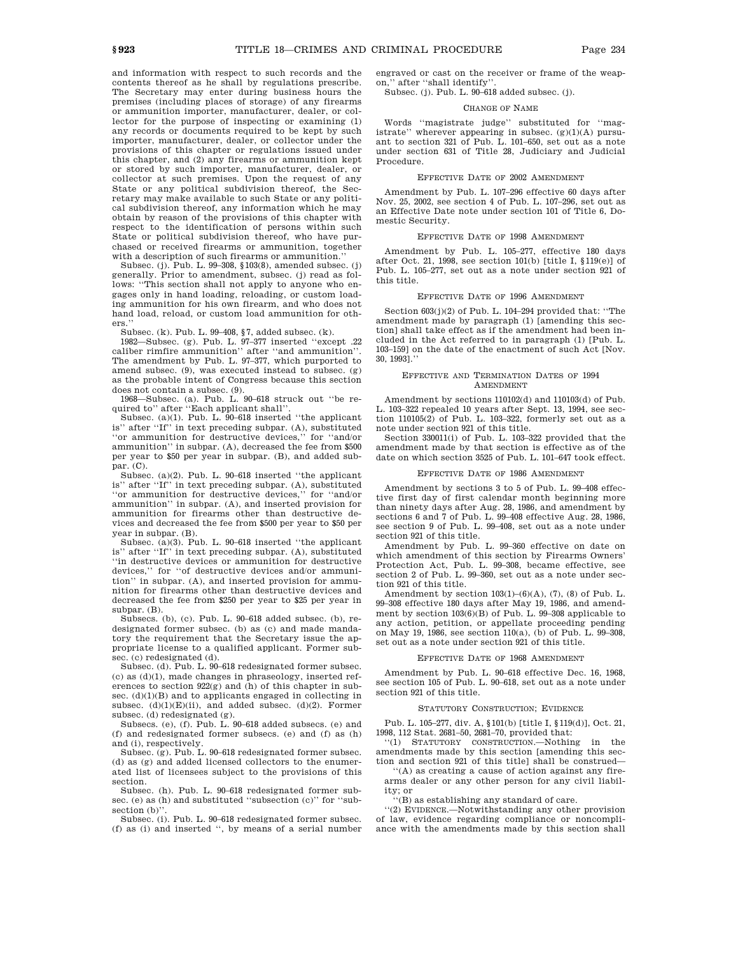and information with respect to such records and the contents thereof as he shall by regulations prescribe. The Secretary may enter during business hours the premises (including places of storage) of any firearms or ammunition importer, manufacturer, dealer, or collector for the purpose of inspecting or examining (1) any records or documents required to be kept by such importer, manufacturer, dealer, or collector under the provisions of this chapter or regulations issued under this chapter, and (2) any firearms or ammunition kept or stored by such importer, manufacturer, dealer, or collector at such premises. Upon the request of any State or any political subdivision thereof, the Secretary may make available to such State or any political subdivision thereof, any information which he may obtain by reason of the provisions of this chapter with respect to the identification of persons within such State or political subdivision thereof, who have purchased or received firearms or ammunition, together with a description of such firearms or ammunition.''

Subsec. (j). Pub. L. 99–308, §103(8), amended subsec. (j) generally. Prior to amendment, subsec. (j) read as follows: "This section shall not apply to anyone who engages only in hand loading, reloading, or custom loading ammunition for his own firearm, and who does not hand load, reload, or custom load ammunition for others.''

Subsec. (k). Pub. L. 99–408, §7, added subsec. (k). 1982—Subsec. (g). Pub. L. 97–377 inserted ''except .22 caliber rimfire ammunition'' after ''and ammunition''. The amendment by Pub. L. 97–377, which purported to amend subsec. (9), was executed instead to subsec. (g) as the probable intent of Congress because this section does not contain a subsec. (9).

1968—Subsec. (a). Pub. L. 90–618 struck out ''be required to'' after ''Each applicant shall''.

Subsec.  $(a)(1)$ . Pub. L. 90–618 inserted "the applicant" is'' after ''If'' in text preceding subpar. (A), substituted ''or ammunition for destructive devices,'' for ''and/or ammunition'' in subpar. (A), decreased the fee from \$500 per year to \$50 per year in subpar. (B), and added subpar. (C).

Subsec. (a)(2). Pub. L. 90–618 inserted ''the applicant is'' after ''If'' in text preceding subpar. (A), substituted ''or ammunition for destructive devices,'' for ''and/or ammunition'' in subpar. (A), and inserted provision for ammunition for firearms other than destructive devices and decreased the fee from \$500 per year to \$50 per year in subpar. (B).

Subsec. (a)(3). Pub. L. 90–618 inserted ''the applicant is'' after ''If'' in text preceding subpar. (A), substituted ''in destructive devices or ammunition for destructive devices,'' for ''of destructive devices and/or ammunition'' in subpar. (A), and inserted provision for ammunition for firearms other than destructive devices and decreased the fee from \$250 per year to \$25 per year in subpar. (B).

Subsecs. (b), (c). Pub. L. 90–618 added subsec. (b), redesignated former subsec. (b) as (c) and made mandatory the requirement that the Secretary issue the appropriate license to a qualified applicant. Former subsec. (c) redesignated (d).

Subsec. (d). Pub. L. 90–618 redesignated former subsec. (c) as  $(d)(1)$ , made changes in phraseology, inserted references to section 922(g) and (h) of this chapter in subsec. (d)(1)(B) and to applicants engaged in collecting in subsec.  $(d)(1)(E)(ii)$ , and added subsec.  $(d)(2)$ . Former subsec. (d) redesignated (g). Subsecs. (e), (f). Pub. L. 90–618 added subsecs. (e) and

(f) and redesignated former subsecs. (e) and (f) as (h) and (i), respectively.

Subsec. (g). Pub. L. 90–618 redesignated former subsec. (d) as (g) and added licensed collectors to the enumerated list of licensees subject to the provisions of this section.

Subsec. (h). Pub. L. 90–618 redesignated former subsec. (e) as (h) and substituted ''subsection (c)'' for ''subsection (b)".

Subsec. (i). Pub. L. 90–618 redesignated former subsec. (f) as (i) and inserted '', by means of a serial number engraved or cast on the receiver or frame of the weapon,'' after ''shall identify''.

Subsec. (j). Pub. L. 90–618 added subsec. (j).

### CHANGE OF NAME

Words ''magistrate judge'' substituted for ''magistrate'' wherever appearing in subsec.  $(g)(1)(A)$  pursuant to section 321 of Pub. L. 101–650, set out as a note under section 631 of Title 28, Judiciary and Judicial Procedure.

## EFFECTIVE DATE OF 2002 AMENDMENT

Amendment by Pub. L. 107–296 effective 60 days after Nov. 25, 2002, see section 4 of Pub. L. 107–296, set out as an Effective Date note under section 101 of Title 6, Domestic Security.

## EFFECTIVE DATE OF 1998 AMENDMENT

Amendment by Pub. L. 105–277, effective 180 days after Oct. 21, 1998, see section 101(b) [title I, §119(e)] of Pub. L. 105–277, set out as a note under section 921 of this title.

## EFFECTIVE DATE OF 1996 AMENDMENT

Section 603(j)(2) of Pub. L. 104–294 provided that: ''The amendment made by paragraph (1) [amending this section] shall take effect as if the amendment had been included in the Act referred to in paragraph (1) [Pub. L. 103–159] on the date of the enactment of such Act [Nov. 30, 1993].''

#### EFFECTIVE AND TERMINATION DATES OF 1994 AMENDMENT

Amendment by sections 110102(d) and 110103(d) of Pub. L. 103–322 repealed 10 years after Sept. 13, 1994, see section 110105(2) of Pub. L. 103–322, formerly set out as a note under section 921 of this title.

Section 330011(i) of Pub. L. 103–322 provided that the amendment made by that section is effective as of the date on which section 3525 of Pub. L. 101–647 took effect.

#### EFFECTIVE DATE OF 1986 AMENDMENT

Amendment by sections 3 to 5 of Pub. L. 99–408 effective first day of first calendar month beginning more than ninety days after Aug. 28, 1986, and amendment by sections 6 and 7 of Pub. L. 99-408 effective Aug. 28, 1986, see section 9 of Pub. L. 99–408, set out as a note under section 921 of this title.

Amendment by Pub. L. 99–360 effective on date on which amendment of this section by Firearms Owners' Protection Act, Pub. L. 99–308, became effective, see section 2 of Pub. L. 99–360, set out as a note under section 921 of this title.

Amendment by section  $103(1)$ – $(6)(A)$ ,  $(7)$ ,  $(8)$  of Pub. L. 99–308 effective 180 days after May 19, 1986, and amendment by section 103(6)(B) of Pub. L. 99–308 applicable to any action, petition, or appellate proceeding pending on May 19, 1986, see section 110(a), (b) of Pub. L. 99–308, set out as a note under section 921 of this title.

## EFFECTIVE DATE OF 1968 AMENDMENT

Amendment by Pub. L. 90–618 effective Dec. 16, 1968, see section 105 of Pub. L. 90–618, set out as a note under section 921 of this title.

### STATUTORY CONSTRUCTION; EVIDENCE

Pub. L. 105–277, div. A, §101(b) [title I, §119(d)], Oct. 21, 1998, 112 Stat. 2681–50, 2681–70, provided that:

''(1) STATUTORY CONSTRUCTION.—Nothing in the amendments made by this section [amending this section and section 921 of this title] shall be construed—

''(A) as creating a cause of action against any firearms dealer or any other person for any civil liability; or

''(B) as establishing any standard of care.

'(2) EVIDENCE.—Notwithstanding any other provision of law, evidence regarding compliance or noncompliance with the amendments made by this section shall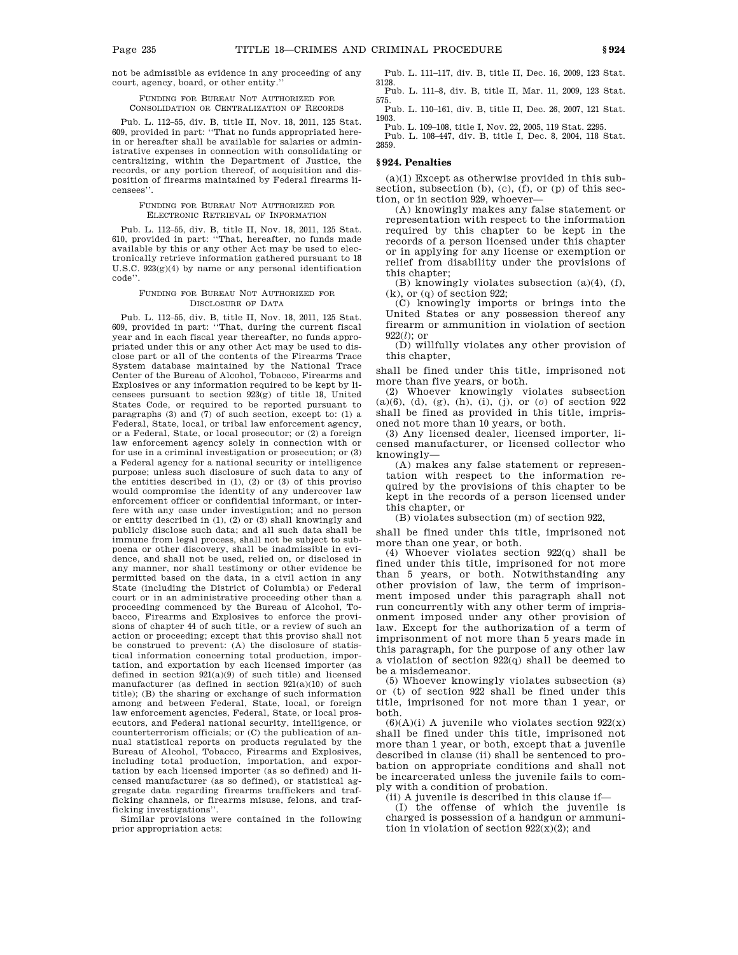not be admissible as evidence in any proceeding of any court, agency, board, or other entity.''

FUNDING FOR BUREAU NOT AUTHORIZED FOR CONSOLIDATION OR CENTRALIZATION OF RECORDS

Pub. L. 112–55, div. B, title II, Nov. 18, 2011, 125 Stat. 609, provided in part: ''That no funds appropriated herein or hereafter shall be available for salaries or administrative expenses in connection with consolidating or centralizing, within the Department of Justice, the records, or any portion thereof, of acquisition and disposition of firearms maintained by Federal firearms licensees''.

#### FUNDING FOR BUREAU NOT AUTHORIZED FOR ELECTRONIC RETRIEVAL OF INFORMATION

Pub. L. 112–55, div. B, title II, Nov. 18, 2011, 125 Stat. 610, provided in part: ''That, hereafter, no funds made available by this or any other Act may be used to electronically retrieve information gathered pursuant to 18 U.S.C.  $923(g)(4)$  by name or any personal identification code''.

## FUNDING FOR BUREAU NOT AUTHORIZED FOR DISCLOSURE OF DATA

Pub. L. 112–55, div. B, title II, Nov. 18, 2011, 125 Stat. 609, provided in part: ''That, during the current fiscal year and in each fiscal year thereafter, no funds appropriated under this or any other Act may be used to disclose part or all of the contents of the Firearms Trace System database maintained by the National Trace Center of the Bureau of Alcohol, Tobacco, Firearms and Explosives or any information required to be kept by licensees pursuant to section 923(g) of title 18, United States Code, or required to be reported pursuant to paragraphs (3) and (7) of such section, except to: (1) a Federal, State, local, or tribal law enforcement agency, or a Federal, State, or local prosecutor; or (2) a foreign law enforcement agency solely in connection with or for use in a criminal investigation or prosecution; or (3) a Federal agency for a national security or intelligence purpose; unless such disclosure of such data to any of the entities described in (1), (2) or (3) of this proviso would compromise the identity of any undercover law enforcement officer or confidential informant, or interfere with any case under investigation; and no person or entity described in (1), (2) or (3) shall knowingly and publicly disclose such data; and all such data shall be immune from legal process, shall not be subject to subpoena or other discovery, shall be inadmissible in evidence, and shall not be used, relied on, or disclosed in any manner, nor shall testimony or other evidence be permitted based on the data, in a civil action in any State (including the District of Columbia) or Federal court or in an administrative proceeding other than a proceeding commenced by the Bureau of Alcohol, Tobacco, Firearms and Explosives to enforce the provisions of chapter 44 of such title, or a review of such an action or proceeding; except that this proviso shall not be construed to prevent: (A) the disclosure of statistical information concerning total production, importation, and exportation by each licensed importer (as defined in section  $921(a)(9)$  of such title) and licensed manufacturer (as defined in section 921(a)(10) of such title); (B) the sharing or exchange of such information among and between Federal, State, local, or foreign law enforcement agencies, Federal, State, or local prosecutors, and Federal national security, intelligence, or counterterrorism officials; or (C) the publication of annual statistical reports on products regulated by the Bureau of Alcohol, Tobacco, Firearms and Explosives, including total production, importation, and exportation by each licensed importer (as so defined) and licensed manufacturer (as so defined), or statistical aggregate data regarding firearms traffickers and trafficking channels, or firearms misuse, felons, and trafficking investigations''.

Similar provisions were contained in the following prior appropriation acts:

Pub. L. 111–117, div. B, title II, Dec. 16, 2009, 123 Stat. 3128.

Pub. L. 111–8, div. B, title II, Mar. 11, 2009, 123 Stat. 575.

Pub. L. 110–161, div. B, title II, Dec. 26, 2007, 121 Stat. 1903. Pub. L. 109–108, title I, Nov. 22, 2005, 119 Stat. 2295.

Pub. L. 108–447, div. B, title I, Dec. 8, 2004, 118 Stat. 2859.

## **§ 924. Penalties**

 $(a)(1)$  Except as otherwise provided in this subsection, subsection (b), (c), (f), or (p) of this section, or in section 929, whoever—

(A) knowingly makes any false statement or representation with respect to the information required by this chapter to be kept in the records of a person licensed under this chapter or in applying for any license or exemption or relief from disability under the provisions of this chapter;

(B) knowingly violates subsection (a)(4), (f), (k), or (q) of section 922;

(C) knowingly imports or brings into the United States or any possession thereof any firearm or ammunition in violation of section 922(*l*); or

(D) willfully violates any other provision of this chapter,

shall be fined under this title, imprisoned not more than five years, or both.

(2) Whoever knowingly violates subsection (a)(6), (d), (g), (h), (i), (j), or (*o*) of section 922 shall be fined as provided in this title, imprisoned not more than 10 years, or both.

(3) Any licensed dealer, licensed importer, licensed manufacturer, or licensed collector who knowingly—

(A) makes any false statement or representation with respect to the information required by the provisions of this chapter to be kept in the records of a person licensed under this chapter, or

(B) violates subsection (m) of section 922,

shall be fined under this title, imprisoned not more than one year, or both.

(4) Whoever violates section 922(q) shall be fined under this title, imprisoned for not more than 5 years, or both. Notwithstanding any other provision of law, the term of imprisonment imposed under this paragraph shall not run concurrently with any other term of imprisonment imposed under any other provision of law. Except for the authorization of a term of imprisonment of not more than 5 years made in this paragraph, for the purpose of any other law a violation of section 922(q) shall be deemed to be a misdemeanor.

(5) Whoever knowingly violates subsection (s) or (t) of section 922 shall be fined under this title, imprisoned for not more than 1 year, or both.

 $(6)(A)(i)$  A juvenile who violates section  $922(x)$ shall be fined under this title, imprisoned not more than 1 year, or both, except that a juvenile described in clause (ii) shall be sentenced to probation on appropriate conditions and shall not be incarcerated unless the juvenile fails to comply with a condition of probation.

(ii) A juvenile is described in this clause if—

(I) the offense of which the juvenile is charged is possession of a handgun or ammunition in violation of section  $922(x)(2)$ ; and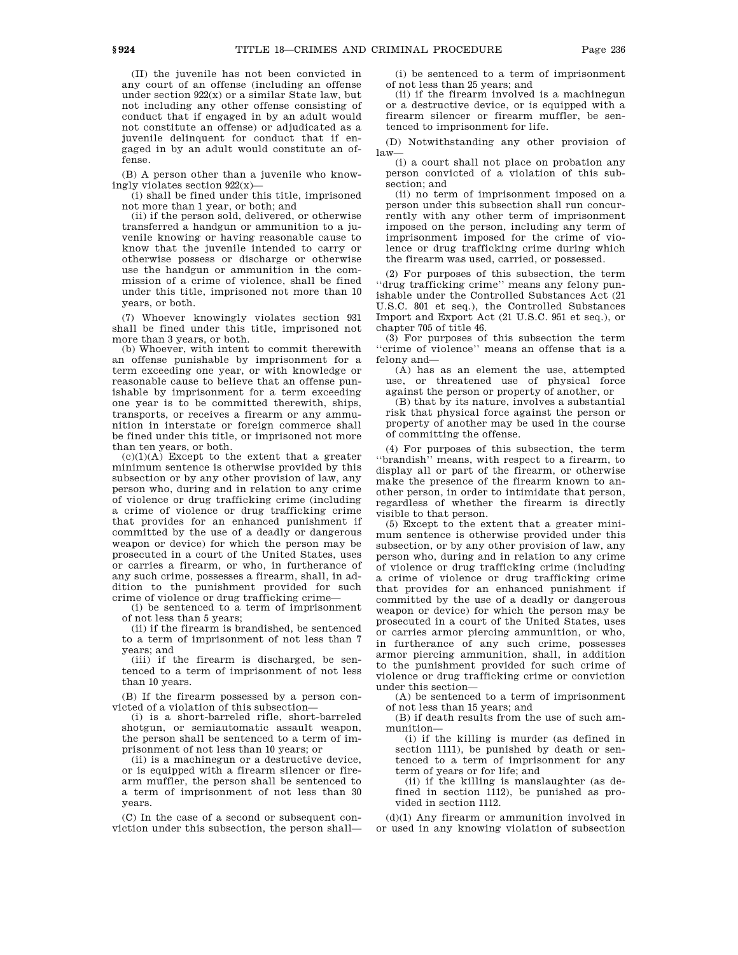(II) the juvenile has not been convicted in any court of an offense (including an offense under section  $922(x)$  or a similar State law, but not including any other offense consisting of conduct that if engaged in by an adult would not constitute an offense) or adjudicated as a juvenile delinquent for conduct that if engaged in by an adult would constitute an offense.

(B) A person other than a juvenile who knowingly violates section  $922(x)$ 

(i) shall be fined under this title, imprisoned not more than 1 year, or both; and

(ii) if the person sold, delivered, or otherwise transferred a handgun or ammunition to a juvenile knowing or having reasonable cause to know that the juvenile intended to carry or otherwise possess or discharge or otherwise use the handgun or ammunition in the commission of a crime of violence, shall be fined under this title, imprisoned not more than 10 years, or both.

(7) Whoever knowingly violates section 931 shall be fined under this title, imprisoned not more than 3 years, or both.

(b) Whoever, with intent to commit therewith an offense punishable by imprisonment for a term exceeding one year, or with knowledge or reasonable cause to believe that an offense punishable by imprisonment for a term exceeding one year is to be committed therewith, ships, transports, or receives a firearm or any ammunition in interstate or foreign commerce shall be fined under this title, or imprisoned not more than ten years, or both.

 $(c)(1)(A)$  Except to the extent that a greater minimum sentence is otherwise provided by this subsection or by any other provision of law, any person who, during and in relation to any crime of violence or drug trafficking crime (including a crime of violence or drug trafficking crime that provides for an enhanced punishment if committed by the use of a deadly or dangerous weapon or device) for which the person may be prosecuted in a court of the United States, uses or carries a firearm, or who, in furtherance of any such crime, possesses a firearm, shall, in addition to the punishment provided for such crime of violence or drug trafficking crime—

(i) be sentenced to a term of imprisonment of not less than 5 years;

(ii) if the firearm is brandished, be sentenced to a term of imprisonment of not less than 7 years; and

(iii) if the firearm is discharged, be sentenced to a term of imprisonment of not less than 10 years.

(B) If the firearm possessed by a person convicted of a violation of this subsection—

(i) is a short-barreled rifle, short-barreled shotgun, or semiautomatic assault weapon, the person shall be sentenced to a term of imprisonment of not less than 10 years; or

(ii) is a machinegun or a destructive device, or is equipped with a firearm silencer or firearm muffler, the person shall be sentenced to a term of imprisonment of not less than 30 years.

(C) In the case of a second or subsequent conviction under this subsection, the person shall—

(i) be sentenced to a term of imprisonment of not less than 25 years; and

(ii) if the firearm involved is a machinegun or a destructive device, or is equipped with a firearm silencer or firearm muffler, be sentenced to imprisonment for life.

(D) Notwithstanding any other provision of law—

(i) a court shall not place on probation any person convicted of a violation of this subsection; and

(ii) no term of imprisonment imposed on a person under this subsection shall run concurrently with any other term of imprisonment imposed on the person, including any term of imprisonment imposed for the crime of violence or drug trafficking crime during which the firearm was used, carried, or possessed.

(2) For purposes of this subsection, the term ''drug trafficking crime'' means any felony punishable under the Controlled Substances Act (21 U.S.C. 801 et seq.), the Controlled Substances Import and Export Act (21 U.S.C. 951 et seq.), or chapter 705 of title 46.

(3) For purposes of this subsection the term ''crime of violence'' means an offense that is a felony and—

(A) has as an element the use, attempted use, or threatened use of physical force against the person or property of another, or

(B) that by its nature, involves a substantial risk that physical force against the person or property of another may be used in the course of committing the offense.

(4) For purposes of this subsection, the term ''brandish'' means, with respect to a firearm, to display all or part of the firearm, or otherwise make the presence of the firearm known to another person, in order to intimidate that person, regardless of whether the firearm is directly visible to that person.

(5) Except to the extent that a greater minimum sentence is otherwise provided under this subsection, or by any other provision of law, any person who, during and in relation to any crime of violence or drug trafficking crime (including a crime of violence or drug trafficking crime that provides for an enhanced punishment if committed by the use of a deadly or dangerous weapon or device) for which the person may be prosecuted in a court of the United States, uses or carries armor piercing ammunition, or who, in furtherance of any such crime, possesses armor piercing ammunition, shall, in addition to the punishment provided for such crime of violence or drug trafficking crime or conviction under this section—

(A) be sentenced to a term of imprisonment of not less than 15 years; and

(B) if death results from the use of such ammunition—

(i) if the killing is murder (as defined in section 1111), be punished by death or sentenced to a term of imprisonment for any term of years or for life; and

(ii) if the killing is manslaughter (as defined in section 1112), be punished as provided in section 1112.

(d)(1) Any firearm or ammunition involved in or used in any knowing violation of subsection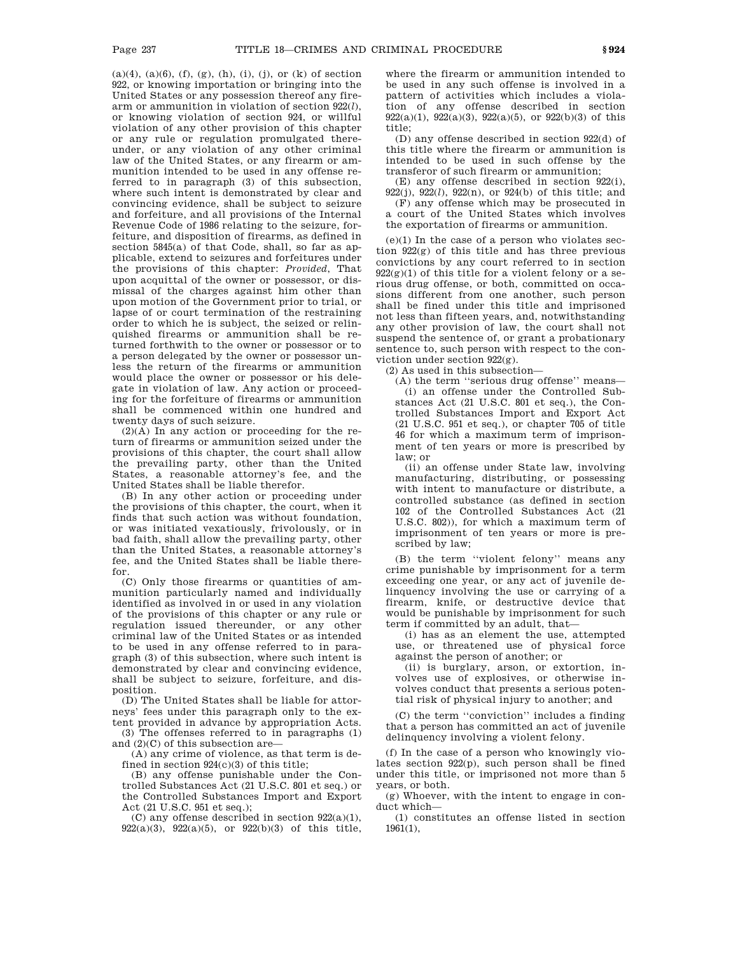$(a)(4)$ ,  $(a)(6)$ ,  $(f)$ ,  $(g)$ ,  $(h)$ ,  $(i)$ ,  $(j)$ ,  $or (k)$  of section 922, or knowing importation or bringing into the United States or any possession thereof any firearm or ammunition in violation of section 922(*l*), or knowing violation of section 924, or willful violation of any other provision of this chapter or any rule or regulation promulgated thereunder, or any violation of any other criminal law of the United States, or any firearm or ammunition intended to be used in any offense referred to in paragraph (3) of this subsection, where such intent is demonstrated by clear and convincing evidence, shall be subject to seizure and forfeiture, and all provisions of the Internal Revenue Code of 1986 relating to the seizure, forfeiture, and disposition of firearms, as defined in section 5845(a) of that Code, shall, so far as applicable, extend to seizures and forfeitures under the provisions of this chapter: *Provided*, That upon acquittal of the owner or possessor, or dismissal of the charges against him other than upon motion of the Government prior to trial, or lapse of or court termination of the restraining order to which he is subject, the seized or relinquished firearms or ammunition shall be returned forthwith to the owner or possessor or to a person delegated by the owner or possessor unless the return of the firearms or ammunition would place the owner or possessor or his delegate in violation of law. Any action or proceeding for the forfeiture of firearms or ammunition shall be commenced within one hundred and twenty days of such seizure.

(2)(A) In any action or proceeding for the return of firearms or ammunition seized under the provisions of this chapter, the court shall allow the prevailing party, other than the United States, a reasonable attorney's fee, and the United States shall be liable therefor.

(B) In any other action or proceeding under the provisions of this chapter, the court, when it finds that such action was without foundation, or was initiated vexatiously, frivolously, or in bad faith, shall allow the prevailing party, other than the United States, a reasonable attorney's fee, and the United States shall be liable therefor.

(C) Only those firearms or quantities of ammunition particularly named and individually identified as involved in or used in any violation of the provisions of this chapter or any rule or regulation issued thereunder, or any other criminal law of the United States or as intended to be used in any offense referred to in paragraph (3) of this subsection, where such intent is demonstrated by clear and convincing evidence, shall be subject to seizure, forfeiture, and disposition.

(D) The United States shall be liable for attorneys' fees under this paragraph only to the ex-

tent provided in advance by appropriation Acts. (3) The offenses referred to in paragraphs (1) and (2)(C) of this subsection are—

(A) any crime of violence, as that term is defined in section 924(c)(3) of this title;

(B) any offense punishable under the Controlled Substances Act (21 U.S.C. 801 et seq.) or the Controlled Substances Import and Export Act (21 U.S.C. 951 et seq.);

(C) any offense described in section  $922(a)(1)$ , 922(a)(3), 922(a)(5), or 922(b)(3) of this title,

where the firearm or ammunition intended to be used in any such offense is involved in a pattern of activities which includes a violation of any offense described in section  $922(a)(1)$ ,  $922(a)(3)$ ,  $922(a)(5)$ , or  $922(b)(3)$  of this title;

(D) any offense described in section 922(d) of this title where the firearm or ammunition is intended to be used in such offense by the transferor of such firearm or ammunition;

(E) any offense described in section 922(i), 922(j), 922(*l*), 922(n), or 924(b) of this title; and

(F) any offense which may be prosecuted in a court of the United States which involves the exportation of firearms or ammunition.

 $(e)(1)$  In the case of a person who violates section 922(g) of this title and has three previous convictions by any court referred to in section  $922(g)(1)$  of this title for a violent felony or a serious drug offense, or both, committed on occasions different from one another, such person shall be fined under this title and imprisoned not less than fifteen years, and, notwithstanding any other provision of law, the court shall not suspend the sentence of, or grant a probationary sentence to, such person with respect to the conviction under section 922(g).

(2) As used in this subsection—

(A) the term ''serious drug offense'' means— (i) an offense under the Controlled Substances Act (21 U.S.C. 801 et seq.), the Controlled Substances Import and Export Act (21 U.S.C. 951 et seq.), or chapter 705 of title 46 for which a maximum term of imprisonment of ten years or more is prescribed by law; or

(ii) an offense under State law, involving manufacturing, distributing, or possessing with intent to manufacture or distribute, a controlled substance (as defined in section 102 of the Controlled Substances Act (21 U.S.C. 802)), for which a maximum term of imprisonment of ten years or more is prescribed by law;

(B) the term ''violent felony'' means any crime punishable by imprisonment for a term exceeding one year, or any act of juvenile delinquency involving the use or carrying of a firearm, knife, or destructive device that would be punishable by imprisonment for such term if committed by an adult, that—

(i) has as an element the use, attempted use, or threatened use of physical force against the person of another; or

(ii) is burglary, arson, or extortion, involves use of explosives, or otherwise involves conduct that presents a serious potential risk of physical injury to another; and

(C) the term ''conviction'' includes a finding that a person has committed an act of juvenile delinquency involving a violent felony.

(f) In the case of a person who knowingly violates section 922(p), such person shall be fined under this title, or imprisoned not more than 5 years, or both.

(g) Whoever, with the intent to engage in conduct which—

(1) constitutes an offense listed in section 1961(1),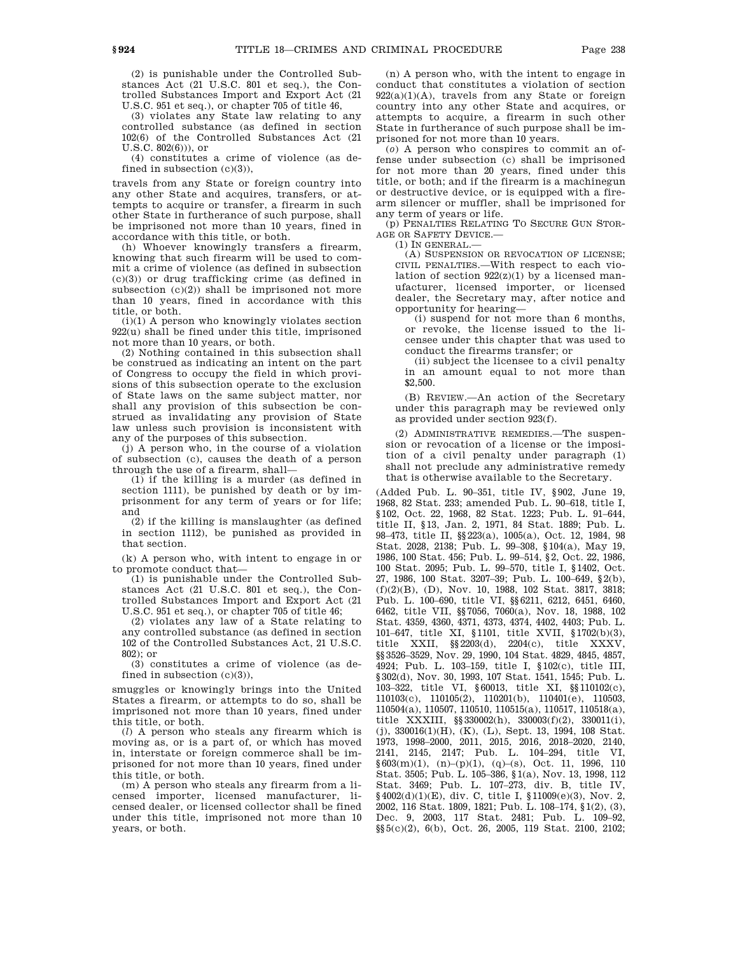(2) is punishable under the Controlled Substances Act (21 U.S.C. 801 et seq.), the Controlled Substances Import and Export Act (21

U.S.C. 951 et seq.), or chapter 705 of title 46, (3) violates any State law relating to any controlled substance (as defined in section 102(6) of the Controlled Substances Act (21  $U.S.C. 802(6)$ )), or

(4) constitutes a crime of violence (as defined in subsection  $(c)(3)$ ),

travels from any State or foreign country into any other State and acquires, transfers, or attempts to acquire or transfer, a firearm in such other State in furtherance of such purpose, shall be imprisoned not more than 10 years, fined in accordance with this title, or both.

(h) Whoever knowingly transfers a firearm, knowing that such firearm will be used to commit a crime of violence (as defined in subsection (c)(3)) or drug trafficking crime (as defined in subsection  $(c)(2)$  shall be imprisoned not more than 10 years, fined in accordance with this title, or both.

 $(i)(1)$  A person who knowingly violates section 922(u) shall be fined under this title, imprisoned not more than 10 years, or both.

(2) Nothing contained in this subsection shall be construed as indicating an intent on the part of Congress to occupy the field in which provisions of this subsection operate to the exclusion of State laws on the same subject matter, nor shall any provision of this subsection be construed as invalidating any provision of State law unless such provision is inconsistent with any of the purposes of this subsection.

(j) A person who, in the course of a violation of subsection (c), causes the death of a person through the use of a firearm, shall—

(1) if the killing is a murder (as defined in section 1111), be punished by death or by imprisonment for any term of years or for life; and

(2) if the killing is manslaughter (as defined in section 1112), be punished as provided in that section.

(k) A person who, with intent to engage in or to promote conduct that—

(1) is punishable under the Controlled Substances Act (21 U.S.C. 801 et seq.), the Controlled Substances Import and Export Act (21 U.S.C. 951 et seq.), or chapter 705 of title 46;

(2) violates any law of a State relating to any controlled substance (as defined in section 102 of the Controlled Substances Act, 21 U.S.C. 802); or

(3) constitutes a crime of violence (as defined in subsection (c)(3)),

smuggles or knowingly brings into the United States a firearm, or attempts to do so, shall be imprisoned not more than 10 years, fined under this title, or both.

(*l*) A person who steals any firearm which is moving as, or is a part of, or which has moved in, interstate or foreign commerce shall be imprisoned for not more than 10 years, fined under this title, or both.

(m) A person who steals any firearm from a licensed importer, licensed manufacturer, licensed dealer, or licensed collector shall be fined under this title, imprisoned not more than 10 years, or both.

(n) A person who, with the intent to engage in conduct that constitutes a violation of section  $922(a)(1)(A)$ , travels from any State or foreign country into any other State and acquires, or attempts to acquire, a firearm in such other State in furtherance of such purpose shall be imprisoned for not more than 10 years.

(*o*) A person who conspires to commit an offense under subsection (c) shall be imprisoned for not more than 20 years, fined under this title, or both; and if the firearm is a machinegun or destructive device, or is equipped with a firearm silencer or muffler, shall be imprisoned for any term of years or life.

(p) PENALTIES RELATING TO SECURE GUN STOR-AGE OR SAFETY DEVICE.—

(1) IN GENERAL.—

(A) SUSPENSION OR REVOCATION OF LICENSE; CIVIL PENALTIES.—With respect to each violation of section  $922(z)(1)$  by a licensed manufacturer, licensed importer, or licensed dealer, the Secretary may, after notice and opportunity for hearing—

(i) suspend for not more than 6 months, or revoke, the license issued to the licensee under this chapter that was used to conduct the firearms transfer; or

(ii) subject the licensee to a civil penalty in an amount equal to not more than \$2,500.

(B) REVIEW.—An action of the Secretary under this paragraph may be reviewed only as provided under section 923(f).

(2) ADMINISTRATIVE REMEDIES.—The suspension or revocation of a license or the imposition of a civil penalty under paragraph (1) shall not preclude any administrative remedy that is otherwise available to the Secretary.

(Added Pub. L. 90–351, title IV, §902, June 19, 1968, 82 Stat. 233; amended Pub. L. 90–618, title I, §102, Oct. 22, 1968, 82 Stat. 1223; Pub. L. 91–644, title II, §13, Jan. 2, 1971, 84 Stat. 1889; Pub. L. 98–473, title II, §§223(a), 1005(a), Oct. 12, 1984, 98 Stat. 2028, 2138; Pub. L. 99–308, §104(a), May 19, 1986, 100 Stat. 456; Pub. L. 99–514, §2, Oct. 22, 1986, 100 Stat. 2095; Pub. L. 99–570, title I, §1402, Oct. 27, 1986, 100 Stat. 3207–39; Pub. L. 100–649, §2(b), (f)(2)(B), (D), Nov. 10, 1988, 102 Stat. 3817, 3818; Pub. L. 100–690, title VI, §§6211, 6212, 6451, 6460, 6462, title VII, §§7056, 7060(a), Nov. 18, 1988, 102 Stat. 4359, 4360, 4371, 4373, 4374, 4402, 4403; Pub. L. 101–647, title XI, §1101, title XVII, §1702(b)(3), title XXII, §§2203(d), 2204(c), title XXXV, §§3526–3529, Nov. 29, 1990, 104 Stat. 4829, 4845, 4857, 4924; Pub. L. 103–159, title I, §102(c), title III, §302(d), Nov. 30, 1993, 107 Stat. 1541, 1545; Pub. L. 103–322, title VI, §60013, title XI, §§110102(c), 110103(c), 110105(2), 110201(b), 110401(e), 110503, 110504(a), 110507, 110510, 110515(a), 110517, 110518(a), title XXXIII, §§330002(h), 330003(f)(2), 330011(i), (j), 330016(1)(H), (K), (L), Sept. 13, 1994, 108 Stat. 1973, 1998–2000, 2011, 2015, 2016, 2018–2020, 2140, 2141, 2145, 2147; Pub. L. 104–294, title VI, §603(m)(1), (n)–(p)(1), (q)–(s), Oct. 11, 1996, 110 Stat. 3505; Pub. L. 105–386, §1(a), Nov. 13, 1998, 112 Stat. 3469; Pub. L. 107–273, div. B, title IV,  $\ \ \ \$  4002(d)(1)(E), div. C, title I,  $\ \$  11009(e)(3), Nov. 2, 2002, 116 Stat. 1809, 1821; Pub. L. 108–174, §1(2), (3), Dec. 9, 2003, 117 Stat. 2481; Pub. L. 109–92, §§5(c)(2), 6(b), Oct. 26, 2005, 119 Stat. 2100, 2102;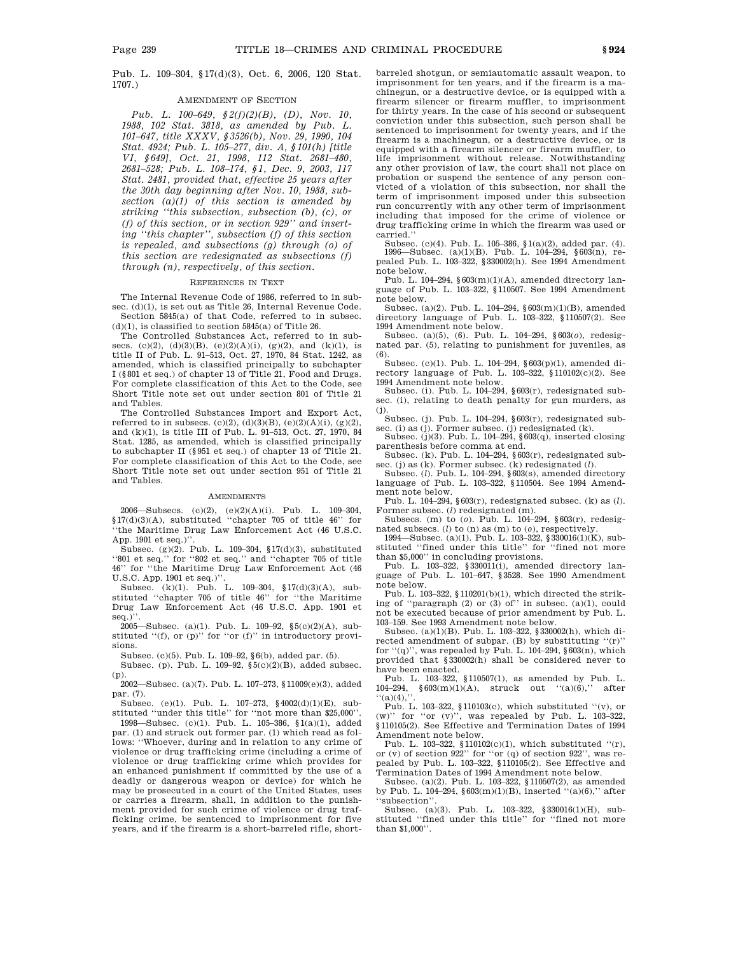Pub. L. 109–304, §17(d)(3), Oct. 6, 2006, 120 Stat. 1707.)

## AMENDMENT OF SECTION

*Pub. L. 100–649, §2(f)(2)(B), (D), Nov. 10, 1988, 102 Stat. 3818, as amended by Pub. L. 101–647, title XXXV, §3526(b), Nov. 29, 1990, 104 Stat. 4924; Pub. L. 105–277, div. A, §101(h) [title VI, §649], Oct. 21, 1998, 112 Stat. 2681–480, 2681–528; Pub. L. 108–174, §1, Dec. 9, 2003, 117 Stat. 2481, provided that, effective 25 years after the 30th day beginning after Nov. 10, 1988, subsection (a)(1) of this section is amended by striking ''this subsection, subsection (b), (c), or (f) of this section, or in section 929'' and inserting ''this chapter'', subsection (f) of this section is repealed, and subsections (g) through (o) of this section are redesignated as subsections (f) through (n), respectively, of this section.*

#### REFERENCES IN TEXT

The Internal Revenue Code of 1986, referred to in subsec. (d)(1), is set out as Title 26, Internal Revenue Code. Section 5845(a) of that Code, referred to in subsec.  $(d)(1)$ , is classified to section 5845 $(a)$  of Title 26.

The Controlled Substances Act, referred to in subsecs. (c)(2), (d)(3)(B), (e)(2)(A)(i), (g)(2), and (k)(1), is title II of Pub. L. 91–513, Oct. 27, 1970, 84 Stat. 1242, as amended, which is classified principally to subchapter I (§801 et seq.) of chapter 13 of Title 21, Food and Drugs. For complete classification of this Act to the Code, see Short Title note set out under section 801 of Title 21 and Tables.

The Controlled Substances Import and Export Act, referred to in subsecs. (c)(2), (d)(3)(B), (e)(2)(A)(i), (g)(2), and (k)(1), is title III of Pub. L. 91–513, Oct. 27, 1970, 84 Stat. 1285, as amended, which is classified principally to subchapter II (§951 et seq.) of chapter 13 of Title 21. For complete classification of this Act to the Code, see Short Title note set out under section 951 of Title 21 and Tables.

## **AMENDMENTS**

2006—Subsecs. (c)(2), (e)(2)(A)(i). Pub. L. 109–304, §17(d)(3)(A), substituted ''chapter 705 of title 46'' for ''the Maritime Drug Law Enforcement Act (46 U.S.C. App. 1901 et seq.)''.

Subsec. (g)(2). Pub. L. 109–304, §17(d)(3), substituted ''801 et seq.'' for ''802 et seq.'' and ''chapter 705 of title 46'' for ''the Maritime Drug Law Enforcement Act (46 U.S.C. App. 1901 et seq.)''.

Subsec. (k)(1). Pub. L. 109–304, §17(d)(3)(A), substituted ''chapter 705 of title 46'' for ''the Maritime Drug Law Enforcement Act (46 U.S.C. App. 1901 et seq.)

2005—Subsec. (a)(1). Pub. L. 109–92, §5(c)(2)(A), substituted "(f), or (p)" for "or (f)" in introductory provisions.

Subsec. (c)(5). Pub. L. 109–92, §6(b), added par. (5).

Subsec. (p). Pub. L. 109–92, §5(c)(2)(B), added subsec. (p).

2002—Subsec. (a)(7). Pub. L. 107–273, §11009(e)(3), added par. (7).

Subsec. (e)(1). Pub. L. 107–273, §4002(d)(1)(E), substituted ''under this title'' for ''not more than \$25,000''.

1998—Subsec. (c)(1). Pub. L. 105–386, §1(a)(1), added par. (1) and struck out former par. (1) which read as follows: ''Whoever, during and in relation to any crime of violence or drug trafficking crime (including a crime of violence or drug trafficking crime which provides for an enhanced punishment if committed by the use of a deadly or dangerous weapon or device) for which he may be prosecuted in a court of the United States, uses or carries a firearm, shall, in addition to the punishment provided for such crime of violence or drug trafficking crime, be sentenced to imprisonment for five years, and if the firearm is a short-barreled rifle, shortbarreled shotgun, or semiautomatic assault weapon, to imprisonment for ten years, and if the firearm is a machinegun, or a destructive device, or is equipped with a firearm silencer or firearm muffler, to imprisonment for thirty years. In the case of his second or subsequent conviction under this subsection, such person shall be sentenced to imprisonment for twenty years, and if the firearm is a machinegun, or a destructive device, or is equipped with a firearm silencer or firearm muffler, to life imprisonment without release. Notwithstanding any other provision of law, the court shall not place on probation or suspend the sentence of any person convicted of a violation of this subsection, nor shall the term of imprisonment imposed under this subsection run concurrently with any other term of imprisonment including that imposed for the crime of violence or drug trafficking crime in which the firearm was used or carried.''

Subsec. (c)(4). Pub. L. 105–386, §1(a)(2), added par. (4). 1996—Subsec. (a)(1)(B). Pub. L. 104–294, §603(n), repealed Pub. L. 103–322, §330002(h). See 1994 Amendment note below.

Pub. L. 104-294, §603(m)(1)(A), amended directory language of Pub. L. 103–322, §110507. See 1994 Amendment note below.

Subsec. (a)(2). Pub. L. 104–294, §603(m)(1)(B), amended directory language of Pub. L. 103–322, §110507(2). See

1994 Amendment note below. Subsec. (a)(5), (6). Pub. L. 104–294, §603(*o*), redesignated par. (5), relating to punishment for juveniles, as (6).

Subsec. (c)(1). Pub. L. 104–294, §603(p)(1), amended directory language of Pub. L. 103–322, §110102(c)(2). See 1994 Amendment note below.

Subsec. (i). Pub. L. 104–294, §603(r), redesignated subsec. (i), relating to death penalty for gun murders, as

(j). Subsec. (j). Pub. L. 104–294, §603(r), redesignated sub-

sec. (i) as (j). Former subsec. (j) redesignated (k). Subsec. (j)(3). Pub. L. 104–294, §603(q), inserted closing parenthesis before comma at end.

Subsec. (k). Pub. L. 104–294, §603(r), redesignated subsec. (j) as (k). Former subsec. (k) redesignated (*l*).

Subsec. (*l*). Pub. L. 104–294, §603(s), amended directory language of Pub. L. 103–322, §110504. See 1994 Amend-

ment note below. Pub. L. 104–294, §603(r), redesignated subsec. (k) as (*l*). Former subsec. (*l*) redesignated (m).

Subsecs. (m) to (*o*). Pub. L. 104–294, §603(r), redesignated subsecs. (*l*) to (n) as (m) to (*o*), respectively.

1994—Subsec. (a)(1). Pub. L. 103–322, §330016(1)(K), substituted ''fined under this title'' for ''fined not more than \$5,000'' in concluding provisions.

Pub. L. 103-322, §330011(i), amended directory language of Pub. L. 101–647, §3528. See 1990 Amendment note below.

Pub. L. 103–322, §110201(b)(1), which directed the striking of ''paragraph (2) or (3) of'' in subsec. (a)(1), could not be executed because of prior amendment by Pub. L.

103–159. See 1993 Amendment note below. Subsec. (a)(1)(B). Pub. L. 103–322, §330002(h), which directed amendment of subpar. (B) by substituting ''(r)'' for ''(q)'', was repealed by Pub. L. 104–294,  $\S\,603(n),$  which provided that §330002(h) shall be considered never to have been enacted.

Pub. L. 103–322, §110507(1), as amended by Pub. L.<br>94–294. §603(m)(1)(A). struck out "(a)(6)." after 104–294, §603(m)(1)(A), struck out ''(a)(6),'' after  $'(a)(4)$ ,

Pub. L. 103–322, §110103(c), which substituted ''(v), or (w)'' for ''or (v)'', was repealed by Pub. L. 103–322, §110105(2). See Effective and Termination Dates of 1994 Amendment note below.

Pub. L. 103–322, §110102(c)(1), which substituted ''(r), or (v) of section 922'' for ''or (q) of section 922'', was repealed by Pub. L. 103–322, §110105(2). See Effective and Termination Dates of 1994 Amendment note below.

Subsec. (a)(2). Pub. L. 103–322, §110507(2), as amended by Pub. L. 104–294, §603(m)(1)(B), inserted ''(a)(6),'' after ''subsection''.

Subsec. (a)(3). Pub. L. 103–322, §330016(1)(H), substituted ''fined under this title'' for ''fined not more than \$1,000''.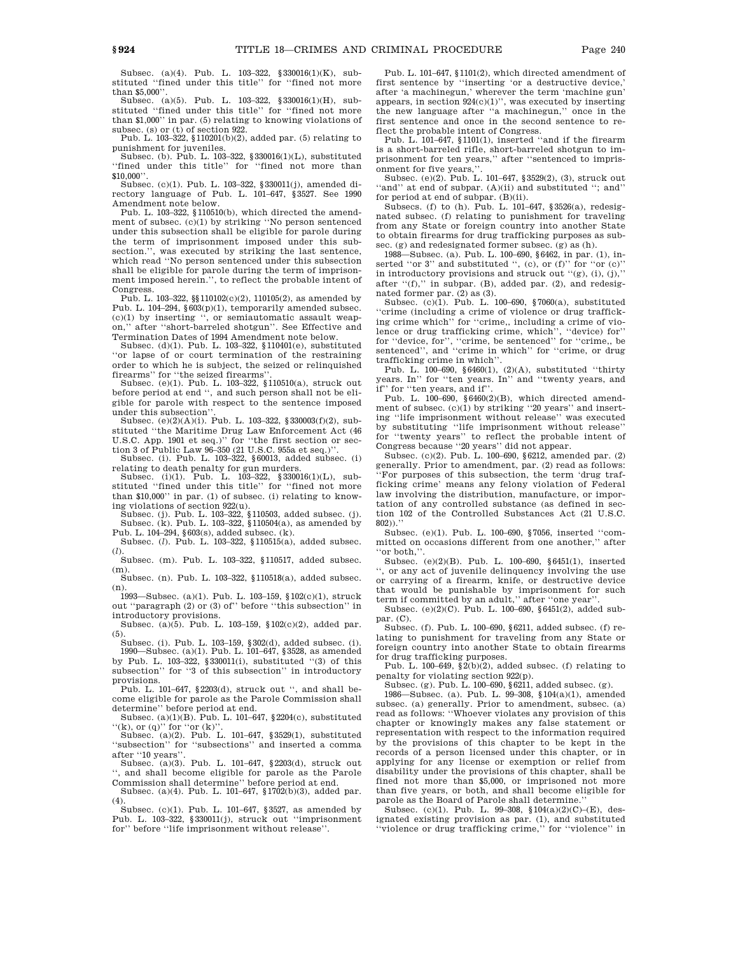Subsec. (a)(5). Pub. L. 103–322, §330016(1)(H), substituted ''fined under this title'' for ''fined not more than \$1,000'' in par. (5) relating to knowing violations of

subsec. (s) or (t) of section 922. Pub. L. 103–322, §110201(b)(2), added par. (5) relating to punishment for juveniles.

Subsec. (b). Pub. L. 103–322, §330016(1)(L), substituted<br>fined under this title'' for "fined not more than "fined under this title" for  $$10,000"$ 

Subsec. (c)(1). Pub. L. 103–322, §330011(j), amended directory language of Pub. L. 101–647, §3527. See 1990 Amendment note below.

Pub. L. 103–322, §110510(b), which directed the amendment of subsec. (c)(1) by striking ''No person sentenced under this subsection shall be eligible for parole during the term of imprisonment imposed under this subsection.'', was executed by striking the last sentence, which read ''No person sentenced under this subsection shall be eligible for parole during the term of imprisonment imposed herein.'', to reflect the probable intent of Congress.

Pub. L. 103–322, §§110102(c)(2), 110105(2), as amended by Pub. L. 104–294, §603(p)(1), temporarily amended subsec. (c)(1) by inserting '', or semiautomatic assault weapon,'' after ''short-barreled shotgun''. See Effective and Termination Dates of 1994 Amendment note below.

Subsec. (d)(1). Pub. L. 103–322, §110401(e), substituted ''or lapse of or court termination of the restraining order to which he is subject, the seized or relinquished firearms'' for "the seized firearms'

Subsec. (e)(1). Pub. L. 103–322, §110510(a), struck out before period at end '', and such person shall not be eligible for parole with respect to the sentence imposed under this subsection''.

Subsec. (e)(2)(A)(i). Pub. L. 103–322, §330003(f)(2), substituted ''the Maritime Drug Law Enforcement Act (46 U.S.C. App. 1901 et seq.)" for "the first section or section 3 of Public Law 96–350 (21 U.S.C. 955a et seq.)''. Subsec. (i). Pub. L. 103–322, §60013, added subsec. (i)

relating to death penalty for gun murders.<br>Subsec. (i)(1). Pub. L.  $103-322$ ,  $$300016(1)(L)$ , sub-

Subsec. (i)(1). Pub. L. 103–322, §330016(1)(L), substituted ''fined under this title'' for ''fined not more than \$10,000'' in par. (1) of subsec. (i) relating to knowing violations of section 922(u).

Subsec. (j). Pub. L. 103–322, §110503, added subsec. (j). Subsec. (k). Pub. L. 103–322, §110504(a), as amended by

Pub. L. 104–294, §603(s), added subsec. (k). Subsec. (*l*). Pub. L. 103–322, §110515(a), added subsec. (*l*).

Subsec. (m). Pub. L. 103–322, §110517, added subsec. (m).

Subsec. (n). Pub. L. 103–322, §110518(a), added subsec. (n).

1993—Subsec. (a)(1). Pub. L. 103–159, §102(c)(1), struck out ''paragraph (2) or (3) of'' before ''this subsection'' in introductory provisions.

Subsec. (a)(5). Pub. L. 103–159, §102(c)(2), added par. (5).

Subsec. (i). Pub. L. 103–159, §302(d), added subsec. (i). 1990—Subsec. (a)(1). Pub. L. 101–647, §3528, as amended by Pub. L. 103–322, §330011(i), substituted ''(3) of this subsection'' for ''3 of this subsection'' in introductory provisions.

Pub. L. 101–647, §2203(d), struck out '', and shall become eligible for parole as the Parole Commission shall

determine'' before period at end. Subsec. (a)(1)(B). Pub. L. 101–647, §2204(c), substituted "(k), or (q)" for "or  $(k)$ ".

Subsec. (a)(2). Pub. L. 101–647,  $§ 3529(1)$ , substituted ''subsection'' for ''subsections'' and inserted a comma after "10 years".

Subsec. (a)(3). Pub. L. 101–647, §2203(d), struck out '', and shall become eligible for parole as the Parole

Commission shall determine'' before period at end. Subsec. (a)(4). Pub. L. 101–647, §1702(b)(3), added par. (4).

Subsec. (c)(1). Pub. L. 101–647, §3527, as amended by Pub. L. 103–322, §330011(j), struck out ''imprisonment for'' before ''life imprisonment without release''.

Pub. L. 101–647, §1101(2), which directed amendment of first sentence by ''inserting 'or a destructive device,' after 'a machinegun,' wherever the term 'machine gun' appears, in section  $924(c)(1)$ ", was executed by inserting the new language after ''a machinegun,'' once in the first sentence and once in the second sentence to reflect the probable intent of Congress.

Pub. L. 101-647, §1101(1), inserted "and if the firearm is a short-barreled rifle, short-barreled shotgun to imprisonment for ten years,'' after ''sentenced to imprisonment for five years,''.

Subsec. (e)(2). Pub. L. 101–647, §3529(2), (3), struck out ''and'' at end of subpar. (A)(ii) and substituted ''; and'' for period at end of subpar. (B)(ii).

Subsecs. (f) to (h). Pub. L. 101–647, §3526(a), redesignated subsec. (f) relating to punishment for traveling from any State or foreign country into another State to obtain firearms for drug trafficking purposes as subsec. (g) and redesignated former subsec. (g) as (h).

1988—Subsec. (a). Pub. L. 100–690, §6462, in par. (1), inserted "or 3" and substituted ",  $(c)$ , or  $(f)$ " for "or  $(c)$ " in introductory provisions and struck out " $(g)$ ,  $(i)$ ,  $(j)$ ," after " $(f)$ ," in subpar. (B), added par. (2), and redesignated former par. (2) as (3).

Subsec.  $(c)(1)$ . Pub. L. 100–690, §7060 $(a)$ , substituted ''crime (including a crime of violence or drug trafficking crime which'' for ''crime,, including a crime of violence or drug trafficking crime, which'', ''device) for'' for ''device, for'', ''crime, be sentenced'' for ''crime,, be sentenced'', and "crime in which" for "crime, or drug trafficking crime in which''.

Pub. L. 100–690, §6460(1), (2)(A), substituted ''thirty years. In'' for ''ten years. In'' and ''twenty years, and if" for "ten years, and if"

Pub. L. 100–690, §6460(2)(B), which directed amendment of subsec. (c)(1) by striking "20 years" and inserting ''life imprisonment without release'' was executed by substituting ''life imprisonment without release'' for ''twenty years'' to reflect the probable intent of Congress because ''20 years'' did not appear.

Subsec. (c)(2). Pub. L. 100–690, §6212, amended par. (2) generally. Prior to amendment, par. (2) read as follows: ''For purposes of this subsection, the term 'drug trafficking crime' means any felony violation of Federal law involving the distribution, manufacture, or importation of any controlled substance (as defined in section 102 of the Controlled Substances Act (21 U.S.C.  $802)$ ).''

Subsec. (e)(1). Pub. L. 100–690, §7056, inserted ''committed on occasions different from one another,'' after 'or both,"

Subsec. (e)(2)(B). Pub. L. 100–690, §6451(1), inserted '', or any act of juvenile delinquency involving the use or carrying of a firearm, knife, or destructive device that would be punishable by imprisonment for such term if committed by an adult,'' after ''one year''.

Subsec. (e)(2)(C). Pub. L. 100–690, §6451(2), added subpar. (C).

Subsec. (f). Pub. L. 100–690, §6211, added subsec. (f) relating to punishment for traveling from any State or foreign country into another State to obtain firearms for drug trafficking purposes.

Pub. L. 100–649,  $\S2(b)(2)$ , added subsec. (f) relating to penalty for violating section 922(p).

Subsec. (g). Pub. L. 100–690, §6211, added subsec. (g).

1986—Subsec. (a). Pub. L. 99–308, §104(a)(1), amended subsec. (a) generally. Prior to amendment, subsec. (a) read as follows: ''Whoever violates any provision of this chapter or knowingly makes any false statement or representation with respect to the information required by the provisions of this chapter to be kept in the records of a person licensed under this chapter, or in applying for any license or exemption or relief from disability under the provisions of this chapter, shall be fined not more than \$5,000, or imprisoned not more than five years, or both, and shall become eligible for parole as the Board of Parole shall determine.''

Subsec. (c)(1). Pub. L. 99–308, §104(a)(2)(C)–(E), designated existing provision as par. (1), and substituted ''violence or drug trafficking crime,'' for ''violence'' in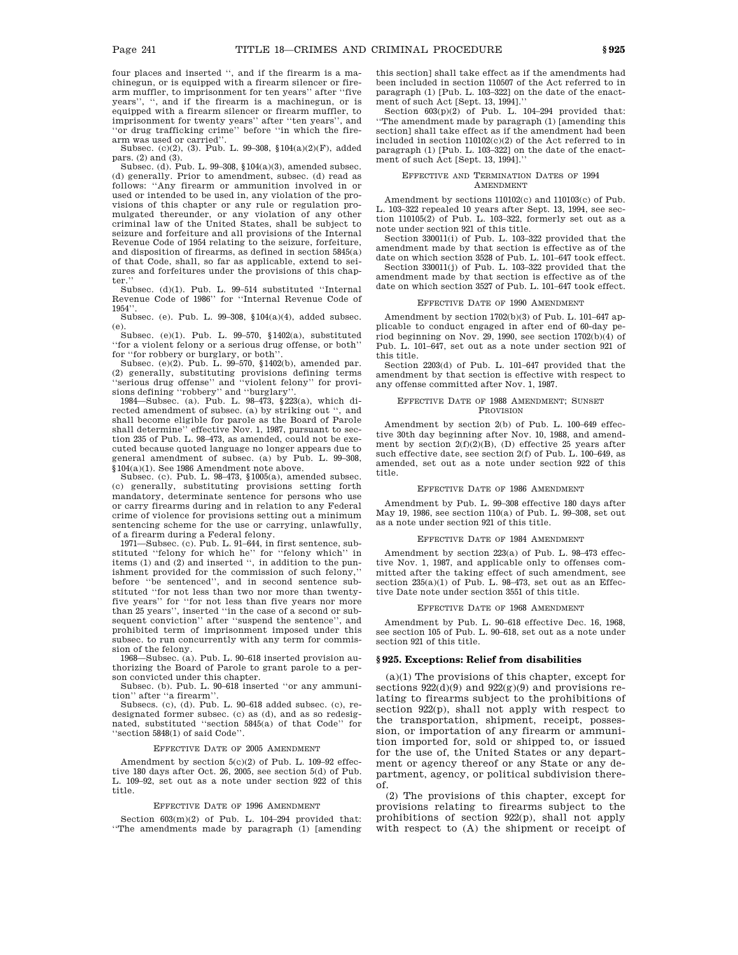four places and inserted '', and if the firearm is a machinegun, or is equipped with a firearm silencer or firearm muffler, to imprisonment for ten years'' after ''five years'', '', and if the firearm is a machinegun, or is equipped with a firearm silencer or firearm muffler, to imprisonment for twenty years'' after ''ten years'', and ''or drug trafficking crime'' before ''in which the firearm was used or carried''.

Subsec. (c)(2), (3). Pub. L. 99–308, §104(a)(2)(F), added

pars. (2) and (3). Subsec. (d). Pub. L. 99–308, §104(a)(3), amended subsec. (d) generally. Prior to amendment, subsec. (d) read as follows: ''Any firearm or ammunition involved in or used or intended to be used in, any violation of the provisions of this chapter or any rule or regulation pro-mulgated thereunder, or any violation of any other criminal law of the United States, shall be subject to seizure and forfeiture and all provisions of the Internal Revenue Code of 1954 relating to the seizure, forfeiture, and disposition of firearms, as defined in section 5845(a) of that Code, shall, so far as applicable, extend to seizures and forfeitures under the provisions of this chapter.

Subsec. (d)(1). Pub. L. 99–514 substituted ''Internal Revenue Code of 1986'' for ''Internal Revenue Code of 1954''.

Subsec. (e). Pub. L. 99–308, §104(a)(4), added subsec.

(e). Subsec. (e)(1). Pub. L. 99–570, §1402(a), substituted ''for a violent felony or a serious drug offense, or both'' for "for robbery or burglary, or both'

Subsec. (e)(2). Pub. L. 99–570, §1402(b), amended par. (2) generally, substituting provisions defining terms ''serious drug offense'' and ''violent felony'' for provi-

sions defining ''robbery'' and ''burglary''. 1984—Subsec. (a). Pub. L. 98–473, §223(a), which directed amendment of subsec. (a) by striking out '', and shall become eligible for parole as the Board of Parole shall determine'' effective Nov. 1, 1987, pursuant to section 235 of Pub. L. 98–473, as amended, could not be executed because quoted language no longer appears due to general amendment of subsec. (a) by Pub. L. 99–308, §104(a)(1). See 1986 Amendment note above.

Subsec. (c). Pub. L. 98–473, §1005(a), amended subsec. (c) generally, substituting provisions setting forth mandatory, determinate sentence for persons who use or carry firearms during and in relation to any Federal crime of violence for provisions setting out a minimum sentencing scheme for the use or carrying, unlawfully, of a firearm during a Federal felony. 1971—Subsec. (c). Pub. L. 91–644, in first sentence, sub-

stituted ''felony for which he'' for ''felony which'' in items (1) and (2) and inserted '', in addition to the punishment provided for the commission of such felony,'' before ''be sentenced'', and in second sentence substituted ''for not less than two nor more than twentyfive years'' for ''for not less than five years nor more than 25 years'', inserted ''in the case of a second or subsequent conviction'' after ''suspend the sentence'', and prohibited term of imprisonment imposed under this subsec. to run concurrently with any term for commission of the felony.

1968—Subsec. (a). Pub. L. 90–618 inserted provision authorizing the Board of Parole to grant parole to a person convicted under this chapter.

Subsec. (b). Pub. L. 90–618 inserted ''or any ammuni-

tion'' after ''a firearm''. Subsecs. (c), (d). Pub. L. 90–618 added subsec. (c), redesignated former subsec. (c) as (d), and as so redesignated, substituted ''section 5845(a) of that Code'' for ''section 5848(1) of said Code''.

## EFFECTIVE DATE OF 2005 AMENDMENT

Amendment by section 5(c)(2) of Pub. L. 109–92 effective 180 days after Oct. 26, 2005, see section 5(d) of Pub. L. 109–92, set out as a note under section 922 of this title.

#### EFFECTIVE DATE OF 1996 AMENDMENT

Section 603(m)(2) of Pub. L. 104–294 provided that: ''The amendments made by paragraph (1) [amending this section] shall take effect as if the amendments had been included in section 110507 of the Act referred to in paragraph (1) [Pub. L. 103–322] on the date of the enactment of such Act [Sept. 13, 1994].''

Section  $603(p)(2)$  of Pub. L. 104-294 provided that: ''The amendment made by paragraph (1) [amending this section] shall take effect as if the amendment had been included in section 110102(c)(2) of the Act referred to in paragraph (1) [Pub. L. 103–322] on the date of the enactment of such Act [Sept. 13, 1994].''

#### EFFECTIVE AND TERMINATION DATES OF 1994 AMENDMENT

Amendment by sections 110102(c) and 110103(c) of Pub. L. 103–322 repealed 10 years after Sept. 13, 1994, see section 110105(2) of Pub. L. 103–322, formerly set out as a note under section 921 of this title.

Section 330011(i) of Pub. L. 103–322 provided that the amendment made by that section is effective as of the date on which section 3528 of Pub. L. 101–647 took effect.

Section 330011(j) of Pub. L. 103–322 provided that the amendment made by that section is effective as of the date on which section 3527 of Pub. L. 101–647 took effect.

## EFFECTIVE DATE OF 1990 AMENDMENT

Amendment by section 1702(b)(3) of Pub. L. 101–647 applicable to conduct engaged in after end of 60-day period beginning on Nov. 29, 1990, see section 1702(b)(4) of Pub. L. 101–647, set out as a note under section 921 of this title.

Section 2203(d) of Pub. L. 101–647 provided that the amendment by that section is effective with respect to any offense committed after Nov. 1, 1987.

### EFFECTIVE DATE OF 1988 AMENDMENT; SUNSET PROVISION

Amendment by section 2(b) of Pub. L. 100–649 effective 30th day beginning after Nov. 10, 1988, and amendment by section  $2(f)(2)(B)$ , (D) effective 25 years after such effective date, see section 2(f) of Pub. L. 100–649, as amended, set out as a note under section 922 of this title.

## EFFECTIVE DATE OF 1986 AMENDMENT

Amendment by Pub. L. 99–308 effective 180 days after May 19, 1986, see section 110(a) of Pub. L. 99–308, set out as a note under section 921 of this title.

### EFFECTIVE DATE OF 1984 AMENDMENT

Amendment by section 223(a) of Pub. L. 98–473 effective Nov. 1, 1987, and applicable only to offenses committed after the taking effect of such amendment, see section  $235(a)(1)$  of Pub. L. 98-473, set out as an Effective Date note under section 3551 of this title.

## EFFECTIVE DATE OF 1968 AMENDMENT

Amendment by Pub. L. 90–618 effective Dec. 16, 1968, see section 105 of Pub. L. 90–618, set out as a note under section 921 of this title.

## **§ 925. Exceptions: Relief from disabilities**

(a)(1) The provisions of this chapter, except for sections  $922(d)(9)$  and  $922(g)(9)$  and provisions relating to firearms subject to the prohibitions of section 922(p), shall not apply with respect to the transportation, shipment, receipt, possession, or importation of any firearm or ammunition imported for, sold or shipped to, or issued for the use of, the United States or any department or agency thereof or any State or any department, agency, or political subdivision thereof.

(2) The provisions of this chapter, except for provisions relating to firearms subject to the prohibitions of section 922(p), shall not apply with respect to (A) the shipment or receipt of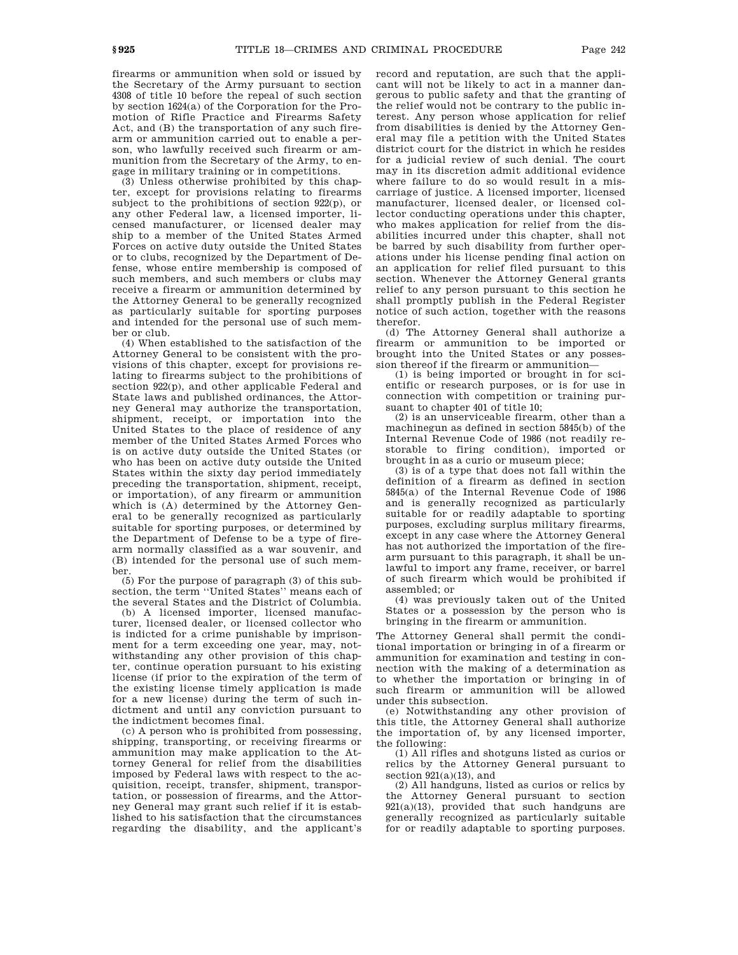firearms or ammunition when sold or issued by the Secretary of the Army pursuant to section 4308 of title 10 before the repeal of such section by section 1624(a) of the Corporation for the Promotion of Rifle Practice and Firearms Safety Act, and (B) the transportation of any such firearm or ammunition carried out to enable a person, who lawfully received such firearm or ammunition from the Secretary of the Army, to engage in military training or in competitions.

(3) Unless otherwise prohibited by this chapter, except for provisions relating to firearms subject to the prohibitions of section 922(p), or any other Federal law, a licensed importer, licensed manufacturer, or licensed dealer may ship to a member of the United States Armed Forces on active duty outside the United States or to clubs, recognized by the Department of Defense, whose entire membership is composed of such members, and such members or clubs may receive a firearm or ammunition determined by the Attorney General to be generally recognized as particularly suitable for sporting purposes and intended for the personal use of such member or club.

(4) When established to the satisfaction of the Attorney General to be consistent with the provisions of this chapter, except for provisions relating to firearms subject to the prohibitions of section 922(p), and other applicable Federal and State laws and published ordinances, the Attorney General may authorize the transportation, shipment, receipt, or importation into the United States to the place of residence of any member of the United States Armed Forces who is on active duty outside the United States (or who has been on active duty outside the United States within the sixty day period immediately preceding the transportation, shipment, receipt, or importation), of any firearm or ammunition which is (A) determined by the Attorney General to be generally recognized as particularly suitable for sporting purposes, or determined by the Department of Defense to be a type of firearm normally classified as a war souvenir, and (B) intended for the personal use of such member.

(5) For the purpose of paragraph (3) of this subsection, the term ''United States'' means each of the several States and the District of Columbia.

(b) A licensed importer, licensed manufacturer, licensed dealer, or licensed collector who is indicted for a crime punishable by imprisonment for a term exceeding one year, may, notwithstanding any other provision of this chapter, continue operation pursuant to his existing license (if prior to the expiration of the term of the existing license timely application is made for a new license) during the term of such indictment and until any conviction pursuant to the indictment becomes final.

(c) A person who is prohibited from possessing, shipping, transporting, or receiving firearms or ammunition may make application to the Attorney General for relief from the disabilities imposed by Federal laws with respect to the acquisition, receipt, transfer, shipment, transportation, or possession of firearms, and the Attorney General may grant such relief if it is established to his satisfaction that the circumstances regarding the disability, and the applicant's record and reputation, are such that the applicant will not be likely to act in a manner dangerous to public safety and that the granting of the relief would not be contrary to the public interest. Any person whose application for relief from disabilities is denied by the Attorney General may file a petition with the United States district court for the district in which he resides for a judicial review of such denial. The court may in its discretion admit additional evidence where failure to do so would result in a miscarriage of justice. A licensed importer, licensed manufacturer, licensed dealer, or licensed collector conducting operations under this chapter, who makes application for relief from the disabilities incurred under this chapter, shall not be barred by such disability from further operations under his license pending final action on an application for relief filed pursuant to this section. Whenever the Attorney General grants relief to any person pursuant to this section he shall promptly publish in the Federal Register notice of such action, together with the reasons therefor.

(d) The Attorney General shall authorize a firearm or ammunition to be imported or brought into the United States or any possession thereof if the firearm or ammunition—

(1) is being imported or brought in for scientific or research purposes, or is for use in connection with competition or training pursuant to chapter 401 of title 10;

(2) is an unserviceable firearm, other than a machinegun as defined in section 5845(b) of the Internal Revenue Code of 1986 (not readily restorable to firing condition), imported or brought in as a curio or museum piece;

(3) is of a type that does not fall within the definition of a firearm as defined in section 5845(a) of the Internal Revenue Code of 1986 and is generally recognized as particularly suitable for or readily adaptable to sporting purposes, excluding surplus military firearms, except in any case where the Attorney General has not authorized the importation of the firearm pursuant to this paragraph, it shall be unlawful to import any frame, receiver, or barrel of such firearm which would be prohibited if assembled; or

(4) was previously taken out of the United States or a possession by the person who is bringing in the firearm or ammunition.

The Attorney General shall permit the conditional importation or bringing in of a firearm or ammunition for examination and testing in connection with the making of a determination as to whether the importation or bringing in of such firearm or ammunition will be allowed under this subsection.

(e) Notwithstanding any other provision of this title, the Attorney General shall authorize the importation of, by any licensed importer, the following:

(1) All rifles and shotguns listed as curios or relics by the Attorney General pursuant to section  $921(a)(13)$ , and

(2) All handguns, listed as curios or relics by the Attorney General pursuant to section 921(a)(13), provided that such handguns are generally recognized as particularly suitable for or readily adaptable to sporting purposes.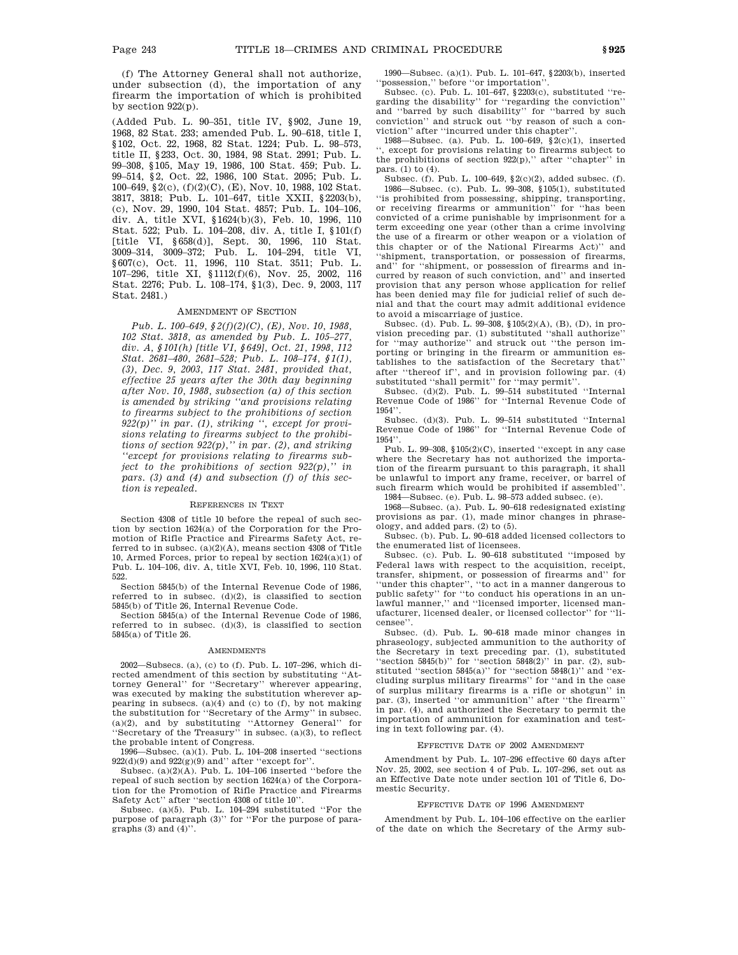(f) The Attorney General shall not authorize, under subsection (d), the importation of any firearm the importation of which is prohibited by section 922(p).

(Added Pub. L. 90–351, title IV, §902, June 19, 1968, 82 Stat. 233; amended Pub. L. 90–618, title I, §102, Oct. 22, 1968, 82 Stat. 1224; Pub. L. 98–573, title II, §233, Oct. 30, 1984, 98 Stat. 2991; Pub. L. 99–308, §105, May 19, 1986, 100 Stat. 459; Pub. L. 99–514, §2, Oct. 22, 1986, 100 Stat. 2095; Pub. L. 100–649, §2(c), (f)(2)(C), (E), Nov. 10, 1988, 102 Stat. 3817, 3818; Pub. L. 101–647, title XXII, §2203(b), (c), Nov. 29, 1990, 104 Stat. 4857; Pub. L. 104–106, div. A, title XVI, §1624(b)(3), Feb. 10, 1996, 110 Stat. 522; Pub. L. 104–208, div. A, title I, §101(f) [title VI, §658(d)], Sept. 30, 1996, 110 Stat. 3009–314, 3009–372; Pub. L. 104–294, title VI, §607(c), Oct. 11, 1996, 110 Stat. 3511; Pub. L. 107–296, title XI, §1112(f)(6), Nov. 25, 2002, 116 Stat. 2276; Pub. L. 108–174, §1(3), Dec. 9, 2003, 117 Stat. 2481.)

### AMENDMENT OF SECTION

*Pub. L. 100–649, §2(f)(2)(C), (E), Nov. 10, 1988, 102 Stat. 3818, as amended by Pub. L. 105–277, div. A, §101(h) [title VI, §649], Oct. 21, 1998, 112 Stat. 2681–480, 2681–528; Pub. L. 108–174, §1(1), (3), Dec. 9, 2003, 117 Stat. 2481, provided that, effective 25 years after the 30th day beginning after Nov. 10, 1988, subsection (a) of this section is amended by striking ''and provisions relating to firearms subject to the prohibitions of section 922(p)'' in par. (1), striking '', except for provisions relating to firearms subject to the prohibitions of section 922(p),'' in par. (2), and striking ''except for provisions relating to firearms subject to the prohibitions of section 922(p),'' in pars. (3) and (4) and subsection (f) of this section is repealed.*

### REFERENCES IN TEXT

Section 4308 of title 10 before the repeal of such section by section 1624(a) of the Corporation for the Promotion of Rifle Practice and Firearms Safety Act, referred to in subsec.  $(a)(2)(A)$ , means section 4308 of Title 10, Armed Forces, prior to repeal by section 1624(a)(1) of Pub. L. 104–106, div. A, title XVI, Feb. 10, 1996, 110 Stat. 522.

Section 5845(b) of the Internal Revenue Code of 1986, referred to in subsec. (d)(2), is classified to section 5845(b) of Title 26, Internal Revenue Code.

Section 5845(a) of the Internal Revenue Code of 1986, referred to in subsec.  $(d)(3)$ , is classified to section 5845(a) of Title 26.

#### AMENDMENTS

2002—Subsecs. (a), (c) to (f). Pub. L. 107–296, which directed amendment of this section by substituting ''Attorney General'' for ''Secretary'' wherever appearing, was executed by making the substitution wherever appearing in subsecs.  $(a)(4)$  and  $(c)$  to  $(f)$ , by not making the substitution for ''Secretary of the Army'' in subsec. (a)(2), and by substituting ''Attorney General'' for ''Secretary of the Treasury'' in subsec. (a)(3), to reflect the probable intent of Congress.

1996—Subsec. (a)(1). Pub. L. 104–208 inserted ''sections  $922(d)(9)$  and  $922(g)(9)$  and" after "except for".

Subsec. (a)(2)(A). Pub. L. 104–106 inserted ''before the repeal of such section by section 1624(a) of the Corporation for the Promotion of Rifle Practice and Firearms Safety Act'' after ''section 4308 of title 10''.

Subsec. (a)(5). Pub. L. 104–294 substituted ''For the purpose of paragraph (3)'' for ''For the purpose of paragraphs (3) and (4)''.

1990—Subsec. (a)(1). Pub. L. 101–647, §2203(b), inserted ''possession,'' before ''or importation''.

Subsec. (c). Pub. L. 101–647, §2203(c), substituted ''regarding the disability'' for ''regarding the conviction'' and ''barred by such disability'' for ''barred by such conviction'' and struck out ''by reason of such a conviction'' after ''incurred under this chapter''.

1988—Subsec. (a). Pub. L. 100–649, §2(c)(1), inserted '', except for provisions relating to firearms subject to the prohibitions of section 922(p),'' after ''chapter'' in pars. (1) to (4).

Subsec. (f). Pub. L. 100–649, §2(c)(2), added subsec. (f). 1986—Subsec. (c). Pub. L. 99–308, §105(1), substituted ''is prohibited from possessing, shipping, transporting, or receiving firearms or ammunition'' for ''has been convicted of a crime punishable by imprisonment for a term exceeding one year (other than a crime involving the use of a firearm or other weapon or a violation of this chapter or of the National Firearms Act)'' and ''shipment, transportation, or possession of firearms, and'' for ''shipment, or possession of firearms and incurred by reason of such conviction, and'' and inserted provision that any person whose application for relief has been denied may file for judicial relief of such denial and that the court may admit additional evidence to avoid a miscarriage of justice.

Subsec. (d). Pub. L. 99–308, §105(2)(A), (B), (D), in provision preceding par. (1) substituted ''shall authorize'' for ''may authorize'' and struck out ''the person importing or bringing in the firearm or ammunition establishes to the satisfaction of the Secretary that'' after ''thereof if'', and in provision following par. (4) substituted ''shall permit'' for ''may permit''.

Subsec. (d)(2). Pub. L. 99–514 substituted ''Internal Revenue Code of 1986'' for ''Internal Revenue Code of 1954''.

Subsec. (d)(3). Pub. L. 99–514 substituted ''Internal Revenue Code of 1986'' for ''Internal Revenue Code of 1954''.

Pub. L. 99–308, §105(2)(C), inserted ''except in any case where the Secretary has not authorized the importation of the firearm pursuant to this paragraph, it shall be unlawful to import any frame, receiver, or barrel of such firearm which would be prohibited if assembled''. 1984—Subsec. (e). Pub. L. 98–573 added subsec. (e).

1968—Subsec. (a). Pub. L. 90–618 redesignated existing provisions as par. (1), made minor changes in phraseology, and added pars. (2) to (5).

Subsec. (b). Pub. L. 90–618 added licensed collectors to the enumerated list of licensees.

Subsec. (c). Pub. L. 90–618 substituted ''imposed by Federal laws with respect to the acquisition, receipt, transfer, shipment, or possession of firearms and'' for ''under this chapter'', ''to act in a manner dangerous to public safety'' for ''to conduct his operations in an unlawful manner,'' and ''licensed importer, licensed manufacturer, licensed dealer, or licensed collector'' for ''licensee''.

Subsec. (d). Pub. L. 90–618 made minor changes in phraseology, subjected ammunition to the authority of the Secretary in text preceding par. (1), substituted "section  $5845(b)$ " for "section  $5848(2)$ " in par. (2), substituted ''section 5845(a)'' for ''section 5848(1)'' and ''excluding surplus military firearms'' for ''and in the case of surplus military firearms is a rifle or shotgun'' in par. (3), inserted ''or ammunition'' after ''the firearm'' in par. (4), and authorized the Secretary to permit the importation of ammunition for examination and testing in text following par. (4).

#### EFFECTIVE DATE OF 2002 AMENDMENT

Amendment by Pub. L. 107–296 effective 60 days after Nov. 25, 2002, see section 4 of Pub. L. 107–296, set out as an Effective Date note under section 101 of Title 6, Domestic Security.

#### EFFECTIVE DATE OF 1996 AMENDMENT

Amendment by Pub. L. 104–106 effective on the earlier of the date on which the Secretary of the Army sub-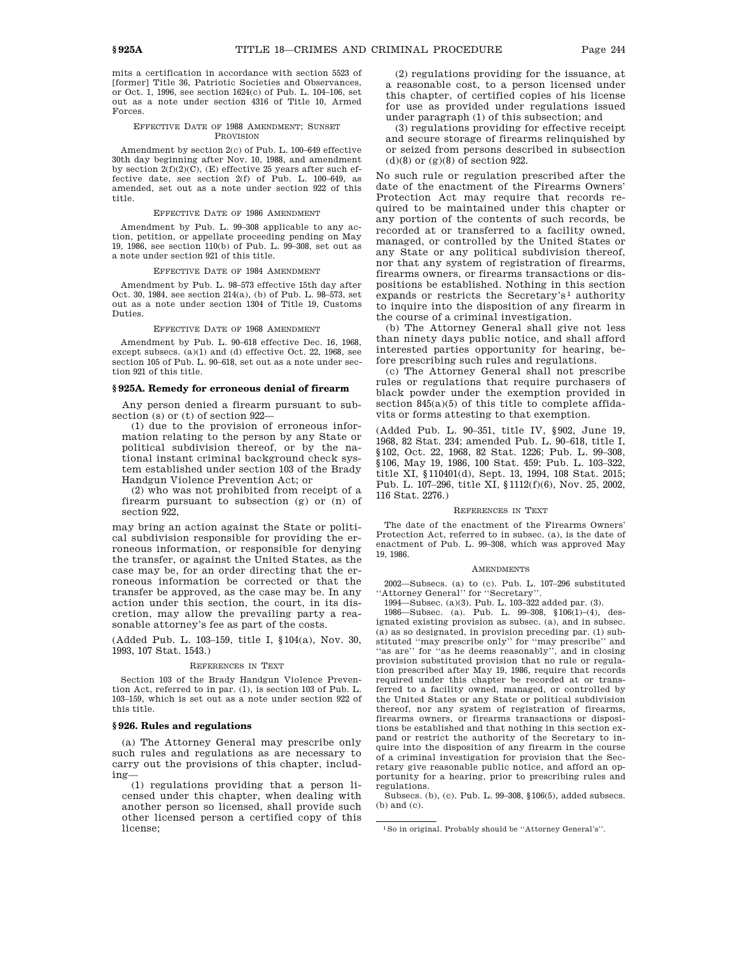mits a certification in accordance with section 5523 of [former] Title 36, Patriotic Societies and Observances, or Oct. 1, 1996, see section 1624(c) of Pub. L. 104–106, set out as a note under section 4316 of Title 10, Armed Forces.

### EFFECTIVE DATE OF 1988 AMENDMENT; SUNSET PROVISION

Amendment by section 2(c) of Pub. L. 100–649 effective 30th day beginning after Nov. 10, 1988, and amendment by section 2(f)(2)(C), (E) effective 25 years after such effective date, see section 2(f) of Pub. L. 100–649, as amended, set out as a note under section 922 of this title.

### EFFECTIVE DATE OF 1986 AMENDMENT

Amendment by Pub. L. 99–308 applicable to any action, petition, or appellate proceeding pending on May 19, 1986, see section 110(b) of Pub. L. 99–308, set out as a note under section 921 of this title.

EFFECTIVE DATE OF 1984 AMENDMENT

Amendment by Pub. L. 98–573 effective 15th day after Oct. 30, 1984, see section 214(a), (b) of Pub. L. 98–573, set out as a note under section 1304 of Title 19, Customs Duties.

### EFFECTIVE DATE OF 1968 AMENDMENT

Amendment by Pub. L. 90–618 effective Dec. 16, 1968, except subsecs. (a)(1) and (d) effective Oct. 22, 1968, see section 105 of Pub. L. 90–618, set out as a note under section 921 of this title.

### **§ 925A. Remedy for erroneous denial of firearm**

Any person denied a firearm pursuant to subsection (s) or (t) of section 922—

(1) due to the provision of erroneous information relating to the person by any State or political subdivision thereof, or by the national instant criminal background check system established under section 103 of the Brady Handgun Violence Prevention Act; or

(2) who was not prohibited from receipt of a firearm pursuant to subsection (g) or (n) of section 922,

may bring an action against the State or political subdivision responsible for providing the erroneous information, or responsible for denying the transfer, or against the United States, as the case may be, for an order directing that the erroneous information be corrected or that the transfer be approved, as the case may be. In any action under this section, the court, in its discretion, may allow the prevailing party a reasonable attorney's fee as part of the costs.

(Added Pub. L. 103–159, title I, §104(a), Nov. 30, 1993, 107 Stat. 1543.)

#### REFERENCES IN TEXT

Section 103 of the Brady Handgun Violence Prevention Act, referred to in par. (1), is section 103 of Pub. L. 103–159, which is set out as a note under section 922 of this title.

## **§ 926. Rules and regulations**

(a) The Attorney General may prescribe only such rules and regulations as are necessary to carry out the provisions of this chapter, including—

(1) regulations providing that a person licensed under this chapter, when dealing with another person so licensed, shall provide such other licensed person a certified copy of this license;

(2) regulations providing for the issuance, at a reasonable cost, to a person licensed under this chapter, of certified copies of his license for use as provided under regulations issued under paragraph (1) of this subsection; and

(3) regulations providing for effective receipt and secure storage of firearms relinquished by or seized from persons described in subsection  $(d)(8)$  or  $(g)(8)$  of section 922.

No such rule or regulation prescribed after the date of the enactment of the Firearms Owners' Protection Act may require that records required to be maintained under this chapter or any portion of the contents of such records, be recorded at or transferred to a facility owned, managed, or controlled by the United States or any State or any political subdivision thereof, nor that any system of registration of firearms, firearms owners, or firearms transactions or dispositions be established. Nothing in this section expands or restricts the Secretary's<sup>1</sup> authority to inquire into the disposition of any firearm in the course of a criminal investigation.

(b) The Attorney General shall give not less than ninety days public notice, and shall afford interested parties opportunity for hearing, before prescribing such rules and regulations.

(c) The Attorney General shall not prescribe rules or regulations that require purchasers of black powder under the exemption provided in section 845(a)(5) of this title to complete affidavits or forms attesting to that exemption.

(Added Pub. L. 90–351, title IV, §902, June 19, 1968, 82 Stat. 234; amended Pub. L. 90–618, title I, §102, Oct. 22, 1968, 82 Stat. 1226; Pub. L. 99–308, §106, May 19, 1986, 100 Stat. 459; Pub. L. 103–322, title XI, §110401(d), Sept. 13, 1994, 108 Stat. 2015; Pub. L. 107–296, title XI, §1112(f)(6), Nov. 25, 2002, 116 Stat. 2276.)

## REFERENCES IN TEXT

The date of the enactment of the Firearms Owners' Protection Act, referred to in subsec. (a), is the date of enactment of Pub. L. 99–308, which was approved May 19, 1986.

## **AMENDMENTS**

2002—Subsecs. (a) to (c). Pub. L. 107–296 substituted ''Attorney General'' for ''Secretary''.

1994—Subsec. (a)(3). Pub. L. 103–322 added par. (3).

1986—Subsec. (a). Pub. L. 99–308, §106(1)–(4), designated existing provision as subsec. (a), and in subsec. (a) as so designated, in provision preceding par. (1) substituted ''may prescribe only'' for ''may prescribe'' and "as are" for "as he deems reasonably", and in closing provision substituted provision that no rule or regulation prescribed after May 19, 1986, require that records required under this chapter be recorded at or transferred to a facility owned, managed, or controlled by the United States or any State or political subdivision thereof, nor any system of registration of firearms, firearms owners, or firearms transactions or dispositions be established and that nothing in this section expand or restrict the authority of the Secretary to inquire into the disposition of any firearm in the course of a criminal investigation for provision that the Secretary give reasonable public notice, and afford an opportunity for a hearing, prior to prescribing rules and regulations.

Subsecs. (b), (c). Pub. L. 99–308, §106(5), added subsecs. (b) and (c).

<sup>1</sup>So in original. Probably should be ''Attorney General's''.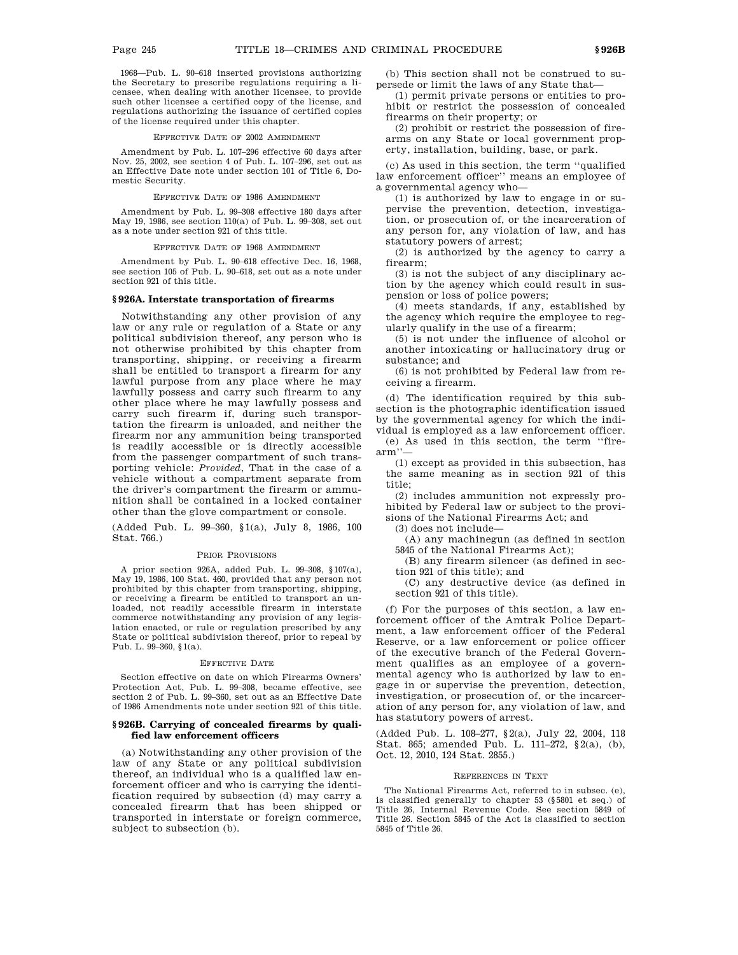1968—Pub. L. 90–618 inserted provisions authorizing the Secretary to prescribe regulations requiring a licensee, when dealing with another licensee, to provide such other licensee a certified copy of the license, and regulations authorizing the issuance of certified copies of the license required under this chapter.

## EFFECTIVE DATE OF 2002 AMENDMENT

Amendment by Pub. L. 107–296 effective 60 days after Nov. 25, 2002, see section 4 of Pub. L. 107–296, set out as an Effective Date note under section 101 of Title 6, Domestic Security.

## EFFECTIVE DATE OF 1986 AMENDMENT

Amendment by Pub. L. 99–308 effective 180 days after May 19, 1986, see section 110(a) of Pub. L. 99–308, set out as a note under section 921 of this title.

## EFFECTIVE DATE OF 1968 AMENDMENT

Amendment by Pub. L. 90–618 effective Dec. 16, 1968, see section 105 of Pub. L. 90–618, set out as a note under section 921 of this title.

# **§ 926A. Interstate transportation of firearms**

Notwithstanding any other provision of any law or any rule or regulation of a State or any political subdivision thereof, any person who is not otherwise prohibited by this chapter from transporting, shipping, or receiving a firearm shall be entitled to transport a firearm for any lawful purpose from any place where he may lawfully possess and carry such firearm to any other place where he may lawfully possess and carry such firearm if, during such transportation the firearm is unloaded, and neither the firearm nor any ammunition being transported is readily accessible or is directly accessible from the passenger compartment of such transporting vehicle: *Provided*, That in the case of a vehicle without a compartment separate from the driver's compartment the firearm or ammunition shall be contained in a locked container other than the glove compartment or console.

(Added Pub. L. 99–360, §1(a), July 8, 1986, 100 Stat. 766.)

#### PRIOR PROVISIONS

A prior section 926A, added Pub. L. 99–308, §107(a), May 19, 1986, 100 Stat. 460, provided that any person not prohibited by this chapter from transporting, shipping, or receiving a firearm be entitled to transport an unloaded, not readily accessible firearm in interstate commerce notwithstanding any provision of any legislation enacted, or rule or regulation prescribed by any State or political subdivision thereof, prior to repeal by Pub. L. 99–360, §1(a).

## EFFECTIVE DATE

Section effective on date on which Firearms Owners' Protection Act, Pub. L. 99–308, became effective, see section 2 of Pub. L. 99–360, set out as an Effective Date of 1986 Amendments note under section 921 of this title.

## **§ 926B. Carrying of concealed firearms by qualified law enforcement officers**

(a) Notwithstanding any other provision of the law of any State or any political subdivision thereof, an individual who is a qualified law enforcement officer and who is carrying the identification required by subsection (d) may carry a concealed firearm that has been shipped or transported in interstate or foreign commerce, subject to subsection (b).

(b) This section shall not be construed to supersede or limit the laws of any State that—

(1) permit private persons or entities to prohibit or restrict the possession of concealed firearms on their property; or

(2) prohibit or restrict the possession of firearms on any State or local government property, installation, building, base, or park.

(c) As used in this section, the term ''qualified law enforcement officer'' means an employee of a governmental agency who—

(1) is authorized by law to engage in or supervise the prevention, detection, investigation, or prosecution of, or the incarceration of any person for, any violation of law, and has statutory powers of arrest;

(2) is authorized by the agency to carry a firearm;

(3) is not the subject of any disciplinary action by the agency which could result in suspension or loss of police powers;

(4) meets standards, if any, established by the agency which require the employee to regularly qualify in the use of a firearm;

(5) is not under the influence of alcohol or another intoxicating or hallucinatory drug or substance; and

(6) is not prohibited by Federal law from receiving a firearm.

(d) The identification required by this subsection is the photographic identification issued by the governmental agency for which the individual is employed as a law enforcement officer.

(e) As used in this section, the term ''firearm''—

(1) except as provided in this subsection, has the same meaning as in section 921 of this title;

(2) includes ammunition not expressly prohibited by Federal law or subject to the provisions of the National Firearms Act; and

(3) does not include—

(A) any machinegun (as defined in section 5845 of the National Firearms Act);

(B) any firearm silencer (as defined in section 921 of this title); and

(C) any destructive device (as defined in section 921 of this title).

(f) For the purposes of this section, a law enforcement officer of the Amtrak Police Department, a law enforcement officer of the Federal Reserve, or a law enforcement or police officer of the executive branch of the Federal Government qualifies as an employee of a governmental agency who is authorized by law to engage in or supervise the prevention, detection, investigation, or prosecution of, or the incarceration of any person for, any violation of law, and has statutory powers of arrest.

(Added Pub. L. 108–277, §2(a), July 22, 2004, 118 Stat. 865; amended Pub. L. 111–272, §2(a), (b), Oct. 12, 2010, 124 Stat. 2855.)

#### REFERENCES IN TEXT

The National Firearms Act, referred to in subsec. (e), is classified generally to chapter 53 (§5801 et seq.) of Title 26, Internal Revenue Code. See section 5849 of Title 26. Section 5845 of the Act is classified to section 5845 of Title 26.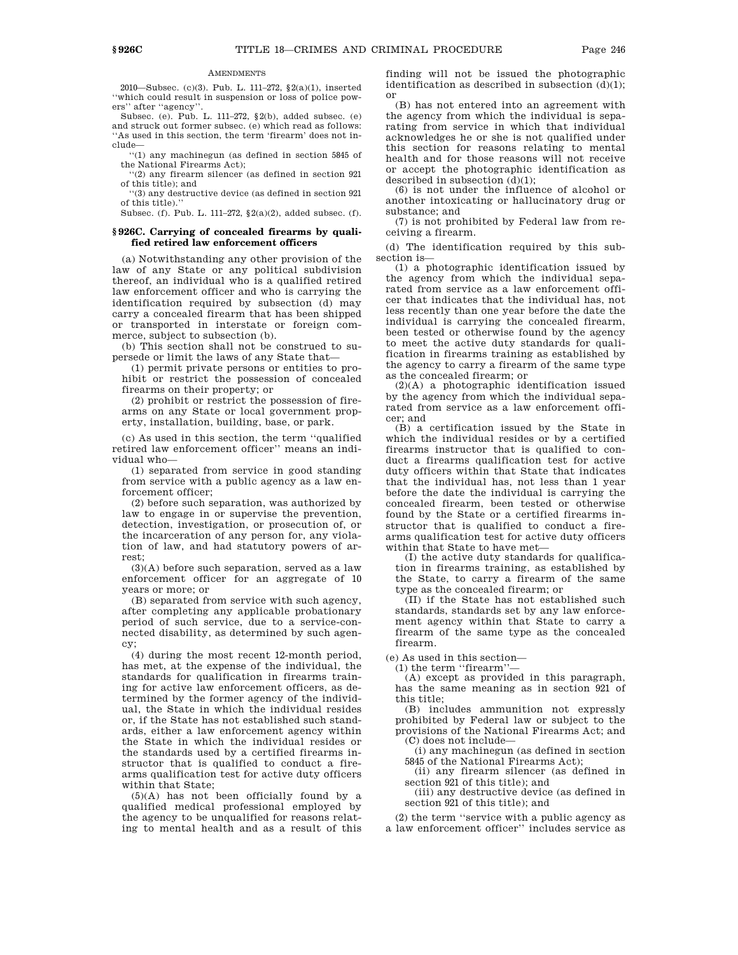## **AMENDMENTS**

2010—Subsec. (c)(3). Pub. L. 111–272, §2(a)(1), inserted ''which could result in suspension or loss of police powers'' after ''agency''.

Subsec. (e). Pub. L. 111–272, §2(b), added subsec. (e) and struck out former subsec. (e) which read as follows: ''As used in this section, the term 'firearm' does not include—

''(1) any machinegun (as defined in section 5845 of the National Firearms Act);

''(2) any firearm silencer (as defined in section 921 of this title); and

''(3) any destructive device (as defined in section 921 of this title).''

Subsec. (f). Pub. L. 111–272, §2(a)(2), added subsec. (f).

# **§ 926C. Carrying of concealed firearms by qualified retired law enforcement officers**

(a) Notwithstanding any other provision of the law of any State or any political subdivision thereof, an individual who is a qualified retired law enforcement officer and who is carrying the identification required by subsection (d) may carry a concealed firearm that has been shipped or transported in interstate or foreign commerce, subject to subsection (b).

(b) This section shall not be construed to supersede or limit the laws of any State that—

(1) permit private persons or entities to prohibit or restrict the possession of concealed firearms on their property; or

(2) prohibit or restrict the possession of firearms on any State or local government property, installation, building, base, or park.

(c) As used in this section, the term ''qualified retired law enforcement officer'' means an individual who—

(1) separated from service in good standing from service with a public agency as a law enforcement officer;

(2) before such separation, was authorized by law to engage in or supervise the prevention, detection, investigation, or prosecution of, or the incarceration of any person for, any violation of law, and had statutory powers of arrest;

(3)(A) before such separation, served as a law enforcement officer for an aggregate of 10 years or more; or

(B) separated from service with such agency, after completing any applicable probationary period of such service, due to a service-connected disability, as determined by such agency;

(4) during the most recent 12-month period, has met, at the expense of the individual, the standards for qualification in firearms training for active law enforcement officers, as determined by the former agency of the individual, the State in which the individual resides or, if the State has not established such standards, either a law enforcement agency within the State in which the individual resides or the standards used by a certified firearms instructor that is qualified to conduct a firearms qualification test for active duty officers within that State;

(5)(A) has not been officially found by a qualified medical professional employed by the agency to be unqualified for reasons relating to mental health and as a result of this

finding will not be issued the photographic identification as described in subsection  $(d)(1)$ ; or

(B) has not entered into an agreement with the agency from which the individual is separating from service in which that individual acknowledges he or she is not qualified under this section for reasons relating to mental health and for those reasons will not receive or accept the photographic identification as described in subsection (d)(1);

(6) is not under the influence of alcohol or another intoxicating or hallucinatory drug or substance; and

(7) is not prohibited by Federal law from receiving a firearm.

(d) The identification required by this subsection is—

(1) a photographic identification issued by the agency from which the individual separated from service as a law enforcement officer that indicates that the individual has, not less recently than one year before the date the individual is carrying the concealed firearm, been tested or otherwise found by the agency to meet the active duty standards for qualification in firearms training as established by the agency to carry a firearm of the same type as the concealed firearm; or

(2)(A) a photographic identification issued by the agency from which the individual separated from service as a law enforcement officer; and

(B) a certification issued by the State in which the individual resides or by a certified firearms instructor that is qualified to conduct a firearms qualification test for active duty officers within that State that indicates that the individual has, not less than 1 year before the date the individual is carrying the concealed firearm, been tested or otherwise found by the State or a certified firearms instructor that is qualified to conduct a firearms qualification test for active duty officers within that State to have met—

(I) the active duty standards for qualification in firearms training, as established by the State, to carry a firearm of the same type as the concealed firearm; or

(II) if the State has not established such standards, standards set by any law enforcement agency within that State to carry a firearm of the same type as the concealed firearm.

(e) As used in this section—

 $(1)$  the term "firearm"

(A) except as provided in this paragraph, has the same meaning as in section 921 of this title;

(B) includes ammunition not expressly prohibited by Federal law or subject to the provisions of the National Firearms Act; and (C) does not include—

(i) any machinegun (as defined in section 5845 of the National Firearms Act);

(ii) any firearm silencer (as defined in section 921 of this title); and

(iii) any destructive device (as defined in section 921 of this title); and

(2) the term ''service with a public agency as a law enforcement officer'' includes service as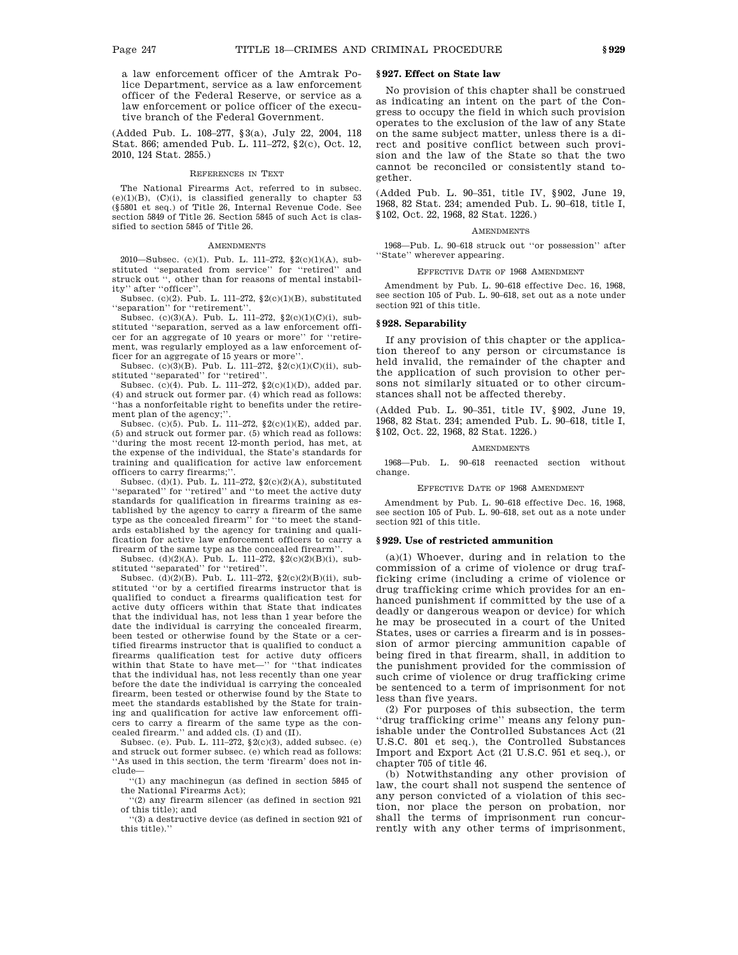a law enforcement officer of the Amtrak Police Department, service as a law enforcement officer of the Federal Reserve, or service as a law enforcement or police officer of the executive branch of the Federal Government.

(Added Pub. L. 108–277, §3(a), July 22, 2004, 118 Stat. 866; amended Pub. L. 111–272, §2(c), Oct. 12, 2010, 124 Stat. 2855.)

### REFERENCES IN TEXT

The National Firearms Act, referred to in subsec.  $(e)(1)(B)$ ,  $(C)(i)$ , is classified generally to chapter 53 (§5801 et seq.) of Title 26, Internal Revenue Code. See section 5849 of Title 26. Section 5845 of such Act is classified to section 5845 of Title 26.

#### AMENDMENTS

2010—Subsec. (c)(1). Pub. L. 111–272, §2(c)(1)(A), substituted ''separated from service'' for ''retired'' and struck out '', other than for reasons of mental instability'' after ''officer''.

Subsec. (c)(2). Pub. L. 111–272, §2(c)(1)(B), substituted ''separation'' for ''retirement''.

Subsec. (c)(3)(A). Pub. L. 111–272,  $\S2(c)(1)(C)(i)$ , substituted ''separation, served as a law enforcement officer for an aggregate of 10 years or more'' for ''retirement, was regularly employed as a law enforcement officer for an aggregate of 15 years or more''.

Subsec. (c)(3)(B). Pub. L. 111-272,  $\S2(c)(1)(C)(ii)$ , substituted ''separated'' for ''retired''.

Subsec. (c)(4). Pub. L. 111–272, §2(c)(1)(D), added par. (4) and struck out former par. (4) which read as follows: ''has a nonforfeitable right to benefits under the retirement plan of the agency;

Subsec. (c)(5). Pub. L. 111–272,  $\S2(c)(1)(E)$ , added par. (5) and struck out former par. (5) which read as follows: ''during the most recent 12-month period, has met, at the expense of the individual, the State's standards for training and qualification for active law enforcement officers to carry firearms;''.

Subsec. (d)(1). Pub. L. 111–272,  $\S2(c)(2)(A)$ , substituted "separated" for "retired" and "to meet the active duty standards for qualification in firearms training as established by the agency to carry a firearm of the same type as the concealed firearm'' for ''to meet the standards established by the agency for training and qualification for active law enforcement officers to carry a firearm of the same type as the concealed firearm''.

Subsec. (d)(2)(A). Pub. L. 111–272, §2(c)(2)(B)(i), substituted ''separated'' for ''retired''.

Subsec. (d)(2)(B). Pub. L. 111–272, §2(c)(2)(B)(ii), substituted ''or by a certified firearms instructor that is qualified to conduct a firearms qualification test for active duty officers within that State that indicates that the individual has, not less than 1 year before the date the individual is carrying the concealed firearm, been tested or otherwise found by the State or a certified firearms instructor that is qualified to conduct a firearms qualification test for active duty officers within that State to have met—'' for ''that indicates that the individual has, not less recently than one year before the date the individual is carrying the concealed firearm, been tested or otherwise found by the State to meet the standards established by the State for training and qualification for active law enforcement officers to carry a firearm of the same type as the concealed firearm.'' and added cls. (I) and (II).

Subsec. (e). Pub. L. 111–272, §2(c)(3), added subsec. (e) and struck out former subsec. (e) which read as follows: ''As used in this section, the term 'firearm' does not include—

''(1) any machinegun (as defined in section 5845 of the National Firearms Act);

''(2) any firearm silencer (as defined in section 921 of this title); and

''(3) a destructive device (as defined in section 921 of this title).''

## **§ 927. Effect on State law**

No provision of this chapter shall be construed as indicating an intent on the part of the Congress to occupy the field in which such provision operates to the exclusion of the law of any State on the same subject matter, unless there is a direct and positive conflict between such provision and the law of the State so that the two cannot be reconciled or consistently stand together.

(Added Pub. L. 90–351, title IV, §902, June 19, 1968, 82 Stat. 234; amended Pub. L. 90–618, title I, §102, Oct. 22, 1968, 82 Stat. 1226.)

## **AMENDMENTS**

1968—Pub. L. 90–618 struck out ''or possession'' after ''State'' wherever appearing.

## EFFECTIVE DATE OF 1968 AMENDMENT

Amendment by Pub. L. 90–618 effective Dec. 16, 1968, see section 105 of Pub. L. 90–618, set out as a note under section 921 of this title.

## **§ 928. Separability**

If any provision of this chapter or the application thereof to any person or circumstance is held invalid, the remainder of the chapter and the application of such provision to other persons not similarly situated or to other circumstances shall not be affected thereby.

(Added Pub. L. 90–351, title IV, §902, June 19, 1968, 82 Stat. 234; amended Pub. L. 90–618, title I, §102, Oct. 22, 1968, 82 Stat. 1226.)

### AMENDMENTS

1968—Pub. L. 90–618 reenacted section without change.

### EFFECTIVE DATE OF 1968 AMENDMENT

Amendment by Pub. L. 90–618 effective Dec. 16, 1968, see section 105 of Pub. L. 90–618, set out as a note under section 921 of this title.

#### **§ 929. Use of restricted ammunition**

(a)(1) Whoever, during and in relation to the commission of a crime of violence or drug trafficking crime (including a crime of violence or drug trafficking crime which provides for an enhanced punishment if committed by the use of a deadly or dangerous weapon or device) for which he may be prosecuted in a court of the United States, uses or carries a firearm and is in possession of armor piercing ammunition capable of being fired in that firearm, shall, in addition to the punishment provided for the commission of such crime of violence or drug trafficking crime be sentenced to a term of imprisonment for not less than five years.

(2) For purposes of this subsection, the term ''drug trafficking crime'' means any felony punishable under the Controlled Substances Act (21 U.S.C. 801 et seq.), the Controlled Substances Import and Export Act (21 U.S.C. 951 et seq.), or chapter 705 of title 46.

(b) Notwithstanding any other provision of law, the court shall not suspend the sentence of any person convicted of a violation of this section, nor place the person on probation, nor shall the terms of imprisonment run concurrently with any other terms of imprisonment,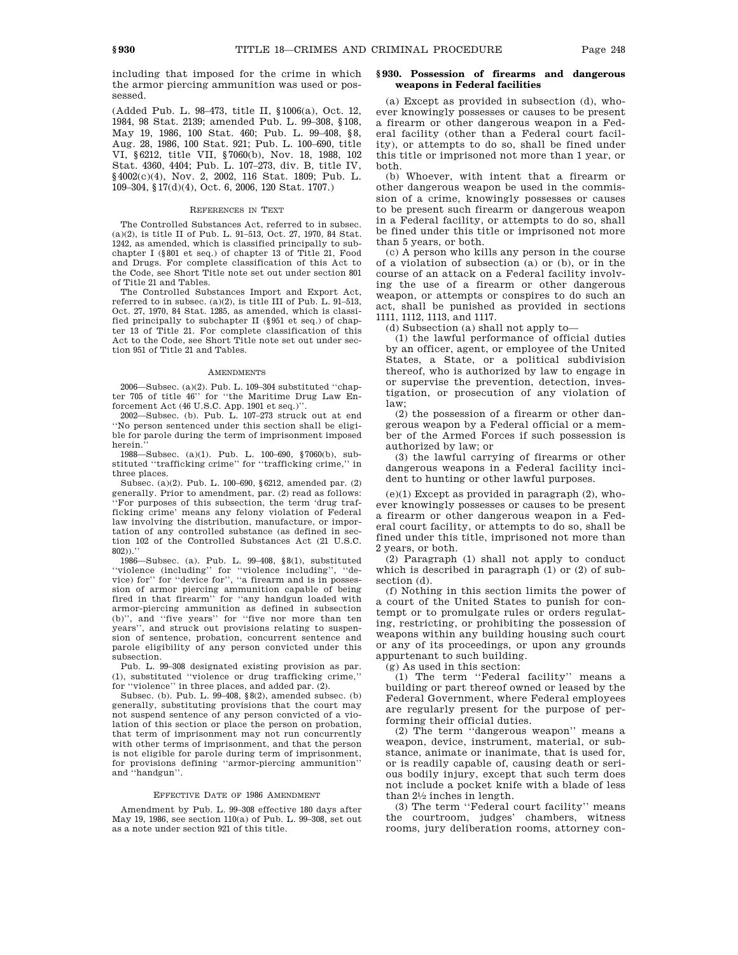including that imposed for the crime in which the armor piercing ammunition was used or possessed.

(Added Pub. L. 98–473, title II, §1006(a), Oct. 12, 1984, 98 Stat. 2139; amended Pub. L. 99–308, §108, May 19, 1986, 100 Stat. 460; Pub. L. 99–408, §8, Aug. 28, 1986, 100 Stat. 921; Pub. L. 100–690, title VI, §6212, title VII, §7060(b), Nov. 18, 1988, 102 Stat. 4360, 4404; Pub. L. 107–273, div. B, title IV, §4002(c)(4), Nov. 2, 2002, 116 Stat. 1809; Pub. L. 109–304, §17(d)(4), Oct. 6, 2006, 120 Stat. 1707.)

## REFERENCES IN TEXT

The Controlled Substances Act, referred to in subsec. (a)(2), is title II of Pub. L. 91–513, Oct. 27, 1970, 84 Stat. 1242, as amended, which is classified principally to subchapter I (§801 et seq.) of chapter 13 of Title 21, Food and Drugs. For complete classification of this Act to the Code, see Short Title note set out under section 801 of Title 21 and Tables.

The Controlled Substances Import and Export Act, referred to in subsec. (a)(2), is title III of Pub. L. 91–513, Oct. 27, 1970, 84 Stat. 1285, as amended, which is classified principally to subchapter II (§951 et seq.) of chapter 13 of Title 21. For complete classification of this Act to the Code, see Short Title note set out under section 951 of Title 21 and Tables.

### AMENDMENTS

2006—Subsec. (a)(2). Pub. L. 109–304 substituted ''chapter 705 of title 46'' for ''the Maritime Drug Law Enforcement Act (46 U.S.C. App. 1901 et seq.)''.

2002—Subsec. (b). Pub. L. 107–273 struck out at end ''No person sentenced under this section shall be eligible for parole during the term of imprisonment imposed herein.

1988—Subsec. (a)(1). Pub. L. 100–690, §7060(b), substituted ''trafficking crime'' for ''trafficking crime,'' in three places.

Subsec. (a)(2). Pub. L. 100–690, §6212, amended par. (2) generally. Prior to amendment, par. (2) read as follows: ''For purposes of this subsection, the term 'drug trafficking crime' means any felony violation of Federal law involving the distribution, manufacture, or importation of any controlled substance (as defined in section 102 of the Controlled Substances Act (21 U.S.C. 802)).''

1986—Subsec. (a). Pub. L. 99–408, §8(1), substituted ''violence (including'' for ''violence including'', ''device) for'' for ''device for'', ''a firearm and is in possession of armor piercing ammunition capable of being fired in that firearm'' for ''any handgun loaded with armor-piercing ammunition as defined in subsection (b)'', and ''five years'' for ''five nor more than ten years'', and struck out provisions relating to suspension of sentence, probation, concurrent sentence and parole eligibility of any person convicted under this subsection.

Pub. L. 99–308 designated existing provision as par. (1), substituted ''violence or drug trafficking crime,'' for ''violence'' in three places, and added par. (2).

Subsec. (b). Pub. L. 99–408, §8(2), amended subsec. (b) generally, substituting provisions that the court may not suspend sentence of any person convicted of a violation of this section or place the person on probation, that term of imprisonment may not run concurrently with other terms of imprisonment, and that the person is not eligible for parole during term of imprisonment, for provisions defining ''armor-piercing ammunition'' and ''handgun''.

#### EFFECTIVE DATE OF 1986 AMENDMENT

Amendment by Pub. L. 99–308 effective 180 days after May 19, 1986, see section 110(a) of Pub. L. 99–308, set out as a note under section 921 of this title.

# **§ 930. Possession of firearms and dangerous weapons in Federal facilities**

(a) Except as provided in subsection (d), whoever knowingly possesses or causes to be present a firearm or other dangerous weapon in a Federal facility (other than a Federal court facility), or attempts to do so, shall be fined under this title or imprisoned not more than 1 year, or both.

(b) Whoever, with intent that a firearm or other dangerous weapon be used in the commission of a crime, knowingly possesses or causes to be present such firearm or dangerous weapon in a Federal facility, or attempts to do so, shall be fined under this title or imprisoned not more than 5 years, or both.

(c) A person who kills any person in the course of a violation of subsection (a) or (b), or in the course of an attack on a Federal facility involving the use of a firearm or other dangerous weapon, or attempts or conspires to do such an act, shall be punished as provided in sections 1111, 1112, 1113, and 1117.

(d) Subsection (a) shall not apply to—

(1) the lawful performance of official duties by an officer, agent, or employee of the United States, a State, or a political subdivision thereof, who is authorized by law to engage in or supervise the prevention, detection, investigation, or prosecution of any violation of law;

(2) the possession of a firearm or other dangerous weapon by a Federal official or a member of the Armed Forces if such possession is authorized by law; or

(3) the lawful carrying of firearms or other dangerous weapons in a Federal facility incident to hunting or other lawful purposes.

 $(e)(1)$  Except as provided in paragraph  $(2)$ , whoever knowingly possesses or causes to be present a firearm or other dangerous weapon in a Federal court facility, or attempts to do so, shall be fined under this title, imprisoned not more than 2 years, or both.

(2) Paragraph (1) shall not apply to conduct which is described in paragraph (1) or (2) of subsection (d).

(f) Nothing in this section limits the power of a court of the United States to punish for contempt or to promulgate rules or orders regulating, restricting, or prohibiting the possession of weapons within any building housing such court or any of its proceedings, or upon any grounds appurtenant to such building.

(g) As used in this section:

(1) The term ''Federal facility'' means a building or part thereof owned or leased by the Federal Government, where Federal employees are regularly present for the purpose of performing their official duties.

(2) The term ''dangerous weapon'' means a weapon, device, instrument, material, or substance, animate or inanimate, that is used for, or is readily capable of, causing death or serious bodily injury, except that such term does not include a pocket knife with a blade of less than 21 ⁄2 inches in length.

(3) The term ''Federal court facility'' means the courtroom, judges' chambers, witness rooms, jury deliberation rooms, attorney con-